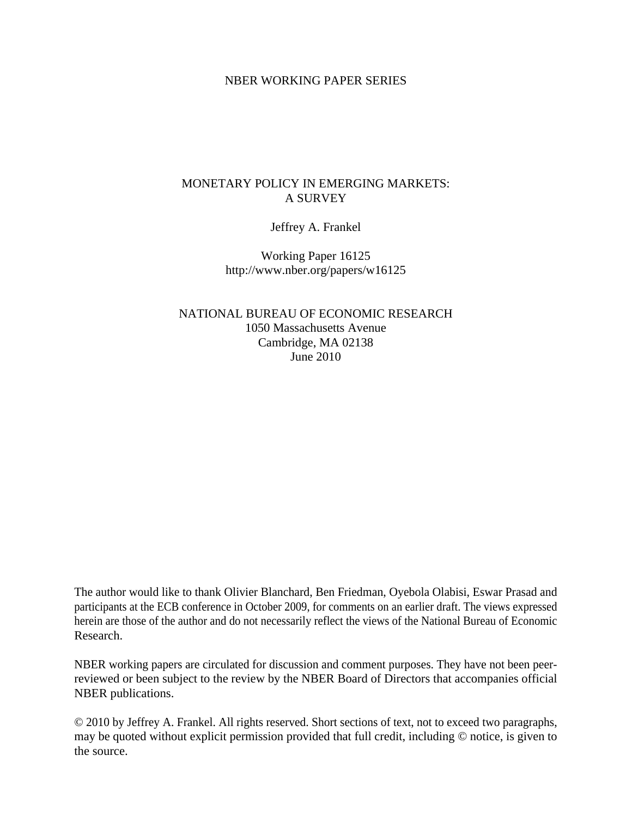### NBER WORKING PAPER SERIES

# MONETARY POLICY IN EMERGING MARKETS: A SURVEY

Jeffrey A. Frankel

Working Paper 16125 http://www.nber.org/papers/w16125

NATIONAL BUREAU OF ECONOMIC RESEARCH 1050 Massachusetts Avenue Cambridge, MA 02138 June 2010

The author would like to thank Olivier Blanchard, Ben Friedman, Oyebola Olabisi, Eswar Prasad and participants at the ECB conference in October 2009, for comments on an earlier draft. The views expressed herein are those of the author and do not necessarily reflect the views of the National Bureau of Economic Research.

NBER working papers are circulated for discussion and comment purposes. They have not been peerreviewed or been subject to the review by the NBER Board of Directors that accompanies official NBER publications.

© 2010 by Jeffrey A. Frankel. All rights reserved. Short sections of text, not to exceed two paragraphs, may be quoted without explicit permission provided that full credit, including © notice, is given to the source.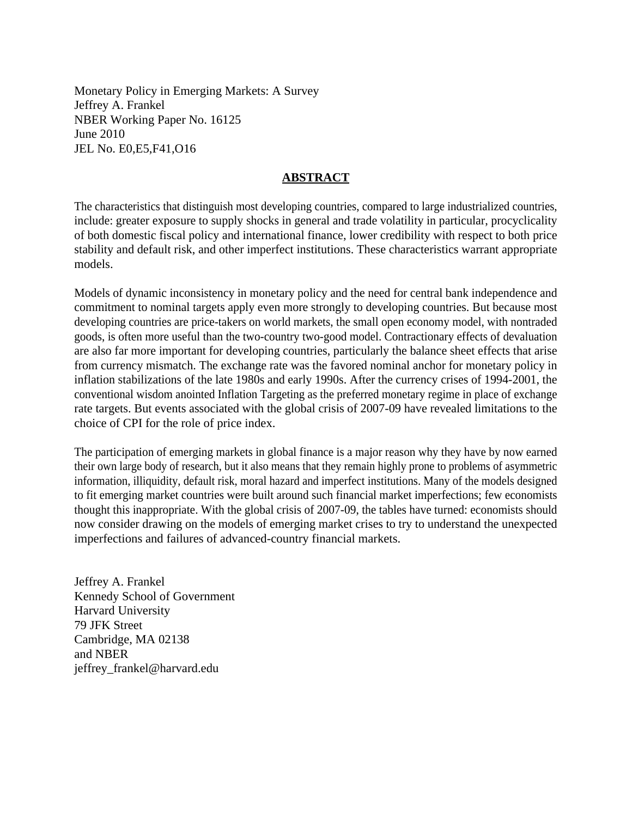Monetary Policy in Emerging Markets: A Survey Jeffrey A. Frankel NBER Working Paper No. 16125 June 2010 JEL No. E0,E5,F41,O16

# **ABSTRACT**

The characteristics that distinguish most developing countries, compared to large industrialized countries, include: greater exposure to supply shocks in general and trade volatility in particular, procyclicality of both domestic fiscal policy and international finance, lower credibility with respect to both price stability and default risk, and other imperfect institutions. These characteristics warrant appropriate models.

Models of dynamic inconsistency in monetary policy and the need for central bank independence and commitment to nominal targets apply even more strongly to developing countries. But because most developing countries are price-takers on world markets, the small open economy model, with nontraded goods, is often more useful than the two-country two-good model. Contractionary effects of devaluation are also far more important for developing countries, particularly the balance sheet effects that arise from currency mismatch. The exchange rate was the favored nominal anchor for monetary policy in inflation stabilizations of the late 1980s and early 1990s. After the currency crises of 1994-2001, the conventional wisdom anointed Inflation Targeting as the preferred monetary regime in place of exchange rate targets. But events associated with the global crisis of 2007-09 have revealed limitations to the choice of CPI for the role of price index.

The participation of emerging markets in global finance is a major reason why they have by now earned their own large body of research, but it also means that they remain highly prone to problems of asymmetric information, illiquidity, default risk, moral hazard and imperfect institutions. Many of the models designed to fit emerging market countries were built around such financial market imperfections; few economists thought this inappropriate. With the global crisis of 2007-09, the tables have turned: economists should now consider drawing on the models of emerging market crises to try to understand the unexpected imperfections and failures of advanced-country financial markets.

Jeffrey A. Frankel Kennedy School of Government Harvard University 79 JFK Street Cambridge, MA 02138 and NBER jeffrey\_frankel@harvard.edu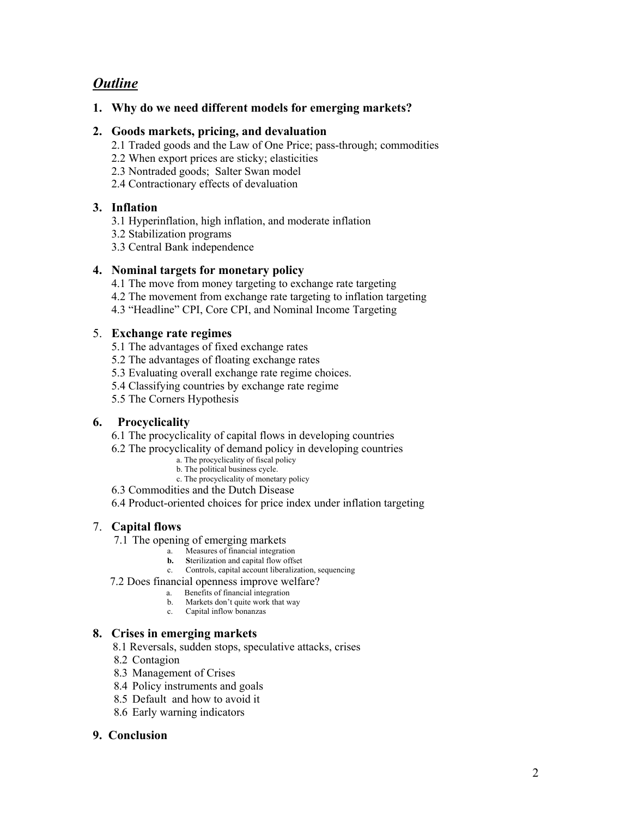# *Outline*

# **1. Why do we need different models for emerging markets?**

## **2. Goods markets, pricing, and devaluation**

- 2.1 Traded goods and the Law of One Price; pass-through; commodities
- 2.2 When export prices are sticky; elasticities
- 2.3 Nontraded goods; Salter Swan model
- 2.4 Contractionary effects of devaluation

## **3. Inflation**

- 3.1 Hyperinflation, high inflation, and moderate inflation
- 3.2 Stabilization programs
- 3.3 Central Bank independence

## **4. Nominal targets for monetary policy**

- 4.1 The move from money targeting to exchange rate targeting
- 4.2 The movement from exchange rate targeting to inflation targeting
- 4.3 "Headline" CPI, Core CPI, and Nominal Income Targeting

## 5. **Exchange rate regimes**

- 5.1 The advantages of fixed exchange rates
- 5.2 The advantages of floating exchange rates
- 5.3 Evaluating overall exchange rate regime choices.
- 5.4 Classifying countries by exchange rate regime
- 5.5 The Corners Hypothesis

## **6. Procyclicality**

6.1 The procyclicality of capital flows in developing countries

- 6.2 The procyclicality of demand policy in developing countries
	- a. The procyclicality of fiscal policy
	- b. The political business cycle.
	- c. The procyclicality of monetary policy

## 6.3 Commodities and the Dutch Disease

6.4 Product-oriented choices for price index under inflation targeting

# 7. **Capital flows**

- 7.1 The opening of emerging markets
	- a. Measures of financial integration
	- **b. S**terilization and capital flow offset
	- c. Controls, capital account liberalization, sequencing
- 7.2 Does financial openness improve welfare?
	- a. Benefits of financial integration
	- b. Markets don't quite work that way c. Capital inflow bonanzas

# **8. Crises in emerging markets**

- 8.1 Reversals, sudden stops, speculative attacks, crises
- 8.2 Contagion
- 8.3 Management of Crises
- 8.4 Policy instruments and goals
- 8.5 Default and how to avoid it
- 8.6 Early warning indicators

## **9. Conclusion**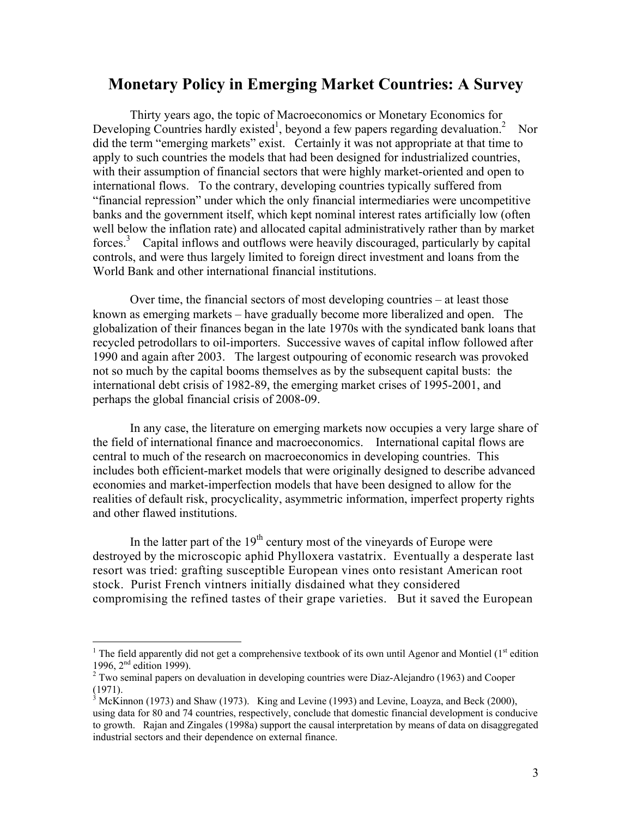# **Monetary Policy in Emerging Market Countries: A Survey**

Thirty years ago, the topic of Macroeconomics or Monetary Economics for Developing Countries hardly existed<sup>1</sup>, beyond a few papers regarding devaluation.<sup>2</sup> Nor did the term "emerging markets" exist. Certainly it was not appropriate at that time to apply to such countries the models that had been designed for industrialized countries, with their assumption of financial sectors that were highly market-oriented and open to international flows. To the contrary, developing countries typically suffered from "financial repression" under which the only financial intermediaries were uncompetitive banks and the government itself, which kept nominal interest rates artificially low (often well below the inflation rate) and allocated capital administratively rather than by market forces.<sup>3</sup> Capital inflows and outflows were heavily discouraged, particularly by capital controls, and were thus largely limited to foreign direct investment and loans from the World Bank and other international financial institutions.

Over time, the financial sectors of most developing countries – at least those known as emerging markets – have gradually become more liberalized and open. The globalization of their finances began in the late 1970s with the syndicated bank loans that recycled petrodollars to oil-importers. Successive waves of capital inflow followed after 1990 and again after 2003. The largest outpouring of economic research was provoked not so much by the capital booms themselves as by the subsequent capital busts: the international debt crisis of 1982-89, the emerging market crises of 1995-2001, and perhaps the global financial crisis of 2008-09.

 In any case, the literature on emerging markets now occupies a very large share of the field of international finance and macroeconomics. International capital flows are central to much of the research on macroeconomics in developing countries. This includes both efficient-market models that were originally designed to describe advanced economies and market-imperfection models that have been designed to allow for the realities of default risk, procyclicality, asymmetric information, imperfect property rights and other flawed institutions.

In the latter part of the  $19<sup>th</sup>$  century most of the vineyards of Europe were destroyed by the microscopic aphid Phylloxera vastatrix. Eventually a desperate last resort was tried: grafting susceptible European vines onto resistant American root stock. Purist French vintners initially disdained what they considered compromising the refined tastes of their grape varieties. But it saved the European

<sup>&</sup>lt;sup>1</sup> The field apparently did not get a comprehensive textbook of its own until Agenor and Montiel ( $1<sup>st</sup>$  edition 1996,  $2<sup>nd</sup>$  edition 1999).

<sup>&</sup>lt;sup>2</sup> Two seminal papers on devaluation in developing countries were Diaz-Alejandro (1963) and Cooper (1971).

 $3 \text{ McKannon}$  (1973) and Shaw (1973). King and Levine (1993) and Levine, Loayza, and Beck (2000), using data for 80 and 74 countries, respectively, conclude that domestic financial development is conducive to growth. Rajan and Zingales (1998a) support the causal interpretation by means of data on disaggregated industrial sectors and their dependence on external finance.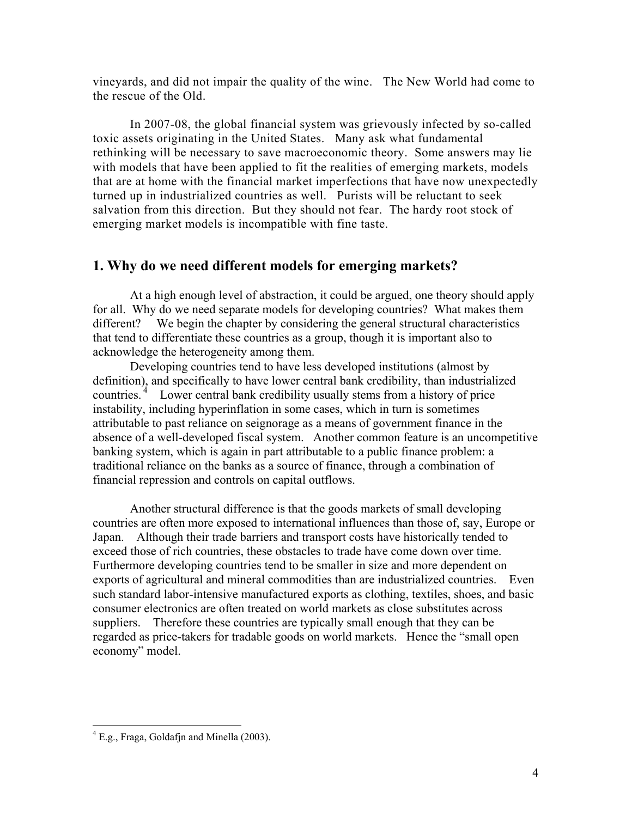vineyards, and did not impair the quality of the wine. The New World had come to the rescue of the Old.

 In 2007-08, the global financial system was grievously infected by so-called toxic assets originating in the United States. Many ask what fundamental rethinking will be necessary to save macroeconomic theory. Some answers may lie with models that have been applied to fit the realities of emerging markets, models that are at home with the financial market imperfections that have now unexpectedly turned up in industrialized countries as well. Purists will be reluctant to seek salvation from this direction. But they should not fear. The hardy root stock of emerging market models is incompatible with fine taste.

# **1. Why do we need different models for emerging markets?**

At a high enough level of abstraction, it could be argued, one theory should apply for all. Why do we need separate models for developing countries? What makes them different? We begin the chapter by considering the general structural characteristics that tend to differentiate these countries as a group, though it is important also to acknowledge the heterogeneity among them.

 Developing countries tend to have less developed institutions (almost by definition), and specifically to have lower central bank credibility, than industrialized countries.<sup>4</sup> Lower central bank credibility usually stems from a history of price instability, including hyperinflation in some cases, which in turn is sometimes attributable to past reliance on seignorage as a means of government finance in the absence of a well-developed fiscal system. Another common feature is an uncompetitive banking system, which is again in part attributable to a public finance problem: a traditional reliance on the banks as a source of finance, through a combination of financial repression and controls on capital outflows.

Another structural difference is that the goods markets of small developing countries are often more exposed to international influences than those of, say, Europe or Japan. Although their trade barriers and transport costs have historically tended to exceed those of rich countries, these obstacles to trade have come down over time. Furthermore developing countries tend to be smaller in size and more dependent on exports of agricultural and mineral commodities than are industrialized countries. Even such standard labor-intensive manufactured exports as clothing, textiles, shoes, and basic consumer electronics are often treated on world markets as close substitutes across suppliers. Therefore these countries are typically small enough that they can be regarded as price-takers for tradable goods on world markets. Hence the "small open economy" model.

 $4$  E.g., Fraga, Goldafin and Minella (2003).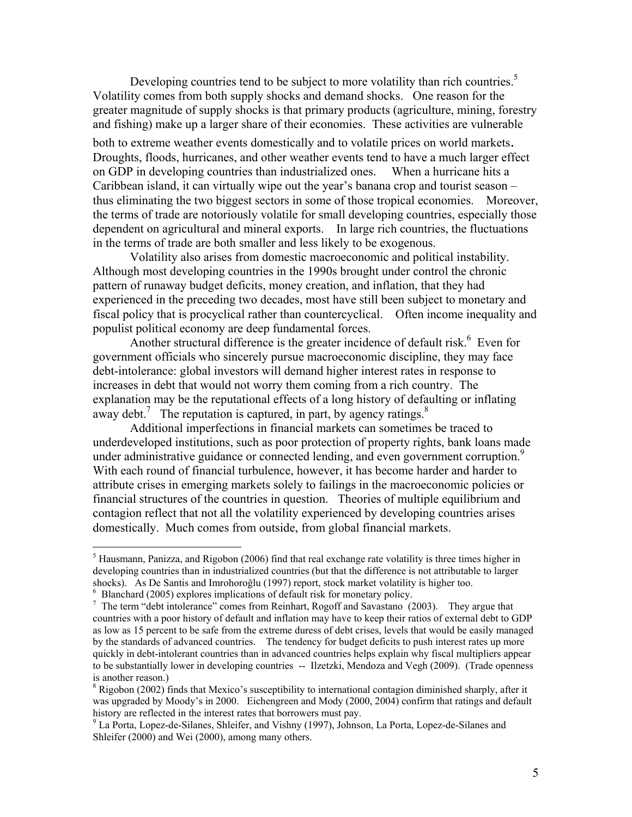Developing countries tend to be subject to more volatility than rich countries.<sup>5</sup> Volatility comes from both supply shocks and demand shocks. One reason for the greater magnitude of supply shocks is that primary products (agriculture, mining, forestry and fishing) make up a larger share of their economies. These activities are vulnerable both to extreme weather events domestically and to volatile prices on world markets. Droughts, floods, hurricanes, and other weather events tend to have a much larger effect on GDP in developing countries than industrialized ones. When a hurricane hits a Caribbean island, it can virtually wipe out the year's banana crop and tourist season – thus eliminating the two biggest sectors in some of those tropical economies. Moreover, the terms of trade are notoriously volatile for small developing countries, especially those dependent on agricultural and mineral exports. In large rich countries, the fluctuations in the terms of trade are both smaller and less likely to be exogenous.

Volatility also arises from domestic macroeconomic and political instability. Although most developing countries in the 1990s brought under control the chronic pattern of runaway budget deficits, money creation, and inflation, that they had experienced in the preceding two decades, most have still been subject to monetary and fiscal policy that is procyclical rather than countercyclical. Often income inequality and populist political economy are deep fundamental forces.

Another structural difference is the greater incidence of default risk. $<sup>6</sup>$  Even for</sup> government officials who sincerely pursue macroeconomic discipline, they may face debt-intolerance: global investors will demand higher interest rates in response to increases in debt that would not worry them coming from a rich country. The explanation may be the reputational effects of a long history of defaulting or inflating away debt.<sup>7</sup> The reputation is captured, in part, by agency ratings.<sup>8</sup>

Additional imperfections in financial markets can sometimes be traced to underdeveloped institutions, such as poor protection of property rights, bank loans made under administrative guidance or connected lending, and even government corruption.<sup>9</sup> With each round of financial turbulence, however, it has become harder and harder to attribute crises in emerging markets solely to failings in the macroeconomic policies or financial structures of the countries in question. Theories of multiple equilibrium and contagion reflect that not all the volatility experienced by developing countries arises domestically. Much comes from outside, from global financial markets.

<sup>&</sup>lt;sup>5</sup> Hausmann, Panizza, and Rigobon (2006) find that real exchange rate volatility is three times higher in developing countries than in industrialized countries (but that the difference is not attributable to larger shocks). As De Santis and Imrohoroğlu (1997) report, stock market volatility is higher too.

 $6$  Blanchard (2005) explores implications of default risk for monetary policy.

 $^7$  The term "debt intolerance" comes from Reinhart, Rogoff and Savastano (2003). They argue that countries with a poor history of default and inflation may have to keep their ratios of external debt to GDP as low as 15 percent to be safe from the extreme duress of debt crises, levels that would be easily managed by the standards of advanced countries. The tendency for budget deficits to push interest rates up more quickly in debt-intolerant countries than in advanced countries helps explain why fiscal multipliers appear to be substantially lower in developing countries -- Ilzetzki, Mendoza and Vegh (2009). (Trade openness is another reason.)

 $8$  Rigobon (2002) finds that Mexico's susceptibility to international contagion diminished sharply, after it was upgraded by Moody's in 2000. Eichengreen and Mody (2000, 2004) confirm that ratings and default history are reflected in the interest rates that borrowers must pay.

<sup>&</sup>lt;sup>9</sup> La Porta, Lopez-de-Silanes, Shleifer, and Vishny (1997), Johnson, La Porta, Lopez-de-Silanes and Shleifer (2000) and Wei (2000), among many others.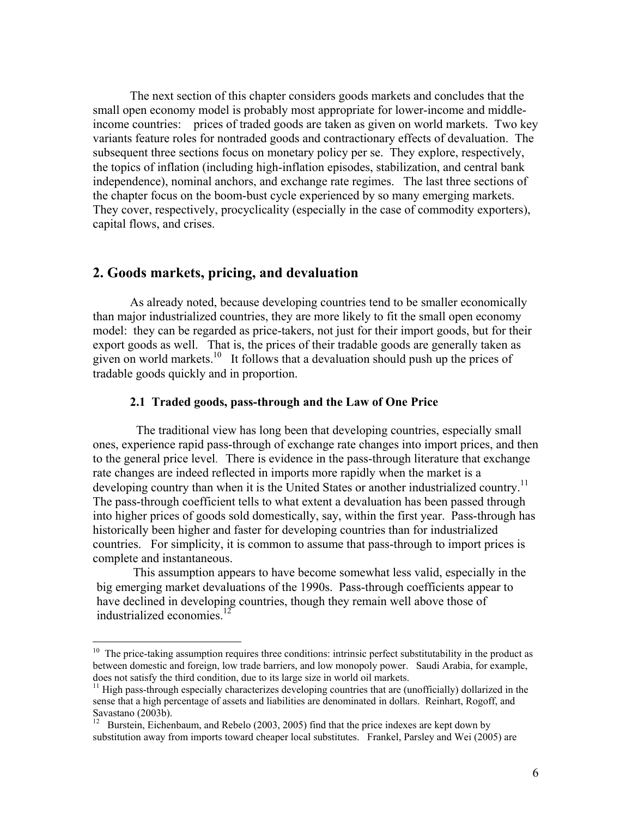The next section of this chapter considers goods markets and concludes that the small open economy model is probably most appropriate for lower-income and middleincome countries: prices of traded goods are taken as given on world markets. Two key variants feature roles for nontraded goods and contractionary effects of devaluation. The subsequent three sections focus on monetary policy per se. They explore, respectively, the topics of inflation (including high-inflation episodes, stabilization, and central bank independence), nominal anchors, and exchange rate regimes. The last three sections of the chapter focus on the boom-bust cycle experienced by so many emerging markets. They cover, respectively, procyclicality (especially in the case of commodity exporters), capital flows, and crises.

# **2. Goods markets, pricing, and devaluation**

 $\overline{a}$ 

As already noted, because developing countries tend to be smaller economically than major industrialized countries, they are more likely to fit the small open economy model: they can be regarded as price-takers, not just for their import goods, but for their export goods as well. That is, the prices of their tradable goods are generally taken as given on world markets.<sup>10</sup> It follows that a devaluation should push up the prices of tradable goods quickly and in proportion.

### **2.1 Traded goods, pass-through and the Law of One Price**

 The traditional view has long been that developing countries, especially small ones, experience rapid pass-through of exchange rate changes into import prices, and then to the general price level. There is evidence in the pass-through literature that exchange rate changes are indeed reflected in imports more rapidly when the market is a developing country than when it is the United States or another industrialized country.<sup>11</sup> The pass-through coefficient tells to what extent a devaluation has been passed through into higher prices of goods sold domestically, say, within the first year. Pass-through has historically been higher and faster for developing countries than for industrialized countries. For simplicity, it is common to assume that pass-through to import prices is complete and instantaneous.

 This assumption appears to have become somewhat less valid, especially in the big emerging market devaluations of the 1990s. Pass-through coefficients appear to have declined in developing countries, though they remain well above those of industrialized economies.<sup>12</sup>

<sup>&</sup>lt;sup>10</sup> The price-taking assumption requires three conditions: intrinsic perfect substitutability in the product as between domestic and foreign, low trade barriers, and low monopoly power. Saudi Arabia, for example, does not satisfy the third condition, due to its large size in world oil markets.

<sup>&</sup>lt;sup>11</sup> High pass-through especially characterizes developing countries that are (unofficially) dollarized in the sense that a high percentage of assets and liabilities are denominated in dollars. Reinhart, Rogoff, and Savastano (2003b).

 $12$  Burstein, Eichenbaum, and Rebelo (2003, 2005) find that the price indexes are kept down by substitution away from imports toward cheaper local substitutes. Frankel, Parsley and Wei (2005) are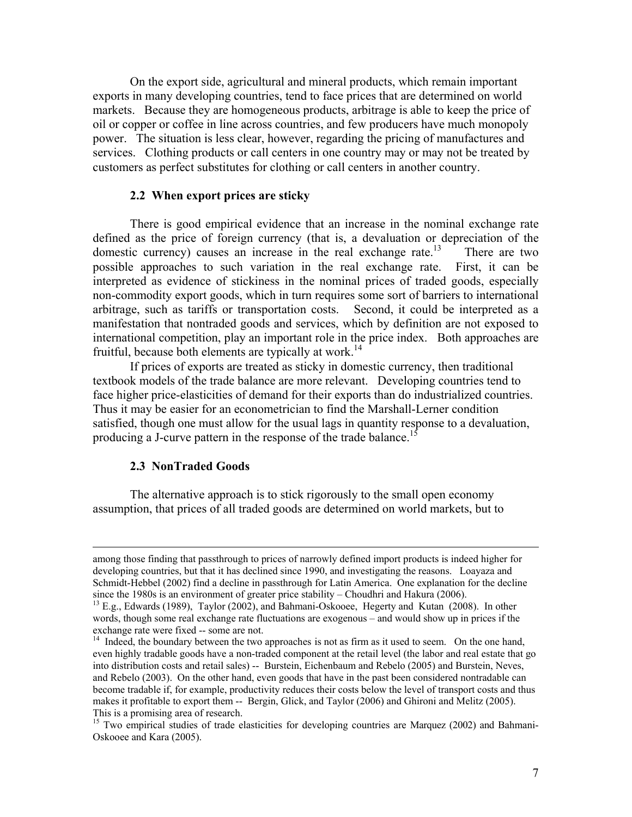On the export side, agricultural and mineral products, which remain important exports in many developing countries, tend to face prices that are determined on world markets. Because they are homogeneous products, arbitrage is able to keep the price of oil or copper or coffee in line across countries, and few producers have much monopoly power. The situation is less clear, however, regarding the pricing of manufactures and services. Clothing products or call centers in one country may or may not be treated by customers as perfect substitutes for clothing or call centers in another country.

#### **2.2 When export prices are sticky**

 There is good empirical evidence that an increase in the nominal exchange rate defined as the price of foreign currency (that is, a devaluation or depreciation of the domestic currency) causes an increase in the real exchange rate.<sup>13</sup> There are two possible approaches to such variation in the real exchange rate. First, it can be interpreted as evidence of stickiness in the nominal prices of traded goods, especially non-commodity export goods, which in turn requires some sort of barriers to international arbitrage, such as tariffs or transportation costs. Second, it could be interpreted as a manifestation that nontraded goods and services, which by definition are not exposed to international competition, play an important role in the price index. Both approaches are fruitful, because both elements are typically at work.<sup>14</sup>

 If prices of exports are treated as sticky in domestic currency, then traditional textbook models of the trade balance are more relevant. Developing countries tend to face higher price-elasticities of demand for their exports than do industrialized countries. Thus it may be easier for an econometrician to find the Marshall-Lerner condition satisfied, though one must allow for the usual lags in quantity response to a devaluation, producing a J-curve pattern in the response of the trade balance.<sup>15</sup>

#### **2.3 NonTraded Goods**

The alternative approach is to stick rigorously to the small open economy assumption, that prices of all traded goods are determined on world markets, but to

among those finding that passthrough to prices of narrowly defined import products is indeed higher for developing countries, but that it has declined since 1990, and investigating the reasons. Loayaza and Schmidt-Hebbel (2002) find a decline in passthrough for Latin America. One explanation for the decline since the 1980s is an environment of greater price stability – Choudhri and Hakura (2006).

<sup>&</sup>lt;sup>13</sup> E.g., Edwards (1989), Taylor (2002), and Bahmani-Oskooee, Hegerty and Kutan (2008). In other words, though some real exchange rate fluctuations are exogenous – and would show up in prices if the exchange rate were fixed -- some are not.

<sup>&</sup>lt;sup>14</sup> Indeed, the boundary between the two approaches is not as firm as it used to seem. On the one hand, even highly tradable goods have a non-traded component at the retail level (the labor and real estate that go into distribution costs and retail sales) -- Burstein, Eichenbaum and Rebelo (2005) and Burstein, Neves, and Rebelo (2003). On the other hand, even goods that have in the past been considered nontradable can become tradable if, for example, productivity reduces their costs below the level of transport costs and thus makes it profitable to export them -- Bergin, Glick, and Taylor (2006) and Ghironi and Melitz (2005). This is a promising area of research.

<sup>&</sup>lt;sup>15</sup> Two empirical studies of trade elasticities for developing countries are Marquez (2002) and Bahmani-Oskooee and Kara (2005).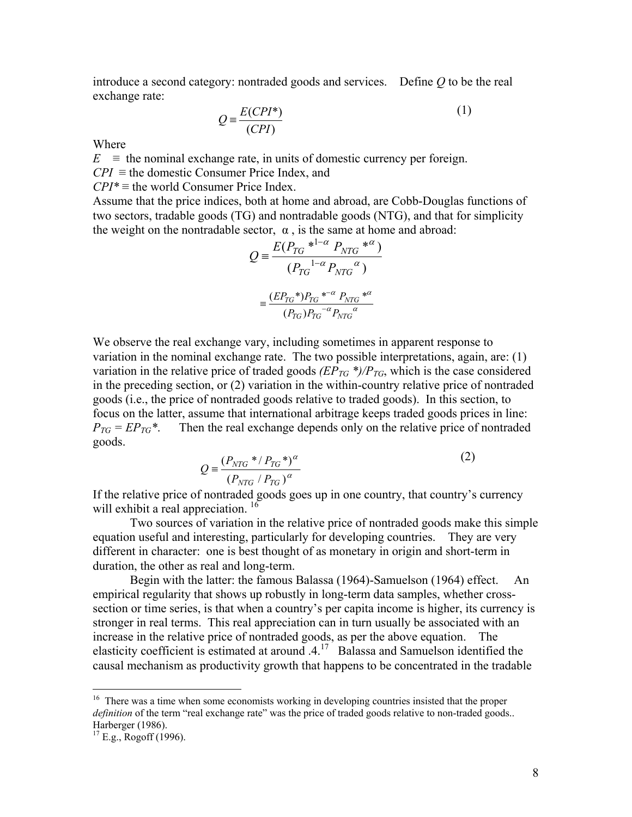introduce a second category: nontraded goods and services. Define *Q* to be the real exchange rate:

$$
Q = \frac{E(CPI^*)}{(CPI)}
$$
 (1)

Where

 $E \equiv$  the nominal exchange rate, in units of domestic currency per foreign.  $CPI \equiv$  the domestic Consumer Price Index, and

*CPI\** ≡ the world Consumer Price Index.

Assume that the price indices, both at home and abroad, are Cobb-Douglas functions of two sectors, tradable goods (TG) and nontradable goods (NTG), and that for simplicity the weight on the nontradable sector,  $\alpha$ , is the same at home and abroad:

$$
Q = \frac{E(P_{TG}^{*1-\alpha} P_{NTG}^{*\alpha})}{(P_{TG}^{1-\alpha} P_{NTG}^{*\alpha})}
$$

$$
= \frac{(E P_{TG}^{*}) P_{TG}^{*-\alpha} P_{NTG}^{*\alpha}}{(P_{TG}) P_{TG}^{-\alpha} P_{NTG}^{*\alpha}}
$$

We observe the real exchange vary, including sometimes in apparent response to variation in the nominal exchange rate. The two possible interpretations, again, are: (1) variation in the relative price of traded goods  $(EP_{TG}^*)/P_{TG}$ , which is the case considered in the preceding section, or (2) variation in the within-country relative price of nontraded goods (i.e., the price of nontraded goods relative to traded goods). In this section, to focus on the latter, assume that international arbitrage keeps traded goods prices in line:  $P_{TG} = EP_{TG}^*$ . Then the real exchange depends only on the relative price of nontraded goods.

$$
Q = \frac{(P_{NTG} * / P_{TG} * )^{\alpha}}{(P_{NTG} / P_{TG})^{\alpha}}
$$
 (2)

If the relative price of nontraded goods goes up in one country, that country's currency will exhibit a real appreciation.<sup>16</sup>

 Two sources of variation in the relative price of nontraded goods make this simple equation useful and interesting, particularly for developing countries. They are very different in character: one is best thought of as monetary in origin and short-term in duration, the other as real and long-term.

 Begin with the latter: the famous Balassa (1964)-Samuelson (1964) effect. An empirical regularity that shows up robustly in long-term data samples, whether crosssection or time series, is that when a country's per capita income is higher, its currency is stronger in real terms. This real appreciation can in turn usually be associated with an increase in the relative price of nontraded goods, as per the above equation. The elasticity coefficient is estimated at around  $.4^{17}$  Balassa and Samuelson identified the causal mechanism as productivity growth that happens to be concentrated in the tradable

<sup>&</sup>lt;sup>16</sup> There was a time when some economists working in developing countries insisted that the proper *definition* of the term "real exchange rate" was the price of traded goods relative to non-traded goods.. Harberger (1986).

 $17$  E.g., Rogoff (1996).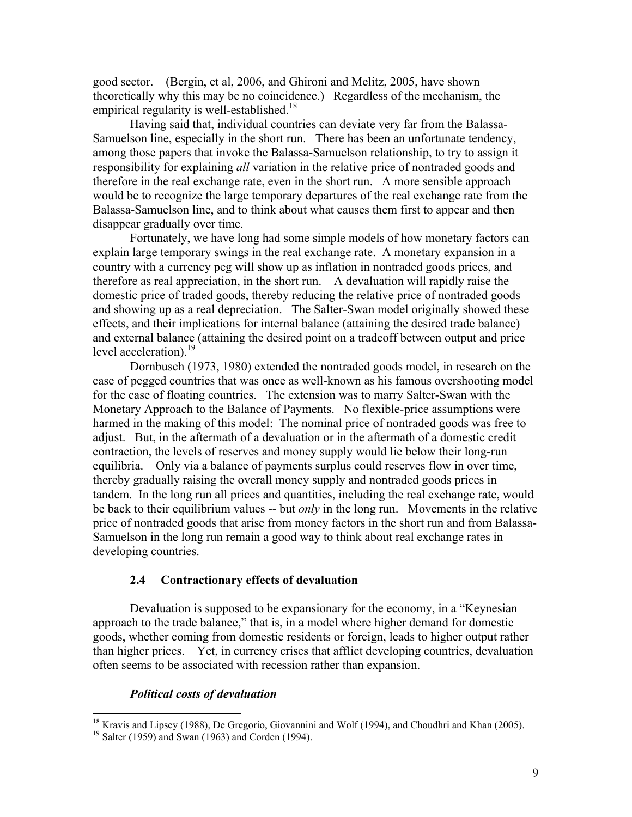good sector. (Bergin, et al, 2006, and Ghironi and Melitz, 2005, have shown theoretically why this may be no coincidence.) Regardless of the mechanism, the empirical regularity is well-established.<sup>18</sup>

 Having said that, individual countries can deviate very far from the Balassa-Samuelson line, especially in the short run. There has been an unfortunate tendency, among those papers that invoke the Balassa-Samuelson relationship, to try to assign it responsibility for explaining *all* variation in the relative price of nontraded goods and therefore in the real exchange rate, even in the short run. A more sensible approach would be to recognize the large temporary departures of the real exchange rate from the Balassa-Samuelson line, and to think about what causes them first to appear and then disappear gradually over time.

 Fortunately, we have long had some simple models of how monetary factors can explain large temporary swings in the real exchange rate. A monetary expansion in a country with a currency peg will show up as inflation in nontraded goods prices, and therefore as real appreciation, in the short run. A devaluation will rapidly raise the domestic price of traded goods, thereby reducing the relative price of nontraded goods and showing up as a real depreciation. The Salter-Swan model originally showed these effects, and their implications for internal balance (attaining the desired trade balance) and external balance (attaining the desired point on a tradeoff between output and price level acceleration).<sup>19</sup>

Dornbusch (1973, 1980) extended the nontraded goods model, in research on the case of pegged countries that was once as well-known as his famous overshooting model for the case of floating countries. The extension was to marry Salter-Swan with the Monetary Approach to the Balance of Payments. No flexible-price assumptions were harmed in the making of this model: The nominal price of nontraded goods was free to adjust. But, in the aftermath of a devaluation or in the aftermath of a domestic credit contraction, the levels of reserves and money supply would lie below their long-run equilibria. Only via a balance of payments surplus could reserves flow in over time, thereby gradually raising the overall money supply and nontraded goods prices in tandem. In the long run all prices and quantities, including the real exchange rate, would be back to their equilibrium values -- but *only* in the long run. Movements in the relative price of nontraded goods that arise from money factors in the short run and from Balassa-Samuelson in the long run remain a good way to think about real exchange rates in developing countries.

#### **2.4 Contractionary effects of devaluation**

Devaluation is supposed to be expansionary for the economy, in a "Keynesian approach to the trade balance," that is, in a model where higher demand for domestic goods, whether coming from domestic residents or foreign, leads to higher output rather than higher prices. Yet, in currency crises that afflict developing countries, devaluation often seems to be associated with recession rather than expansion.

### *Political costs of devaluation*

<sup>&</sup>lt;sup>18</sup> Kravis and Lipsey (1988), De Gregorio, Giovannini and Wolf (1994), and Choudhri and Khan (2005).

<sup>19</sup> Salter (1959) and Swan (1963) and Corden (1994).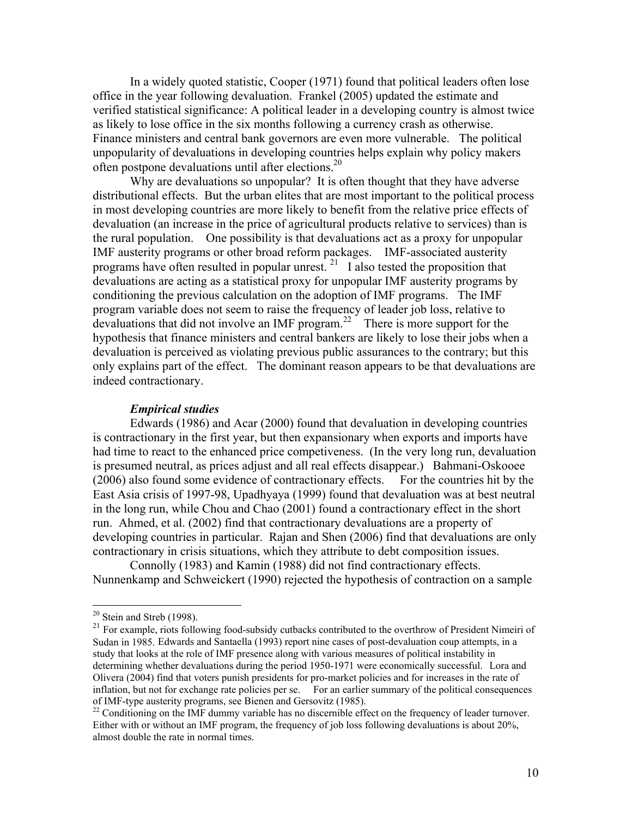In a widely quoted statistic, Cooper (1971) found that political leaders often lose office in the year following devaluation. Frankel (2005) updated the estimate and verified statistical significance: A political leader in a developing country is almost twice as likely to lose office in the six months following a currency crash as otherwise. Finance ministers and central bank governors are even more vulnerable. The political unpopularity of devaluations in developing countries helps explain why policy makers often postpone devaluations until after elections.<sup>20</sup>

Why are devaluations so unpopular? It is often thought that they have adverse distributional effects. But the urban elites that are most important to the political process in most developing countries are more likely to benefit from the relative price effects of devaluation (an increase in the price of agricultural products relative to services) than is the rural population. One possibility is that devaluations act as a proxy for unpopular IMF austerity programs or other broad reform packages. IMF-associated austerity programs have often resulted in popular unrest.  $21$  I also tested the proposition that devaluations are acting as a statistical proxy for unpopular IMF austerity programs by conditioning the previous calculation on the adoption of IMF programs. The IMF program variable does not seem to raise the frequency of leader job loss, relative to  $\frac{1}{2}$  devaluations that did not involve an IMF program.<sup>22</sup> There is more support for the hypothesis that finance ministers and central bankers are likely to lose their jobs when a devaluation is perceived as violating previous public assurances to the contrary; but this only explains part of the effect. The dominant reason appears to be that devaluations are indeed contractionary.

#### *Empirical studies*

 Edwards (1986) and Acar (2000) found that devaluation in developing countries is contractionary in the first year, but then expansionary when exports and imports have had time to react to the enhanced price competiveness. (In the very long run, devaluation is presumed neutral, as prices adjust and all real effects disappear.) Bahmani-Oskooee (2006) also found some evidence of contractionary effects. For the countries hit by the East Asia crisis of 1997-98, Upadhyaya (1999) found that devaluation was at best neutral in the long run, while Chou and Chao (2001) found a contractionary effect in the short run. Ahmed, et al. (2002) find that contractionary devaluations are a property of developing countries in particular. Rajan and Shen (2006) find that devaluations are only contractionary in crisis situations, which they attribute to debt composition issues.

 Connolly (1983) and Kamin (1988) did not find contractionary effects. Nunnenkamp and Schweickert (1990) rejected the hypothesis of contraction on a sample

 $20$  Stein and Streb (1998).

<sup>&</sup>lt;sup>21</sup> For example, riots following food-subsidy cutbacks contributed to the overthrow of President Nimeiri of Sudan in 1985. Edwards and Santaella (1993) report nine cases of post-devaluation coup attempts, in a study that looks at the role of IMF presence along with various measures of political instability in determining whether devaluations during the period 1950-1971 were economically successful. Lora and Olivera (2004) find that voters punish presidents for pro-market policies and for increases in the rate of inflation, but not for exchange rate policies per se. For an earlier summary of the political consequences of IMF-type austerity programs, see Bienen and Gersovitz (1985).

<sup>&</sup>lt;sup>22</sup> Conditioning on the IMF dummy variable has no discernible effect on the frequency of leader turnover. Either with or without an IMF program, the frequency of job loss following devaluations is about 20%, almost double the rate in normal times.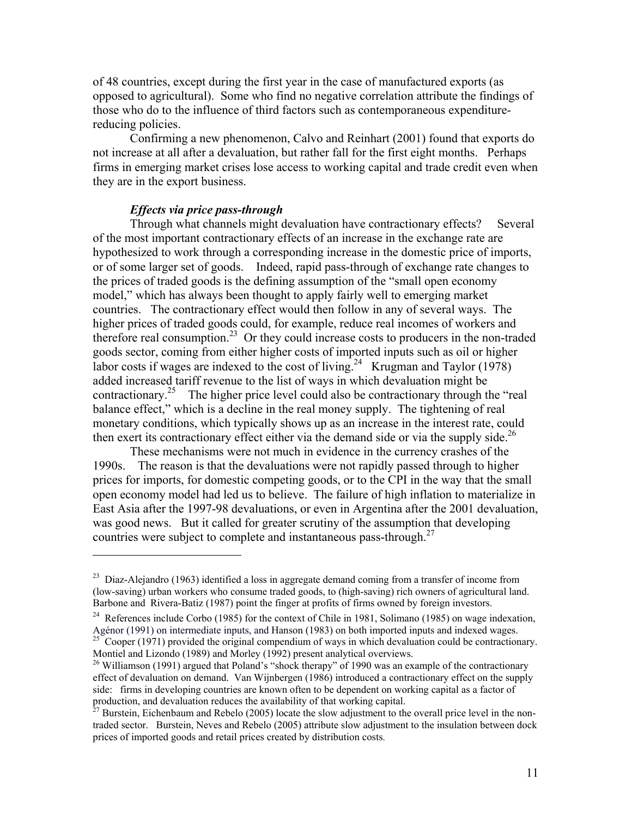of 48 countries, except during the first year in the case of manufactured exports (as opposed to agricultural). Some who find no negative correlation attribute the findings of those who do to the influence of third factors such as contemporaneous expenditurereducing policies.

Confirming a new phenomenon, Calvo and Reinhart (2001) found that exports do not increase at all after a devaluation, but rather fall for the first eight months. Perhaps firms in emerging market crises lose access to working capital and trade credit even when they are in the export business.

### *Effects via price pass-through*

 $\overline{a}$ 

Through what channels might devaluation have contractionary effects? Several of the most important contractionary effects of an increase in the exchange rate are hypothesized to work through a corresponding increase in the domestic price of imports, or of some larger set of goods. Indeed, rapid pass-through of exchange rate changes to the prices of traded goods is the defining assumption of the "small open economy model," which has always been thought to apply fairly well to emerging market countries. The contractionary effect would then follow in any of several ways. The higher prices of traded goods could, for example, reduce real incomes of workers and therefore real consumption.<sup>23</sup> Or they could increase costs to producers in the non-traded goods sector, coming from either higher costs of imported inputs such as oil or higher labor costs if wages are indexed to the cost of living.<sup>24</sup> Krugman and Taylor (1978) added increased tariff revenue to the list of ways in which devaluation might be contractionary.<sup>25</sup> The higher price level could also be contractionary through the "real" balance effect," which is a decline in the real money supply. The tightening of real monetary conditions, which typically shows up as an increase in the interest rate, could then exert its contractionary effect either via the demand side or via the supply side.<sup>26</sup>

These mechanisms were not much in evidence in the currency crashes of the 1990s. The reason is that the devaluations were not rapidly passed through to higher prices for imports, for domestic competing goods, or to the CPI in the way that the small open economy model had led us to believe. The failure of high inflation to materialize in East Asia after the 1997-98 devaluations, or even in Argentina after the 2001 devaluation, was good news. But it called for greater scrutiny of the assumption that developing countries were subject to complete and instantaneous pass-through. $^{27}$ 

 $^{23}$  Diaz-Alejandro (1963) identified a loss in aggregate demand coming from a transfer of income from (low-saving) urban workers who consume traded goods, to (high-saving) rich owners of agricultural land. Barbone and Rivera-Batiz (1987) point the finger at profits of firms owned by foreign investors.

<sup>&</sup>lt;sup>24</sup> References include Corbo (1985) for the context of Chile in 1981, Solimano (1985) on wage indexation, Agénor (1991) on intermediate inputs, and Hanson (1983) on both imported inputs and indexed wages.<br><sup>25</sup> Cooper (1971) provided the original compendium of ways in which devaluation could be contractionary.<br>Montiel and Lizo

<sup>&</sup>lt;sup>26</sup> Williamson (1991) argued that Poland's "shock therapy" of 1990 was an example of the contractionary effect of devaluation on demand. Van Wijnbergen (1986) introduced a contractionary effect on the supply side: firms in developing countries are known often to be dependent on working capital as a factor of production, and devaluation reduces the availability of that working capital.

 $27$  Burstein, Eichenbaum and Rebelo (2005) locate the slow adjustment to the overall price level in the nontraded sector. Burstein, Neves and Rebelo (2005) attribute slow adjustment to the insulation between dock prices of imported goods and retail prices created by distribution costs.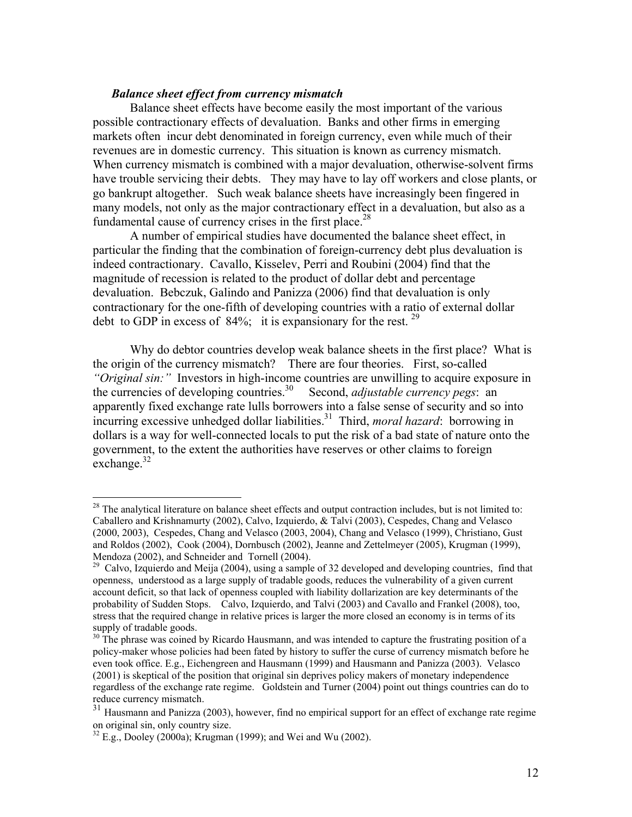### *Balance sheet effect from currency mismatch*

Balance sheet effects have become easily the most important of the various possible contractionary effects of devaluation. Banks and other firms in emerging markets often incur debt denominated in foreign currency, even while much of their revenues are in domestic currency. This situation is known as currency mismatch. When currency mismatch is combined with a major devaluation, otherwise-solvent firms have trouble servicing their debts. They may have to lay off workers and close plants, or go bankrupt altogether. Such weak balance sheets have increasingly been fingered in many models, not only as the major contractionary effect in a devaluation, but also as a fundamental cause of currency crises in the first place.<sup>28</sup>

 A number of empirical studies have documented the balance sheet effect, in particular the finding that the combination of foreign-currency debt plus devaluation is indeed contractionary. Cavallo, Kisselev, Perri and Roubini (2004) find that the magnitude of recession is related to the product of dollar debt and percentage devaluation. Bebczuk, Galindo and Panizza (2006) find that devaluation is only contractionary for the one-fifth of developing countries with a ratio of external dollar debt to GDP in excess of  $84\%$ ; it is expansionary for the rest. <sup>29</sup>

Why do debtor countries develop weak balance sheets in the first place? What is the origin of the currency mismatch? There are four theories. First, so-called *"Original sin:"* Investors in high-income countries are unwilling to acquire exposure in the currencies of developing countries.30 Second, *adjustable currency pegs*: an apparently fixed exchange rate lulls borrowers into a false sense of security and so into incurring excessive unhedged dollar liabilities.31 Third, *moral hazard*: borrowing in dollars is a way for well-connected locals to put the risk of a bad state of nature onto the government, to the extent the authorities have reserves or other claims to foreign  $exchange.<sup>32</sup>$ 

1

<sup>&</sup>lt;sup>28</sup> The analytical literature on balance sheet effects and output contraction includes, but is not limited to: Caballero and Krishnamurty (2002), Calvo, Izquierdo, & Talvi (2003), Cespedes, Chang and Velasco (2000, 2003), Cespedes, Chang and Velasco (2003, 2004), Chang and Velasco (1999), Christiano, Gust and Roldos (2002), Cook (2004), Dornbusch (2002), Jeanne and Zettelmeyer (2005), Krugman (1999), Mendoza (2002), and Schneider and Tornell (2004).

<sup>&</sup>lt;sup>29</sup> Calvo, Izquierdo and Meija (2004), using a sample of 32 developed and developing countries, find that openness, understood as a large supply of tradable goods, reduces the vulnerability of a given current account deficit, so that lack of openness coupled with liability dollarization are key determinants of the probability of Sudden Stops. Calvo, Izquierdo, and Talvi (2003) and Cavallo and Frankel (2008), too, stress that the required change in relative prices is larger the more closed an economy is in terms of its supply of tradable goods.

<sup>&</sup>lt;sup>30</sup> The phrase was coined by Ricardo Hausmann, and was intended to capture the frustrating position of a policy-maker whose policies had been fated by history to suffer the curse of currency mismatch before he even took office. E.g., Eichengreen and Hausmann (1999) and Hausmann and Panizza (2003). Velasco (2001) is skeptical of the position that original sin deprives policy makers of monetary independence regardless of the exchange rate regime. Goldstein and Turner (2004) point out things countries can do to reduce currency mismatch.

<sup>&</sup>lt;sup>31</sup> Hausmann and Panizza (2003), however, find no empirical support for an effect of exchange rate regime on original sin, only country size.

 $^{32}$  E.g., Dooley (2000a); Krugman (1999); and Wei and Wu (2002).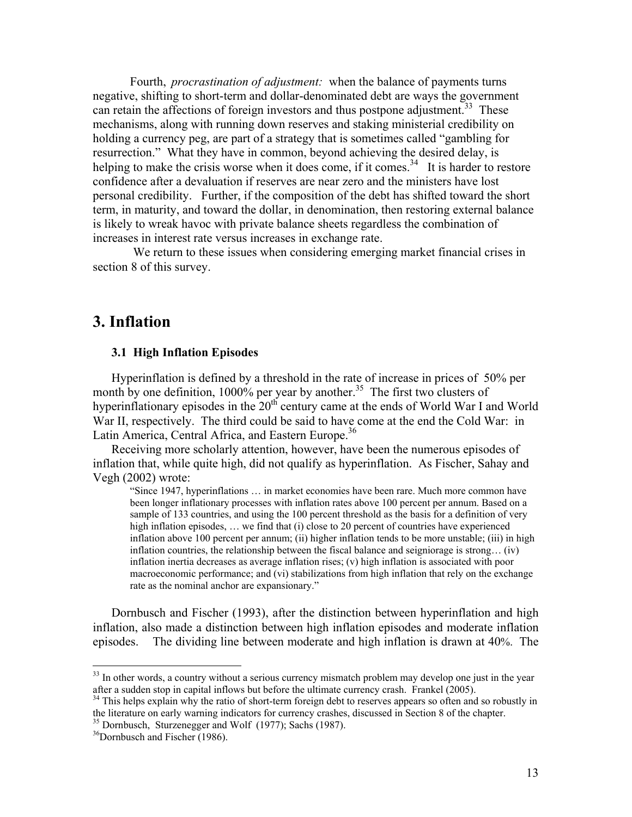Fourth, *procrastination of adjustment:* when the balance of payments turns negative, shifting to short-term and dollar-denominated debt are ways the government can retain the affections of foreign investors and thus postpone adjustment.<sup>33</sup> These mechanisms, along with running down reserves and staking ministerial credibility on holding a currency peg, are part of a strategy that is sometimes called "gambling for resurrection." What they have in common, beyond achieving the desired delay, is helping to make the crisis worse when it does come, if it comes.<sup>34</sup> It is harder to restore confidence after a devaluation if reserves are near zero and the ministers have lost personal credibility. Further, if the composition of the debt has shifted toward the short term, in maturity, and toward the dollar, in denomination, then restoring external balance is likely to wreak havoc with private balance sheets regardless the combination of increases in interest rate versus increases in exchange rate.

 We return to these issues when considering emerging market financial crises in section 8 of this survey.

# **3. Inflation**

# **3.1 High Inflation Episodes**

Hyperinflation is defined by a threshold in the rate of increase in prices of 50% per month by one definition,  $1000\%$  per year by another.<sup>35</sup> The first two clusters of hyperinflationary episodes in the 20<sup>th</sup> century came at the ends of World War I and World War II, respectively. The third could be said to have come at the end the Cold War: in Latin America, Central Africa, and Eastern Europe.<sup>36</sup>

Receiving more scholarly attention, however, have been the numerous episodes of inflation that, while quite high, did not qualify as hyperinflation. As Fischer, Sahay and Vegh (2002) wrote:

"Since 1947, hyperinflations … in market economies have been rare. Much more common have been longer inflationary processes with inflation rates above 100 percent per annum. Based on a sample of 133 countries, and using the 100 percent threshold as the basis for a definition of very high inflation episodes, ... we find that (i) close to 20 percent of countries have experienced inflation above 100 percent per annum; (ii) higher inflation tends to be more unstable; (iii) in high inflation countries, the relationship between the fiscal balance and seigniorage is strong… (iv) inflation inertia decreases as average inflation rises; (v) high inflation is associated with poor macroeconomic performance; and (vi) stabilizations from high inflation that rely on the exchange rate as the nominal anchor are expansionary."

Dornbusch and Fischer (1993), after the distinction between hyperinflation and high inflation, also made a distinction between high inflation episodes and moderate inflation episodes. The dividing line between moderate and high inflation is drawn at 40%. The

1

 $33$  In other words, a country without a serious currency mismatch problem may develop one just in the year after a sudden stop in capital inflows but before the ultimate currency crash. Frankel  $(2005)$ .

<sup>&</sup>lt;sup>34</sup> This helps explain why the ratio of short-term foreign debt to reserves appears so often and so robustly in the literature on early warning indicators for currency crashes, discussed in Section 8 of the chapter. 35 Dornbusch, Sturzenegger and Wolf (1977); Sachs (1987).

<sup>&</sup>lt;sup>36</sup>Dornbusch and Fischer (1986).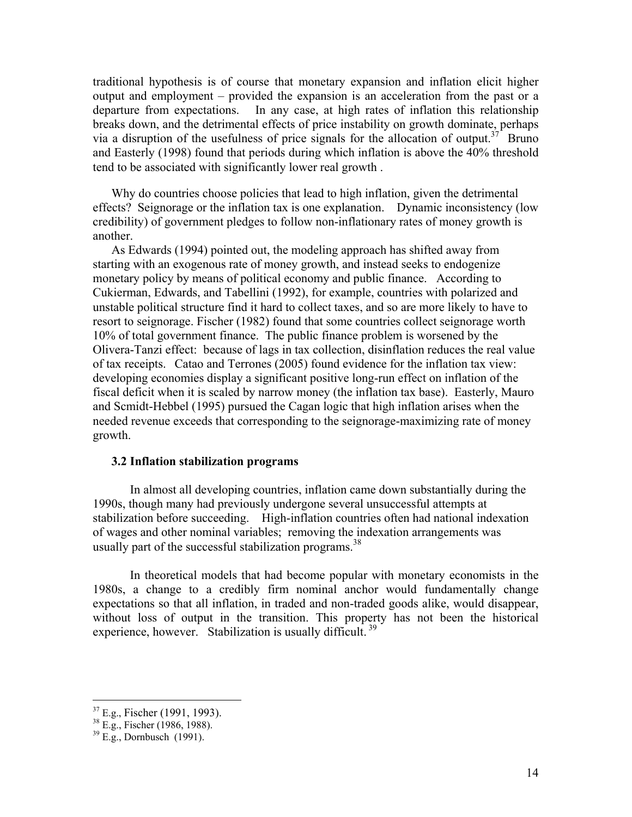traditional hypothesis is of course that monetary expansion and inflation elicit higher output and employment – provided the expansion is an acceleration from the past or a departure from expectations. In any case, at high rates of inflation this relationship breaks down, and the detrimental effects of price instability on growth dominate, perhaps via a disruption of the usefulness of price signals for the allocation of output.<sup>37</sup> Bruno and Easterly (1998) found that periods during which inflation is above the 40% threshold tend to be associated with significantly lower real growth .

Why do countries choose policies that lead to high inflation, given the detrimental effects? Seignorage or the inflation tax is one explanation. Dynamic inconsistency (low credibility) of government pledges to follow non-inflationary rates of money growth is another.

As Edwards (1994) pointed out, the modeling approach has shifted away from starting with an exogenous rate of money growth, and instead seeks to endogenize monetary policy by means of political economy and public finance. According to Cukierman, Edwards, and Tabellini (1992), for example, countries with polarized and unstable political structure find it hard to collect taxes, and so are more likely to have to resort to seignorage. Fischer (1982) found that some countries collect seignorage worth 10% of total government finance.The public finance problem is worsened by the Olivera-Tanzi effect: because of lags in tax collection, disinflation reduces the real value of tax receipts. Catao and Terrones (2005) found evidence for the inflation tax view: developing economies display a significant positive long-run effect on inflation of the fiscal deficit when it is scaled by narrow money (the inflation tax base). Easterly, Mauro and Scmidt-Hebbel (1995) pursued the Cagan logic that high inflation arises when the needed revenue exceeds that corresponding to the seignorage-maximizing rate of money growth.

## **3.2 Inflation stabilization programs**

 In almost all developing countries, inflation came down substantially during the 1990s, though many had previously undergone several unsuccessful attempts at stabilization before succeeding. High-inflation countries often had national indexation of wages and other nominal variables; removing the indexation arrangements was usually part of the successful stabilization programs.<sup>38</sup>

In theoretical models that had become popular with monetary economists in the 1980s, a change to a credibly firm nominal anchor would fundamentally change expectations so that all inflation, in traded and non-traded goods alike, would disappear, without loss of output in the transition. This property has not been the historical experience, however. Stabilization is usually difficult.<sup>39</sup>

 $^{37}$  E.g., Fischer (1991, 1993).<br> $^{38}$  E.g., Fischer (1986, 1988).

 $39$  E.g., Dornbusch (1991).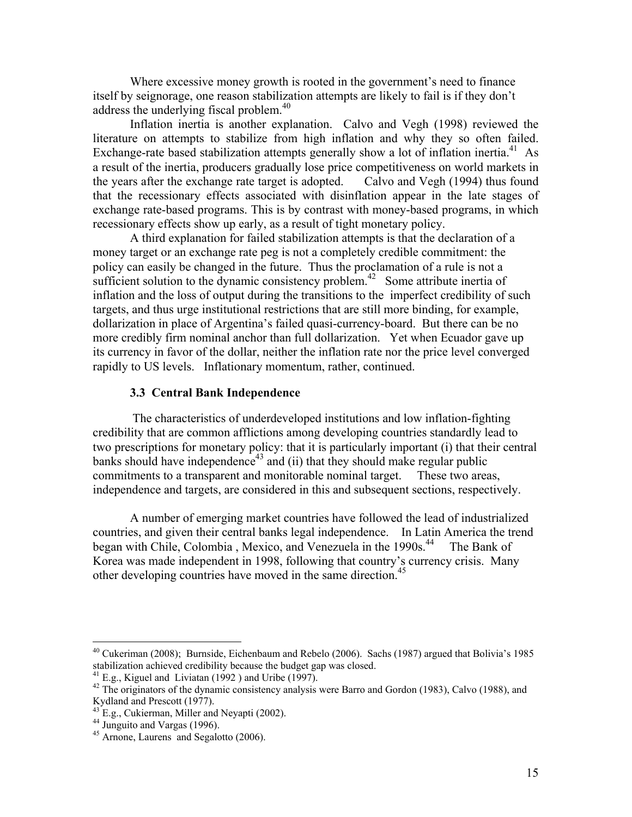Where excessive money growth is rooted in the government's need to finance itself by seignorage, one reason stabilization attempts are likely to fail is if they don't address the underlying fiscal problem.<sup>40</sup>

Inflation inertia is another explanation. Calvo and Vegh (1998) reviewed the literature on attempts to stabilize from high inflation and why they so often failed. Exchange-rate based stabilization attempts generally show a lot of inflation inertia.<sup>41</sup> As a result of the inertia, producers gradually lose price competitiveness on world markets in the years after the exchange rate target is adopted. Calvo and Vegh (1994) thus found that the recessionary effects associated with disinflation appear in the late stages of exchange rate-based programs. This is by contrast with money-based programs, in which recessionary effects show up early, as a result of tight monetary policy.

A third explanation for failed stabilization attempts is that the declaration of a money target or an exchange rate peg is not a completely credible commitment: the policy can easily be changed in the future. Thus the proclamation of a rule is not a sufficient solution to the dynamic consistency problem.<sup>42</sup> Some attribute inertia of inflation and the loss of output during the transitions to the imperfect credibility of such targets, and thus urge institutional restrictions that are still more binding, for example, dollarization in place of Argentina's failed quasi-currency-board. But there can be no more credibly firm nominal anchor than full dollarization. Yet when Ecuador gave up its currency in favor of the dollar, neither the inflation rate nor the price level converged rapidly to US levels. Inflationary momentum, rather, continued.

## **3.3 Central Bank Independence**

The characteristics of underdeveloped institutions and low inflation-fighting credibility that are common afflictions among developing countries standardly lead to two prescriptions for monetary policy: that it is particularly important (i) that their central banks should have independence<sup>43</sup> and (ii) that they should make regular public commitments to a transparent and monitorable nominal target. These two areas, independence and targets, are considered in this and subsequent sections, respectively.

 A number of emerging market countries have followed the lead of industrialized countries, and given their central banks legal independence. In Latin America the trend began with Chile, Colombia, Mexico, and Venezuela in the  $1990s<sup>44</sup>$  The Bank of Korea was made independent in 1998, following that country's currency crisis. Many other developing countries have moved in the same direction.<sup>45</sup>

<sup>&</sup>lt;sup>40</sup> Cukeriman (2008); Burnside, Eichenbaum and Rebelo (2006). Sachs (1987) argued that Bolivia's 1985 stabilization achieved credibility because the budget gap was closed. 41 E.g., Kiguel and Liviatan (1992 ) and Uribe (1997).

<sup>&</sup>lt;sup>42</sup> The originators of the dynamic consistency analysis were Barro and Gordon (1983), Calvo (1988), and Kydland and Prescott (1977).

<sup>&</sup>lt;sup>43</sup> E.g., Cukierman, Miller and Neyapti (2002).

<sup>&</sup>lt;sup>44</sup> Junguito and Vargas (1996).

<sup>45</sup> Arnone, Laurens and Segalotto (2006).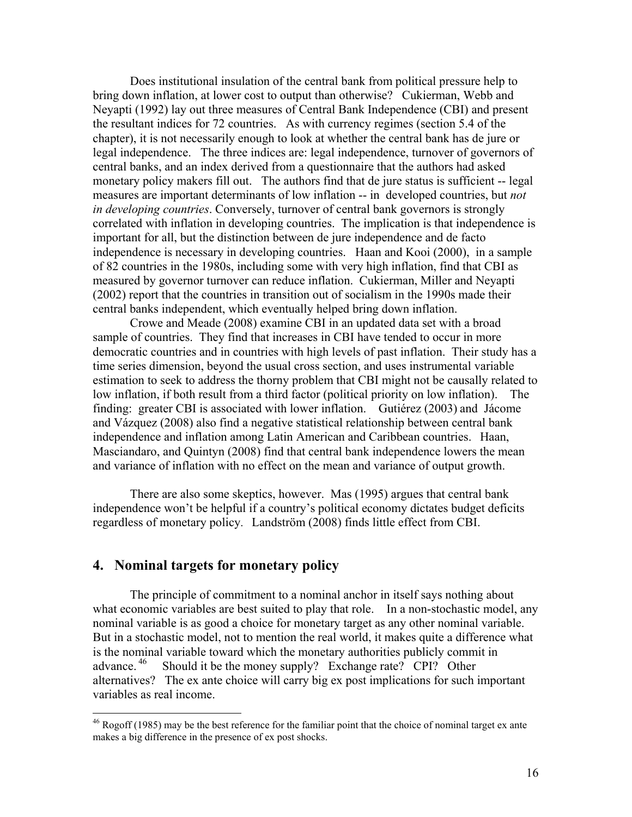Does institutional insulation of the central bank from political pressure help to bring down inflation, at lower cost to output than otherwise? Cukierman, Webb and Neyapti (1992) lay out three measures of Central Bank Independence (CBI) and present the resultant indices for 72 countries. As with currency regimes (section 5.4 of the chapter), it is not necessarily enough to look at whether the central bank has de jure or legal independence. The three indices are: legal independence, turnover of governors of central banks, and an index derived from a questionnaire that the authors had asked monetary policy makers fill out. The authors find that de jure status is sufficient -- legal measures are important determinants of low inflation -- in developed countries, but *not in developing countries*. Conversely, turnover of central bank governors is strongly correlated with inflation in developing countries. The implication is that independence is important for all, but the distinction between de jure independence and de facto independence is necessary in developing countries. Haan and Kooi (2000), in a sample of 82 countries in the 1980s, including some with very high inflation, find that CBI as measured by governor turnover can reduce inflation. Cukierman, Miller and Neyapti (2002) report that the countries in transition out of socialism in the 1990s made their central banks independent, which eventually helped bring down inflation.

Crowe and Meade (2008) examine CBI in an updated data set with a broad sample of countries. They find that increases in CBI have tended to occur in more democratic countries and in countries with high levels of past inflation. Their study has a time series dimension, beyond the usual cross section, and uses instrumental variable estimation to seek to address the thorny problem that CBI might not be causally related to low inflation, if both result from a third factor (political priority on low inflation). The finding: greater CBI is associated with lower inflation. Gutiérez (2003) and Jácome and Vázquez (2008) also find a negative statistical relationship between central bank independence and inflation among Latin American and Caribbean countries. Haan, Masciandaro, and Quintyn (2008) find that central bank independence lowers the mean and variance of inflation with no effect on the mean and variance of output growth.

There are also some skeptics, however. Mas (1995) argues that central bank independence won't be helpful if a country's political economy dictates budget deficits regardless of monetary policy. Landström (2008) finds little effect from CBI.

# **4. Nominal targets for monetary policy**

 $\overline{a}$ 

The principle of commitment to a nominal anchor in itself says nothing about what economic variables are best suited to play that role. In a non-stochastic model, any nominal variable is as good a choice for monetary target as any other nominal variable. But in a stochastic model, not to mention the real world, it makes quite a difference what is the nominal variable toward which the monetary authorities publicly commit in advance.<sup>46</sup> Should it be the money supply? Exchange rate? CPI? Other alternatives? The ex ante choice will carry big ex post implications for such important variables as real income.

 $46$  Rogoff (1985) may be the best reference for the familiar point that the choice of nominal target ex ante makes a big difference in the presence of ex post shocks.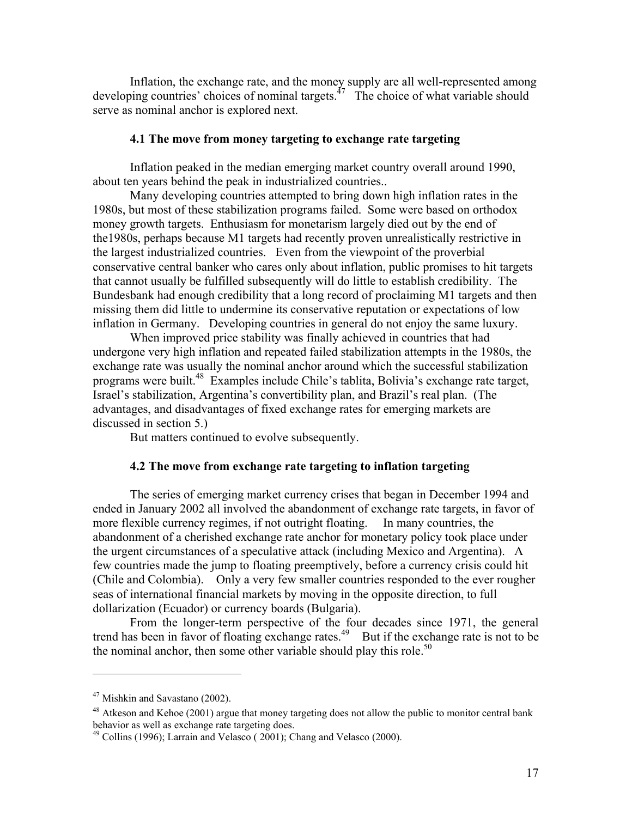Inflation, the exchange rate, and the money supply are all well-represented among developing countries' choices of nominal targets. $^{47}$  The choice of what variable should serve as nominal anchor is explored next.

# **4.1 The move from money targeting to exchange rate targeting**

Inflation peaked in the median emerging market country overall around 1990, about ten years behind the peak in industrialized countries..

Many developing countries attempted to bring down high inflation rates in the 1980s, but most of these stabilization programs failed. Some were based on orthodox money growth targets. Enthusiasm for monetarism largely died out by the end of the1980s, perhaps because M1 targets had recently proven unrealistically restrictive in the largest industrialized countries. Even from the viewpoint of the proverbial conservative central banker who cares only about inflation, public promises to hit targets that cannot usually be fulfilled subsequently will do little to establish credibility. The Bundesbank had enough credibility that a long record of proclaiming M1 targets and then missing them did little to undermine its conservative reputation or expectations of low inflation in Germany. Developing countries in general do not enjoy the same luxury.

When improved price stability was finally achieved in countries that had undergone very high inflation and repeated failed stabilization attempts in the 1980s, the exchange rate was usually the nominal anchor around which the successful stabilization programs were built.<sup>48</sup> Examples include Chile's tablita, Bolivia's exchange rate target, Israel's stabilization, Argentina's convertibility plan, and Brazil's real plan. (The advantages, and disadvantages of fixed exchange rates for emerging markets are discussed in section 5.)

But matters continued to evolve subsequently.

### **4.2 The move from exchange rate targeting to inflation targeting**

The series of emerging market currency crises that began in December 1994 and ended in January 2002 all involved the abandonment of exchange rate targets, in favor of more flexible currency regimes, if not outright floating. In many countries, the abandonment of a cherished exchange rate anchor for monetary policy took place under the urgent circumstances of a speculative attack (including Mexico and Argentina). A few countries made the jump to floating preemptively, before a currency crisis could hit (Chile and Colombia). Only a very few smaller countries responded to the ever rougher seas of international financial markets by moving in the opposite direction, to full dollarization (Ecuador) or currency boards (Bulgaria).

From the longer-term perspective of the four decades since 1971, the general trend has been in favor of floating exchange rates.<sup>49</sup> But if the exchange rate is not to be the nominal anchor, then some other variable should play this role.<sup>50</sup>

 $47$  Mishkin and Savastano (2002).

 $48$  Atkeson and Kehoe (2001) argue that money targeting does not allow the public to monitor central bank behavior as well as exchange rate targeting does.

 $49$  Collins (1996); Larrain and Velasco (2001); Chang and Velasco (2000).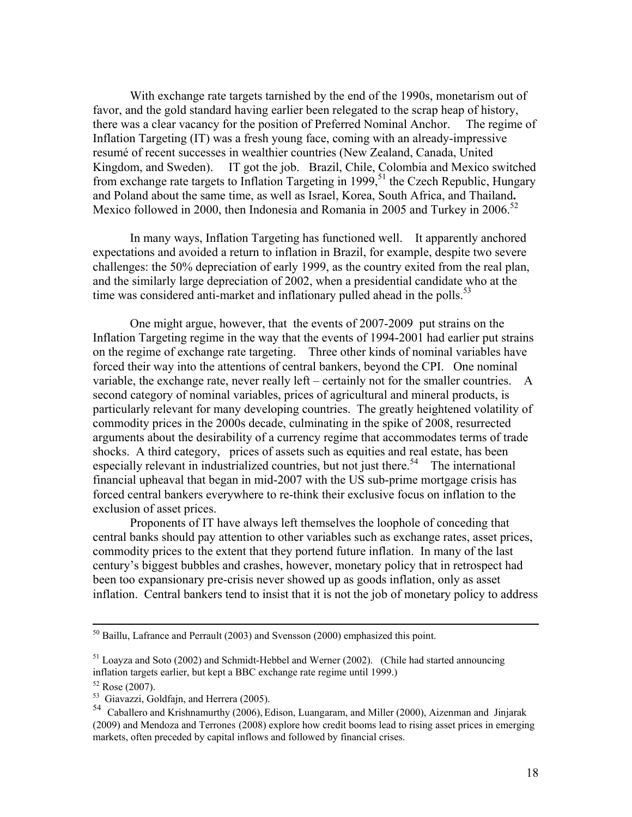With exchange rate targets tarnished by the end of the 1990s, monetarism out of favor, and the gold standard having earlier been relegated to the scrap heap of history, there was a clear vacancy for the position of Preferred Nominal Anchor. The regime of Inflation Targeting (IT) was a fresh young face, coming with an already-impressive resumé of recent successes in wealthier countries (New Zealand, Canada, United Kingdom, and Sweden). IT got the job. Brazil, Chile, Colombia and Mexico switched from exchange rate targets to Inflation Targeting in 1999,<sup>51</sup> the Czech Republic, Hungary and Poland about the same time, as well as Israel, Korea, South Africa, and Thailand**.**  Mexico followed in 2000, then Indonesia and Romania in 2005 and Turkey in 2006.<sup>52</sup>

In many ways, Inflation Targeting has functioned well. It apparently anchored expectations and avoided a return to inflation in Brazil, for example, despite two severe challenges: the 50% depreciation of early 1999, as the country exited from the real plan, and the similarly large depreciation of 2002, when a presidential candidate who at the time was considered anti-market and inflationary pulled ahead in the polls.<sup>53</sup>

One might argue, however, that the events of 2007-2009 put strains on the Inflation Targeting regime in the way that the events of 1994-2001 had earlier put strains on the regime of exchange rate targeting. Three other kinds of nominal variables have forced their way into the attentions of central bankers, beyond the CPI. One nominal variable, the exchange rate, never really left – certainly not for the smaller countries. A second category of nominal variables, prices of agricultural and mineral products, is particularly relevant for many developing countries. The greatly heightened volatility of commodity prices in the 2000s decade, culminating in the spike of 2008, resurrected arguments about the desirability of a currency regime that accommodates terms of trade shocks. A third category, prices of assets such as equities and real estate, has been especially relevant in industrialized countries, but not just there.<sup>54</sup> The international financial upheaval that began in mid-2007 with the US sub-prime mortgage crisis has forced central bankers everywhere to re-think their exclusive focus on inflation to the exclusion of asset prices.

Proponents of IT have always left themselves the loophole of conceding that central banks should pay attention to other variables such as exchange rates, asset prices, commodity prices to the extent that they portend future inflation. In many of the last century's biggest bubbles and crashes, however, monetary policy that in retrospect had been too expansionary pre-crisis never showed up as goods inflation, only as asset inflation. Central bankers tend to insist that it is not the job of monetary policy to address

 $50$  Baillu, Lafrance and Perrault (2003) and Svensson (2000) emphasized this point.

<sup>&</sup>lt;sup>51</sup> Loayza and Soto (2002) and Schmidt-Hebbel and Werner (2002). (Chile had started announcing inflation targets earlier, but kept a BBC exchange rate regime until 1999.)

 $52$  Rose (2007).

<sup>&</sup>lt;sup>53</sup> Giavazzi, Goldfajn, and Herrera (2005).

<sup>54</sup> Caballero and Krishnamurthy (2006), Edison, Luangaram, and Miller (2000), Aizenman and Jinjarak (2009) and Mendoza and Terrones (2008) explore how credit booms lead to rising asset prices in emerging markets, often preceded by capital inflows and followed by financial crises.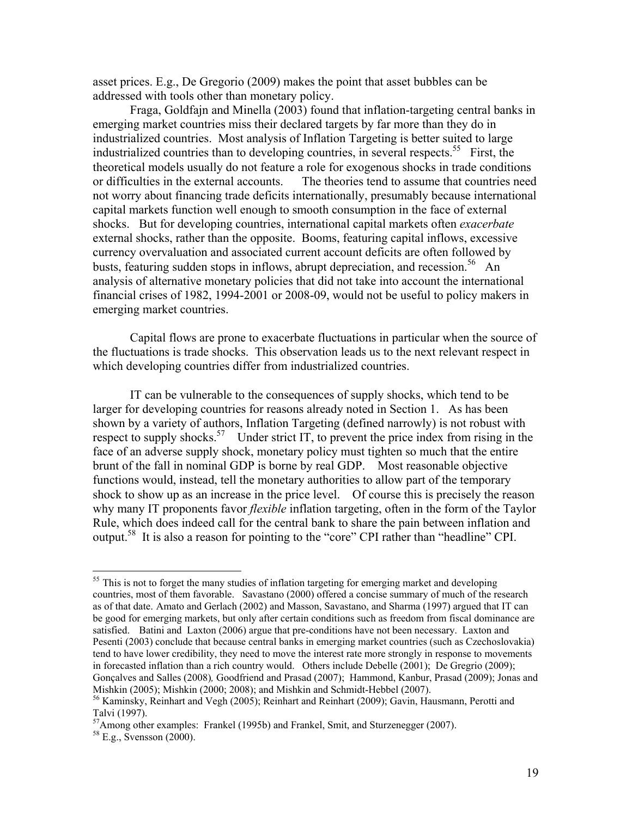asset prices. E.g., De Gregorio (2009) makes the point that asset bubbles can be addressed with tools other than monetary policy.

Fraga, Goldfajn and Minella (2003) found that inflation-targeting central banks in emerging market countries miss their declared targets by far more than they do in industrialized countries. Most analysis of Inflation Targeting is better suited to large industrialized countries than to developing countries, in several respects.<sup>55</sup> First, the theoretical models usually do not feature a role for exogenous shocks in trade conditions or difficulties in the external accounts. The theories tend to assume that countries need not worry about financing trade deficits internationally, presumably because international capital markets function well enough to smooth consumption in the face of external shocks. But for developing countries, international capital markets often *exacerbate* external shocks, rather than the opposite. Booms, featuring capital inflows, excessive currency overvaluation and associated current account deficits are often followed by busts, featuring sudden stops in inflows, abrupt depreciation, and recession.<sup>56</sup> An analysis of alternative monetary policies that did not take into account the international financial crises of 1982, 1994-2001 or 2008-09, would not be useful to policy makers in emerging market countries.

Capital flows are prone to exacerbate fluctuations in particular when the source of the fluctuations is trade shocks. This observation leads us to the next relevant respect in which developing countries differ from industrialized countries.

IT can be vulnerable to the consequences of supply shocks, which tend to be larger for developing countries for reasons already noted in Section 1. As has been shown by a variety of authors, Inflation Targeting (defined narrowly) is not robust with respect to supply shocks.<sup>57</sup> Under strict IT, to prevent the price index from rising in the face of an adverse supply shock, monetary policy must tighten so much that the entire brunt of the fall in nominal GDP is borne by real GDP. Most reasonable objective functions would, instead, tell the monetary authorities to allow part of the temporary shock to show up as an increase in the price level. Of course this is precisely the reason why many IT proponents favor *flexible* inflation targeting, often in the form of the Taylor Rule, which does indeed call for the central bank to share the pain between inflation and output.<sup>58</sup> It is also a reason for pointing to the "core" CPI rather than "headline" CPI.

1

<sup>&</sup>lt;sup>55</sup> This is not to forget the many studies of inflation targeting for emerging market and developing countries, most of them favorable. Savastano (2000) offered a concise summary of much of the research as of that date. Amato and Gerlach (2002) and Masson, Savastano, and Sharma (1997) argued that IT can be good for emerging markets, but only after certain conditions such as freedom from fiscal dominance are satisfied. Batini and Laxton (2006) argue that pre-conditions have not been necessary. Laxton and Pesenti (2003) conclude that because central banks in emerging market countries (such as Czechoslovakia) tend to have lower credibility, they need to move the interest rate more strongly in response to movements in forecasted inflation than a rich country would. Others include Debelle (2001); De Gregrio (2009); Gonçalves and Salles (2008)*,* Goodfriend and Prasad (2007); Hammond, Kanbur, Prasad (2009); Jonas and Mishkin (2005); Mishkin (2000; 2008); and Mishkin and Schmidt-Hebbel (2007).<br><sup>56</sup> Kaminsky, Reinhart and Vegh (2005); Reinhart and Reinhart (2009); Gavin, Hausmann, Perotti and

Talvi (1997).

<sup>57</sup>Among other examples: Frankel (1995b) and Frankel, Smit, and Sturzenegger (2007).

<sup>&</sup>lt;sup>58</sup> E.g., Svensson (2000).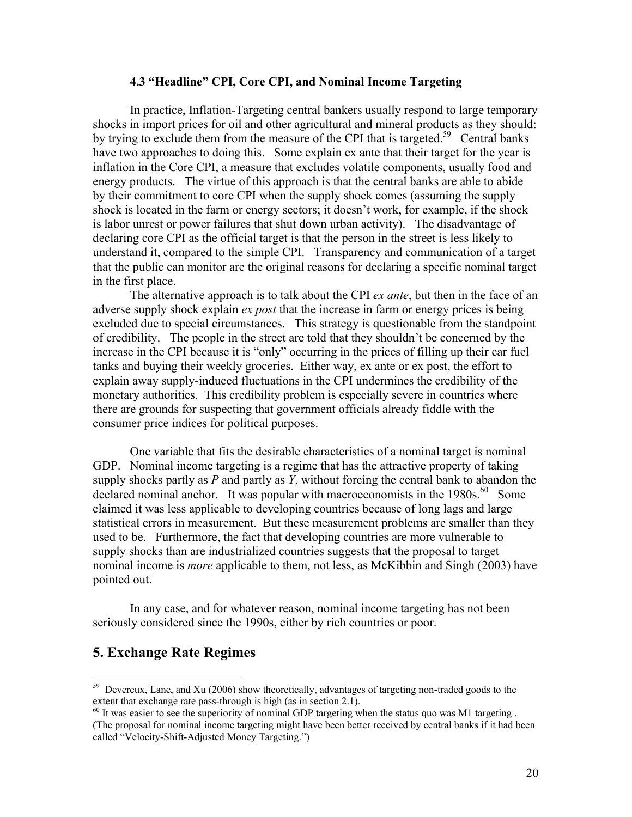## **4.3 "Headline" CPI, Core CPI, and Nominal Income Targeting**

In practice, Inflation-Targeting central bankers usually respond to large temporary shocks in import prices for oil and other agricultural and mineral products as they should: by trying to exclude them from the measure of the CPI that is targeted.<sup>59</sup> Central banks have two approaches to doing this. Some explain ex ante that their target for the year is inflation in the Core CPI, a measure that excludes volatile components, usually food and energy products. The virtue of this approach is that the central banks are able to abide by their commitment to core CPI when the supply shock comes (assuming the supply shock is located in the farm or energy sectors; it doesn't work, for example, if the shock is labor unrest or power failures that shut down urban activity). The disadvantage of declaring core CPI as the official target is that the person in the street is less likely to understand it, compared to the simple CPI. Transparency and communication of a target that the public can monitor are the original reasons for declaring a specific nominal target in the first place.

The alternative approach is to talk about the CPI *ex ante*, but then in the face of an adverse supply shock explain *ex post* that the increase in farm or energy prices is being excluded due to special circumstances. This strategy is questionable from the standpoint of credibility. The people in the street are told that they shouldn't be concerned by the increase in the CPI because it is "only" occurring in the prices of filling up their car fuel tanks and buying their weekly groceries. Either way, ex ante or ex post, the effort to explain away supply-induced fluctuations in the CPI undermines the credibility of the monetary authorities. This credibility problem is especially severe in countries where there are grounds for suspecting that government officials already fiddle with the consumer price indices for political purposes.

One variable that fits the desirable characteristics of a nominal target is nominal GDP. Nominal income targeting is a regime that has the attractive property of taking supply shocks partly as *P* and partly as *Y*, without forcing the central bank to abandon the declared nominal anchor. It was popular with macroeconomists in the  $1980s$ .<sup>60</sup> Some claimed it was less applicable to developing countries because of long lags and large statistical errors in measurement. But these measurement problems are smaller than they used to be. Furthermore, the fact that developing countries are more vulnerable to supply shocks than are industrialized countries suggests that the proposal to target nominal income is *more* applicable to them, not less, as McKibbin and Singh (2003) have pointed out.

In any case, and for whatever reason, nominal income targeting has not been seriously considered since the 1990s, either by rich countries or poor.

# **5. Exchange Rate Regimes**

 $59$  Devereux, Lane, and Xu (2006) show theoretically, advantages of targeting non-traded goods to the extent that exchange rate pass-through is high (as in section 2.1).

<sup>&</sup>lt;sup>60</sup> It was easier to see the superiority of nominal GDP targeting when the status quo was M1 targeting . (The proposal for nominal income targeting might have been better received by central banks if it had been called "Velocity-Shift-Adjusted Money Targeting.")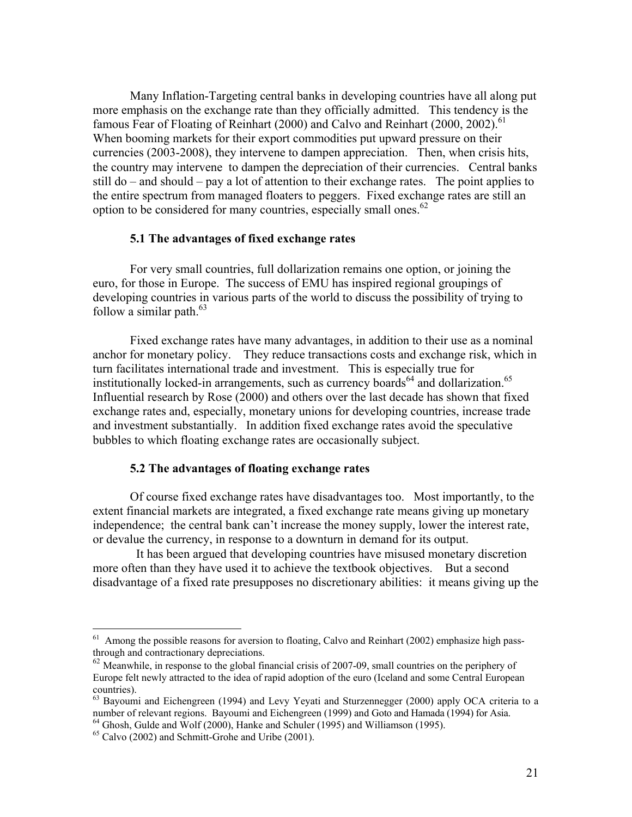Many Inflation-Targeting central banks in developing countries have all along put more emphasis on the exchange rate than they officially admitted. This tendency is the famous Fear of Floating of Reinhart (2000) and Calvo and Reinhart (2000, 2002).<sup>61</sup> When booming markets for their export commodities put upward pressure on their currencies (2003-2008), they intervene to dampen appreciation. Then, when crisis hits, the country may intervene to dampen the depreciation of their currencies. Central banks still do – and should – pay a lot of attention to their exchange rates. The point applies to the entire spectrum from managed floaters to peggers. Fixed exchange rates are still an option to be considered for many countries, especially small ones.<sup>62</sup>

## **5.1 The advantages of fixed exchange rates**

For very small countries, full dollarization remains one option, or joining the euro, for those in Europe. The success of EMU has inspired regional groupings of developing countries in various parts of the world to discuss the possibility of trying to follow a similar path. $^{63}$ 

 Fixed exchange rates have many advantages, in addition to their use as a nominal anchor for monetary policy. They reduce transactions costs and exchange risk, which in turn facilitates international trade and investment. This is especially true for institutionally locked-in arrangements, such as currency boards<sup>64</sup> and dollarization.<sup>65</sup> Influential research by Rose (2000) and others over the last decade has shown that fixed exchange rates and, especially, monetary unions for developing countries, increase trade and investment substantially. In addition fixed exchange rates avoid the speculative bubbles to which floating exchange rates are occasionally subject.

### **5.2 The advantages of floating exchange rates**

Of course fixed exchange rates have disadvantages too. Most importantly, to the extent financial markets are integrated, a fixed exchange rate means giving up monetary independence; the central bank can't increase the money supply, lower the interest rate, or devalue the currency, in response to a downturn in demand for its output.

 It has been argued that developing countries have misused monetary discretion more often than they have used it to achieve the textbook objectives. But a second disadvantage of a fixed rate presupposes no discretionary abilities: it means giving up the

1

 $61$  Among the possible reasons for aversion to floating, Calvo and Reinhart (2002) emphasize high passthrough and contractionary depreciations.

<sup>&</sup>lt;sup>62</sup> Meanwhile, in response to the global financial crisis of 2007-09, small countries on the periphery of Europe felt newly attracted to the idea of rapid adoption of the euro (Iceland and some Central European countries).

 $63$  Bayoumi and Eichengreen (1994) and Levy Yeyati and Sturzennegger (2000) apply OCA criteria to a number of relevant regions. Bayoumi and Eichengreen (1999) and Goto and Hamada (1994) for Asia. <sup>64</sup> Ghosh, Gulde and Wolf (2000), Hanke and Schuler (1995) and Williamson (1995).

 $65$  Calvo (2002) and Schmitt-Grohe and Uribe (2001).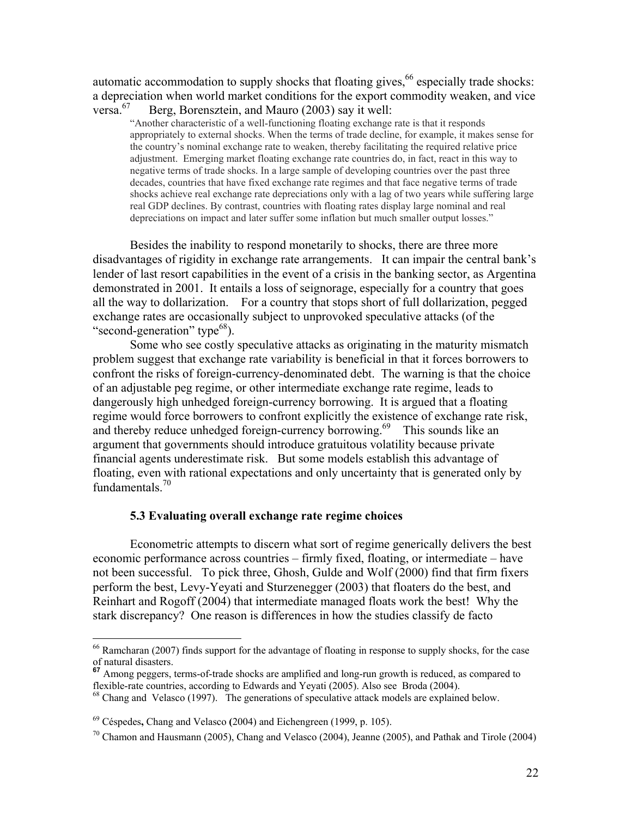automatic accommodation to supply shocks that floating gives,<sup>66</sup> especially trade shocks: a depreciation when world market conditions for the export commodity weaken, and vice versa.<sup>67</sup> Berg, Borensztein, and Mauro  $(2003)$  say it well: Berg, Borensztein, and Mauro (2003) say it well:

"Another characteristic of a well-functioning floating exchange rate is that it responds appropriately to external shocks. When the terms of trade decline, for example, it makes sense for the country's nominal exchange rate to weaken, thereby facilitating the required relative price adjustment. Emerging market floating exchange rate countries do, in fact, react in this way to negative terms of trade shocks. In a large sample of developing countries over the past three decades, countries that have fixed exchange rate regimes and that face negative terms of trade shocks achieve real exchange rate depreciations only with a lag of two years while suffering large real GDP declines. By contrast, countries with floating rates display large nominal and real depreciations on impact and later suffer some inflation but much smaller output losses."

Besides the inability to respond monetarily to shocks, there are three more disadvantages of rigidity in exchange rate arrangements. It can impair the central bank's lender of last resort capabilities in the event of a crisis in the banking sector, as Argentina demonstrated in 2001. It entails a loss of seignorage, especially for a country that goes all the way to dollarization. For a country that stops short of full dollarization, pegged exchange rates are occasionally subject to unprovoked speculative attacks (of the "second-generation" type $^{68}$ ).

Some who see costly speculative attacks as originating in the maturity mismatch problem suggest that exchange rate variability is beneficial in that it forces borrowers to confront the risks of foreign-currency-denominated debt. The warning is that the choice of an adjustable peg regime, or other intermediate exchange rate regime, leads to dangerously high unhedged foreign-currency borrowing. It is argued that a floating regime would force borrowers to confront explicitly the existence of exchange rate risk, and thereby reduce unhedged foreign-currency borrowing.<sup>69</sup> This sounds like an argument that governments should introduce gratuitous volatility because private financial agents underestimate risk. But some models establish this advantage of floating, even with rational expectations and only uncertainty that is generated only by fundamentals $^{70}$ 

### **5.3 Evaluating overall exchange rate regime choices**

 Econometric attempts to discern what sort of regime generically delivers the best economic performance across countries – firmly fixed, floating, or intermediate – have not been successful. To pick three, Ghosh, Gulde and Wolf (2000) find that firm fixers perform the best, Levy-Yeyati and Sturzenegger (2003) that floaters do the best, and Reinhart and Rogoff (2004) that intermediate managed floats work the best! Why the stark discrepancy? One reason is differences in how the studies classify de facto

<sup>&</sup>lt;sup>66</sup> Ramcharan (2007) finds support for the advantage of floating in response to supply shocks, for the case of natural disasters.

**<sup>67</sup>** Among peggers, terms-of-trade shocks are amplified and long-run growth is reduced, as compared to flexible-rate countries, according to Edwards and Yeyati (2005). Also see Broda (2004). 68 Chang and Velasco (1997). The generations of speculative attack models are explained below.

<sup>&</sup>lt;sup>69</sup> Céspedes, Chang and Velasco (2004) and Eichengreen (1999, p. 105).<br><sup>70</sup> Chamon and Hausmann (2005), Chang and Velasco (2004), Jeanne (2005), and Pathak and Tirole (2004)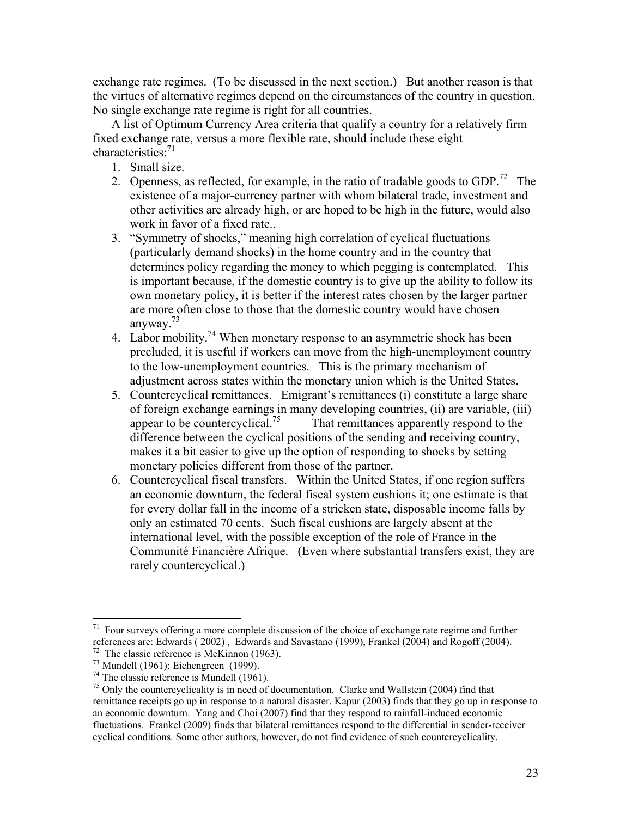exchange rate regimes. (To be discussed in the next section.) But another reason is that the virtues of alternative regimes depend on the circumstances of the country in question. No single exchange rate regime is right for all countries.

A list of Optimum Currency Area criteria that qualify a country for a relatively firm fixed exchange rate, versus a more flexible rate, should include these eight characteristics:<sup>71</sup>

- 1. Small size.
- 2. Openness, as reflected, for example, in the ratio of tradable goods to GDP.<sup>72</sup> The existence of a major-currency partner with whom bilateral trade, investment and other activities are already high, or are hoped to be high in the future, would also work in favor of a fixed rate..
- 3. "Symmetry of shocks," meaning high correlation of cyclical fluctuations (particularly demand shocks) in the home country and in the country that determines policy regarding the money to which pegging is contemplated. This is important because, if the domestic country is to give up the ability to follow its own monetary policy, it is better if the interest rates chosen by the larger partner are more often close to those that the domestic country would have chosen anyway.73
- 4. Labor mobility.<sup>74</sup> When monetary response to an asymmetric shock has been precluded, it is useful if workers can move from the high-unemployment country to the low-unemployment countries. This is the primary mechanism of adjustment across states within the monetary union which is the United States.
- 5. Countercyclical remittances. Emigrant's remittances (i) constitute a large share of foreign exchange earnings in many developing countries, (ii) are variable, (iii) appear to be countercyclical.<sup>75</sup> That remittances apparently respond to the difference between the cyclical positions of the sending and receiving country, makes it a bit easier to give up the option of responding to shocks by setting monetary policies different from those of the partner.
- 6. Countercyclical fiscal transfers. Within the United States, if one region suffers an economic downturn, the federal fiscal system cushions it; one estimate is that for every dollar fall in the income of a stricken state, disposable income falls by only an estimated 70 cents. Such fiscal cushions are largely absent at the international level, with the possible exception of the role of France in the Communité Financière Afrique. (Even where substantial transfers exist, they are rarely countercyclical.)

 $\overline{a}$  $71$  Four surveys offering a more complete discussion of the choice of exchange rate regime and further references are: Edwards ( 2002), Edwards and Savastano (1999), Frankel (2004) and Rogoff (2004).<br><sup>72</sup> The classic reference is McKinnon (1963).

 $73$  Mundell (1961); Eichengreen (1999).

<sup>&</sup>lt;sup>74</sup> The classic reference is Mundell (1961).

 $75$  Only the countercyclicality is in need of documentation. Clarke and Wallstein (2004) find that remittance receipts go up in response to a natural disaster. Kapur (2003) finds that they go up in response to an economic downturn. Yang and Choi (2007) find that they respond to rainfall-induced economic fluctuations. Frankel (2009) finds that bilateral remittances respond to the differential in sender-receiver cyclical conditions. Some other authors, however, do not find evidence of such countercyclicality.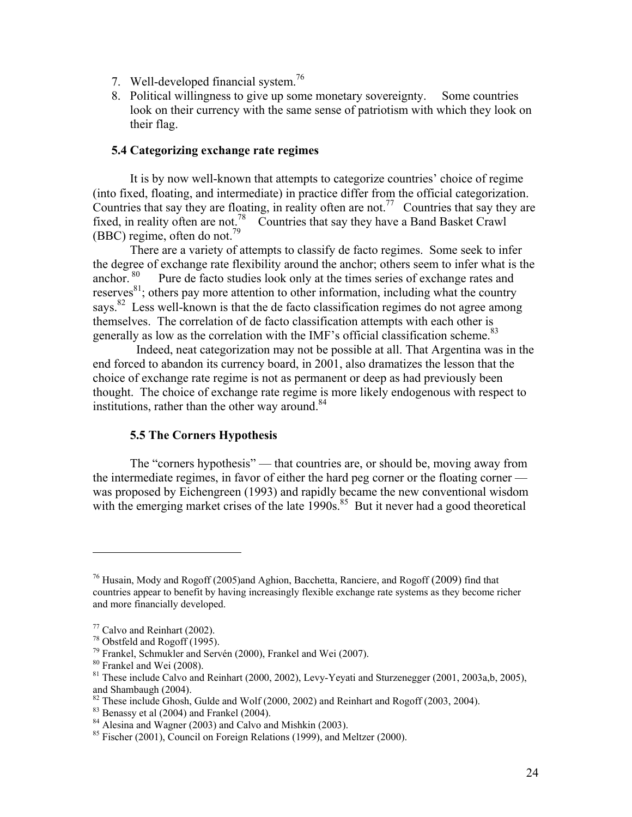- 7. Well-developed financial system.76
- 8. Political willingness to give up some monetary sovereignty. Some countries look on their currency with the same sense of patriotism with which they look on their flag.

## **5.4 Categorizing exchange rate regimes**

It is by now well-known that attempts to categorize countries' choice of regime (into fixed, floating, and intermediate) in practice differ from the official categorization. Countries that say they are floating, in reality often are not.<sup>77</sup> Countries that say they are fixed, in reality often are not.78 Countries that say they have a Band Basket Crawl  $(BBC)$  regime, often do not.<sup>79</sup>

There are a variety of attempts to classify de facto regimes. Some seek to infer the degree of exchange rate flexibility around the anchor; others seem to infer what is the anchor.  $\frac{80}{\text{N}}$  Pure de facto studies look only at the times series of exchange rates and Pure de facto studies look only at the times series of exchange rates and reserves<sup>81</sup>; others pay more attention to other information, including what the country says.<sup>82</sup> Less well-known is that the de facto classification regimes do not agree among themselves. The correlation of de facto classification attempts with each other is generally as low as the correlation with the IMF's official classification scheme.<sup>83</sup>

 Indeed, neat categorization may not be possible at all. That Argentina was in the end forced to abandon its currency board, in 2001, also dramatizes the lesson that the choice of exchange rate regime is not as permanent or deep as had previously been thought. The choice of exchange rate regime is more likely endogenous with respect to institutions, rather than the other way around. $84$ 

## **5.5 The Corners Hypothesis**

The "corners hypothesis" — that countries are, or should be, moving away from the intermediate regimes, in favor of either the hard peg corner or the floating corner was proposed by Eichengreen (1993) and rapidly became the new conventional wisdom with the emerging market crises of the late  $1990s$ .<sup>85</sup> But it never had a good theoretical

 $76$  Husain, Mody and Rogoff (2005)and Aghion, Bacchetta, Ranciere, and Rogoff (2009) find that countries appear to benefit by having increasingly flexible exchange rate systems as they become richer and more financially developed.

<sup>77</sup> Calvo and Reinhart (2002).

 $78$  Obstfeld and Rogoff (1995).

<sup>79</sup> Frankel, Schmukler and Servén (2000), Frankel and Wei (2007).

<sup>80</sup> Frankel and Wei (2008).

<sup>&</sup>lt;sup>81</sup> These include Calvo and Reinhart (2000, 2002), Levy-Yeyati and Sturzenegger (2001, 2003a,b, 2005), and Shambaugh (2004).

 $82$  These include Ghosh, Gulde and Wolf (2000, 2002) and Reinhart and Rogoff (2003, 2004).

 $83$  Benassy et al (2004) and Frankel (2004).

<sup>84</sup> Alesina and Wagner (2003) and Calvo and Mishkin (2003).

<sup>&</sup>lt;sup>85</sup> Fischer (2001), Council on Foreign Relations (1999), and Meltzer (2000).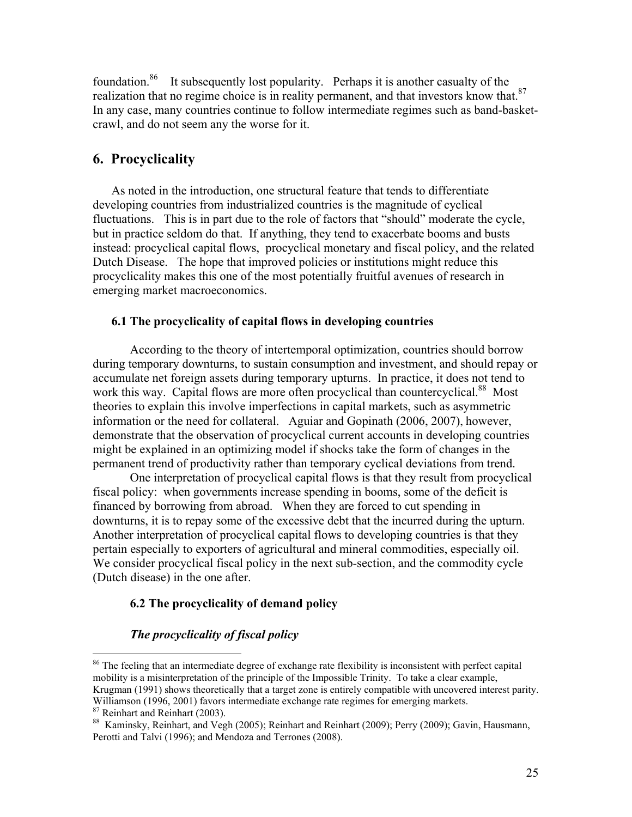foundation.86 It subsequently lost popularity. Perhaps it is another casualty of the realization that no regime choice is in reality permanent, and that investors know that.<sup>87</sup> In any case, many countries continue to follow intermediate regimes such as band-basketcrawl, and do not seem any the worse for it.

# **6. Procyclicality**

As noted in the introduction, one structural feature that tends to differentiate developing countries from industrialized countries is the magnitude of cyclical fluctuations. This is in part due to the role of factors that "should" moderate the cycle, but in practice seldom do that. If anything, they tend to exacerbate booms and busts instead: procyclical capital flows, procyclical monetary and fiscal policy, and the related Dutch Disease. The hope that improved policies or institutions might reduce this procyclicality makes this one of the most potentially fruitful avenues of research in emerging market macroeconomics.

## **6.1 The procyclicality of capital flows in developing countries**

 According to the theory of intertemporal optimization, countries should borrow during temporary downturns, to sustain consumption and investment, and should repay or accumulate net foreign assets during temporary upturns. In practice, it does not tend to work this way. Capital flows are more often procyclical than countercyclical.<sup>88</sup> Most theories to explain this involve imperfections in capital markets, such as asymmetric information or the need for collateral. Aguiar and Gopinath (2006, 2007), however, demonstrate that the observation of procyclical current accounts in developing countries might be explained in an optimizing model if shocks take the form of changes in the permanent trend of productivity rather than temporary cyclical deviations from trend.

One interpretation of procyclical capital flows is that they result from procyclical fiscal policy: when governments increase spending in booms, some of the deficit is financed by borrowing from abroad. When they are forced to cut spending in downturns, it is to repay some of the excessive debt that the incurred during the upturn. Another interpretation of procyclical capital flows to developing countries is that they pertain especially to exporters of agricultural and mineral commodities, especially oil. We consider procyclical fiscal policy in the next sub-section, and the commodity cycle (Dutch disease) in the one after.

# **6.2 The procyclicality of demand policy**

## *The procyclicality of fiscal policy*

<sup>&</sup>lt;sup>86</sup> The feeling that an intermediate degree of exchange rate flexibility is inconsistent with perfect capital mobility is a misinterpretation of the principle of the Impossible Trinity. To take a clear example, Krugman (1991) shows theoretically that a target zone is entirely compatible with uncovered interest parity. Williamson (1996, 2001) favors intermediate exchange rate regimes for emerging markets.

<sup>87</sup> Reinhart and Reinhart (2003).

<sup>88</sup> Kaminsky, Reinhart, and Vegh (2005); Reinhart and Reinhart (2009); Perry (2009); Gavin, Hausmann, Perotti and Talvi (1996); and Mendoza and Terrones (2008).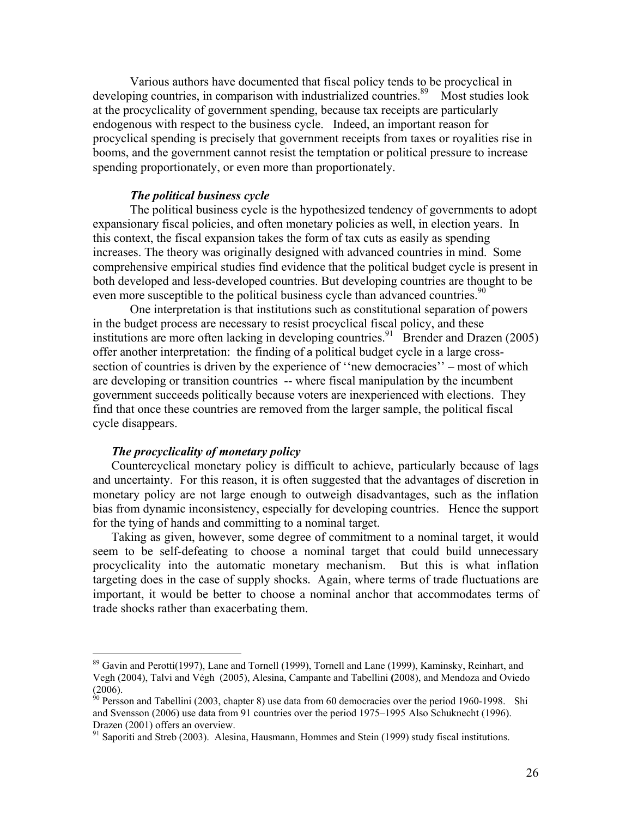Various authors have documented that fiscal policy tends to be procyclical in developing countries, in comparison with industrialized countries.<sup>89</sup> Most studies look at the procyclicality of government spending, because tax receipts are particularly endogenous with respect to the business cycle. Indeed, an important reason for procyclical spending is precisely that government receipts from taxes or royalities rise in booms, and the government cannot resist the temptation or political pressure to increase spending proportionately, or even more than proportionately.

#### *The political business cycle*

The political business cycle is the hypothesized tendency of governments to adopt expansionary fiscal policies, and often monetary policies as well, in election years. In this context, the fiscal expansion takes the form of tax cuts as easily as spending increases. The theory was originally designed with advanced countries in mind. Some comprehensive empirical studies find evidence that the political budget cycle is present in both developed and less-developed countries. But developing countries are thought to be even more susceptible to the political business cycle than advanced countries.<sup>90</sup>

One interpretation is that institutions such as constitutional separation of powers in the budget process are necessary to resist procyclical fiscal policy, and these institutions are more often lacking in developing countries.<sup>91</sup> Brender and Drazen (2005) offer another interpretation: the finding of a political budget cycle in a large crosssection of countries is driven by the experience of ''new democracies'' – most of which are developing or transition countries -- where fiscal manipulation by the incumbent government succeeds politically because voters are inexperienced with elections. They find that once these countries are removed from the larger sample, the political fiscal cycle disappears.

### *The procyclicality of monetary policy*

 $\overline{a}$ 

Countercyclical monetary policy is difficult to achieve, particularly because of lags and uncertainty. For this reason, it is often suggested that the advantages of discretion in monetary policy are not large enough to outweigh disadvantages, such as the inflation bias from dynamic inconsistency, especially for developing countries. Hence the support for the tying of hands and committing to a nominal target.

Taking as given, however, some degree of commitment to a nominal target, it would seem to be self-defeating to choose a nominal target that could build unnecessary procyclicality into the automatic monetary mechanism. But this is what inflation targeting does in the case of supply shocks. Again, where terms of trade fluctuations are important, it would be better to choose a nominal anchor that accommodates terms of trade shocks rather than exacerbating them.

<sup>&</sup>lt;sup>89</sup> Gavin and Perotti(1997), Lane and Tornell (1999), Tornell and Lane (1999), Kaminsky, Reinhart, and Vegh (2004), Talvi and Végh (2005), Alesina, Campante and Tabellini **(**2008), and Mendoza and Oviedo (2006).

 $90$  Persson and Tabellini (2003, chapter 8) use data from 60 democracies over the period 1960-1998. Shi and Svensson (2006) use data from 91 countries over the period 1975–1995 Also Schuknecht (1996). Drazen (2001) offers an overview.

 $91$  Saporiti and Streb (2003). Alesina, Hausmann, Hommes and Stein (1999) study fiscal institutions.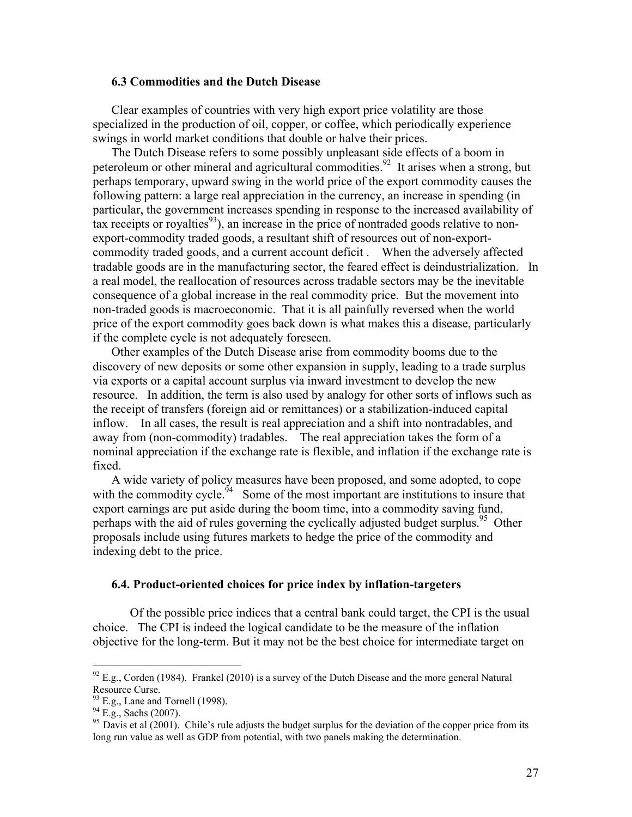### **6.3 Commodities and the Dutch Disease**

Clear examples of countries with very high export price volatility are those specialized in the production of oil, copper, or coffee, which periodically experience swings in world market conditions that double or halve their prices.

The Dutch Disease refers to some possibly unpleasant side effects of a boom in peteroleum or other mineral and agricultural commodities.<sup>92</sup> It arises when a strong, but perhaps temporary, upward swing in the world price of the export commodity causes the following pattern: a large real appreciation in the currency, an increase in spending (in particular, the government increases spending in response to the increased availability of  $\frac{1}{1}$  tax receipts or royalties<sup>93</sup>), an increase in the price of nontraded goods relative to nonexport-commodity traded goods, a resultant shift of resources out of non-exportcommodity traded goods, and a current account deficit . When the adversely affected tradable goods are in the manufacturing sector, the feared effect is deindustrialization. In a real model, the reallocation of resources across tradable sectors may be the inevitable consequence of a global increase in the real commodity price. But the movement into non-traded goods is macroeconomic. That it is all painfully reversed when the world price of the export commodity goes back down is what makes this a disease, particularly if the complete cycle is not adequately foreseen.

Other examples of the Dutch Disease arise from commodity booms due to the discovery of new deposits or some other expansion in supply, leading to a trade surplus via exports or a capital account surplus via inward investment to develop the new resource. In addition, the term is also used by analogy for other sorts of inflows such as the receipt of transfers (foreign aid or remittances) or a stabilization-induced capital inflow. In all cases, the result is real appreciation and a shift into nontradables, and away from (non-commodity) tradables. The real appreciation takes the form of a nominal appreciation if the exchange rate is flexible, and inflation if the exchange rate is fixed.

A wide variety of policy measures have been proposed, and some adopted, to cope with the commodity cycle.<sup>94</sup> Some of the most important are institutions to insure that export earnings are put aside during the boom time, into a commodity saving fund, perhaps with the aid of rules governing the cyclically adjusted budget surplus.<sup>95</sup> Other proposals include using futures markets to hedge the price of the commodity and indexing debt to the price.

## **6.4. Product-oriented choices for price index by inflation-targeters**

 Of the possible price indices that a central bank could target, the CPI is the usual choice. The CPI is indeed the logical candidate to be the measure of the inflation objective for the long-term. But it may not be the best choice for intermediate target on

 $92$  E.g., Corden (1984). Frankel (2010) is a survey of the Dutch Disease and the more general Natural Resource Curse.

 $93$  E.g., Lane and Tornell (1998).

 $^{94}$  E.g., Sachs (2007).

 $95$  Davis et al (2001). Chile's rule adjusts the budget surplus for the deviation of the copper price from its long run value as well as GDP from potential, with two panels making the determination.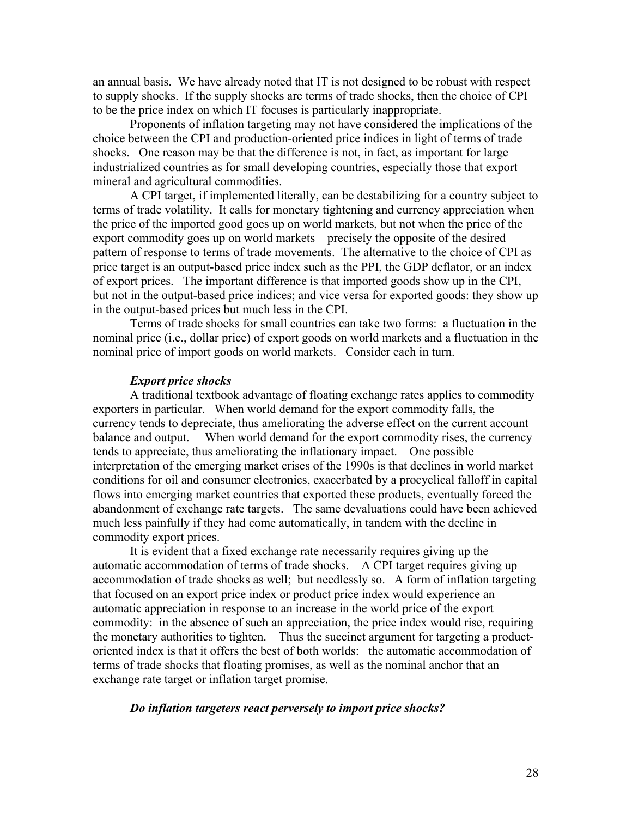an annual basis. We have already noted that IT is not designed to be robust with respect to supply shocks. If the supply shocks are terms of trade shocks, then the choice of CPI to be the price index on which IT focuses is particularly inappropriate.

 Proponents of inflation targeting may not have considered the implications of the choice between the CPI and production-oriented price indices in light of terms of trade shocks. One reason may be that the difference is not, in fact, as important for large industrialized countries as for small developing countries, especially those that export mineral and agricultural commodities.

A CPI target, if implemented literally, can be destabilizing for a country subject to terms of trade volatility. It calls for monetary tightening and currency appreciation when the price of the imported good goes up on world markets, but not when the price of the export commodity goes up on world markets – precisely the opposite of the desired pattern of response to terms of trade movements. The alternative to the choice of CPI as price target is an output-based price index such as the PPI, the GDP deflator, or an index of export prices. The important difference is that imported goods show up in the CPI, but not in the output-based price indices; and vice versa for exported goods: they show up in the output-based prices but much less in the CPI.

 Terms of trade shocks for small countries can take two forms: a fluctuation in the nominal price (i.e., dollar price) of export goods on world markets and a fluctuation in the nominal price of import goods on world markets. Consider each in turn.

### *Export price shocks*

 A traditional textbook advantage of floating exchange rates applies to commodity exporters in particular. When world demand for the export commodity falls, the currency tends to depreciate, thus ameliorating the adverse effect on the current account balance and output. When world demand for the export commodity rises, the currency tends to appreciate, thus ameliorating the inflationary impact. One possible interpretation of the emerging market crises of the 1990s is that declines in world market conditions for oil and consumer electronics, exacerbated by a procyclical falloff in capital flows into emerging market countries that exported these products, eventually forced the abandonment of exchange rate targets. The same devaluations could have been achieved much less painfully if they had come automatically, in tandem with the decline in commodity export prices.

 It is evident that a fixed exchange rate necessarily requires giving up the automatic accommodation of terms of trade shocks. A CPI target requires giving up accommodation of trade shocks as well; but needlessly so. A form of inflation targeting that focused on an export price index or product price index would experience an automatic appreciation in response to an increase in the world price of the export commodity: in the absence of such an appreciation, the price index would rise, requiring the monetary authorities to tighten. Thus the succinct argument for targeting a productoriented index is that it offers the best of both worlds: the automatic accommodation of terms of trade shocks that floating promises, as well as the nominal anchor that an exchange rate target or inflation target promise.

## *Do inflation targeters react perversely to import price shocks?*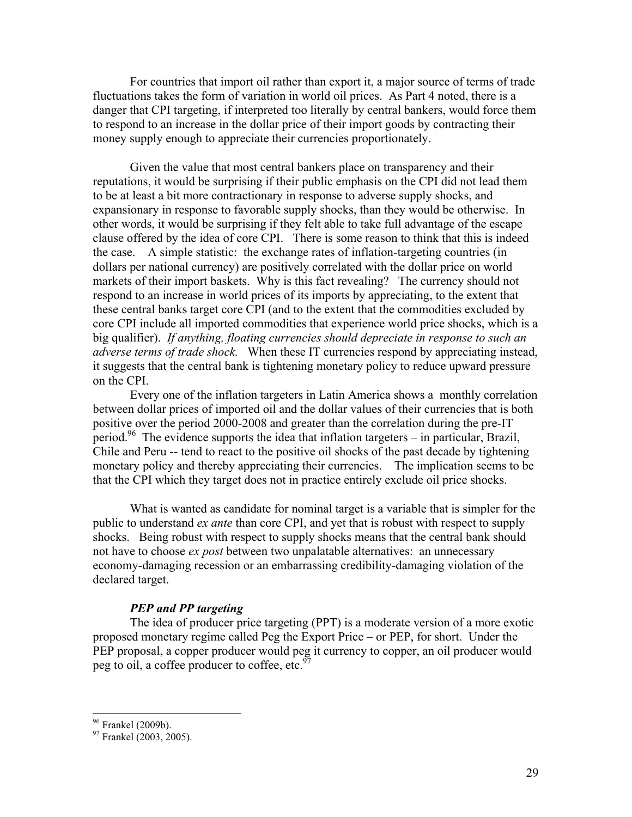For countries that import oil rather than export it, a major source of terms of trade fluctuations takes the form of variation in world oil prices. As Part 4 noted, there is a danger that CPI targeting, if interpreted too literally by central bankers, would force them to respond to an increase in the dollar price of their import goods by contracting their money supply enough to appreciate their currencies proportionately.

Given the value that most central bankers place on transparency and their reputations, it would be surprising if their public emphasis on the CPI did not lead them to be at least a bit more contractionary in response to adverse supply shocks, and expansionary in response to favorable supply shocks, than they would be otherwise. In other words, it would be surprising if they felt able to take full advantage of the escape clause offered by the idea of core CPI. There is some reason to think that this is indeed the case. A simple statistic: the exchange rates of inflation-targeting countries (in dollars per national currency) are positively correlated with the dollar price on world markets of their import baskets. Why is this fact revealing? The currency should not respond to an increase in world prices of its imports by appreciating, to the extent that these central banks target core CPI (and to the extent that the commodities excluded by core CPI include all imported commodities that experience world price shocks, which is a big qualifier). *If anything, floating currencies should depreciate in response to such an adverse terms of trade shock.* When these IT currencies respond by appreciating instead, it suggests that the central bank is tightening monetary policy to reduce upward pressure on the CPI.

Every one of the inflation targeters in Latin America shows a monthly correlation between dollar prices of imported oil and the dollar values of their currencies that is both positive over the period 2000-2008 and greater than the correlation during the pre-IT period.<sup>96</sup> The evidence supports the idea that inflation targeters – in particular, Brazil, Chile and Peru -- tend to react to the positive oil shocks of the past decade by tightening monetary policy and thereby appreciating their currencies. The implication seems to be that the CPI which they target does not in practice entirely exclude oil price shocks.

What is wanted as candidate for nominal target is a variable that is simpler for the public to understand *ex ante* than core CPI, and yet that is robust with respect to supply shocks. Being robust with respect to supply shocks means that the central bank should not have to choose *ex post* between two unpalatable alternatives: an unnecessary economy-damaging recession or an embarrassing credibility-damaging violation of the declared target.

## *PEP and PP targeting*

The idea of producer price targeting (PPT) is a moderate version of a more exotic proposed monetary regime called Peg the Export Price – or PEP, for short. Under the PEP proposal, a copper producer would peg it currency to copper, an oil producer would peg to oil, a coffee producer to coffee, etc.<sup>97</sup>

1

<sup>&</sup>lt;sup>96</sup> Frankel (2009b).

 $97$  Frankel (2003, 2005).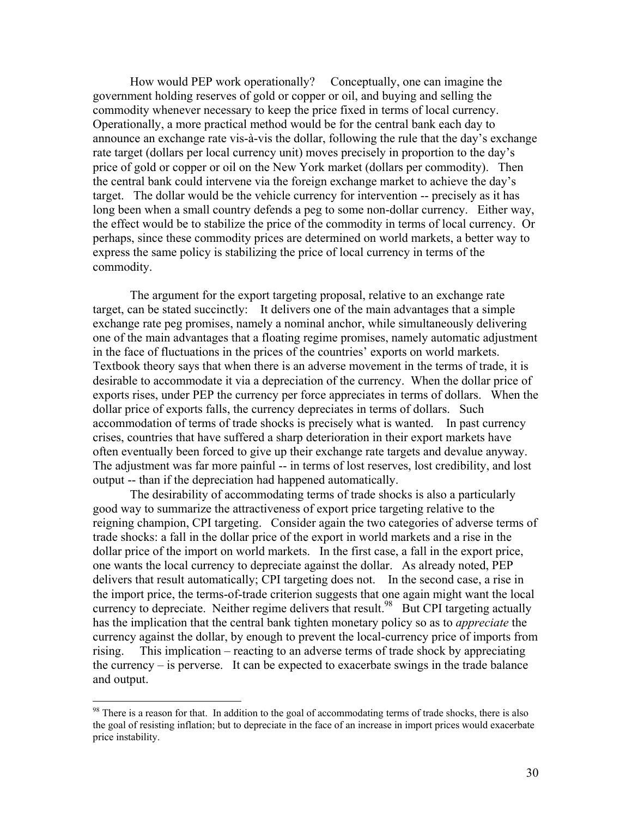How would PEP work operationally? Conceptually, one can imagine the government holding reserves of gold or copper or oil, and buying and selling the commodity whenever necessary to keep the price fixed in terms of local currency. Operationally, a more practical method would be for the central bank each day to announce an exchange rate vis-à-vis the dollar, following the rule that the day's exchange rate target (dollars per local currency unit) moves precisely in proportion to the day's price of gold or copper or oil on the New York market (dollars per commodity). Then the central bank could intervene via the foreign exchange market to achieve the day's target. The dollar would be the vehicle currency for intervention -- precisely as it has long been when a small country defends a peg to some non-dollar currency. Either way, the effect would be to stabilize the price of the commodity in terms of local currency. Or perhaps, since these commodity prices are determined on world markets, a better way to express the same policy is stabilizing the price of local currency in terms of the commodity.

The argument for the export targeting proposal, relative to an exchange rate target, can be stated succinctly: It delivers one of the main advantages that a simple exchange rate peg promises, namely a nominal anchor, while simultaneously delivering one of the main advantages that a floating regime promises, namely automatic adjustment in the face of fluctuations in the prices of the countries' exports on world markets. Textbook theory says that when there is an adverse movement in the terms of trade, it is desirable to accommodate it via a depreciation of the currency. When the dollar price of exports rises, under PEP the currency per force appreciates in terms of dollars. When the dollar price of exports falls, the currency depreciates in terms of dollars. Such accommodation of terms of trade shocks is precisely what is wanted. In past currency crises, countries that have suffered a sharp deterioration in their export markets have often eventually been forced to give up their exchange rate targets and devalue anyway. The adjustment was far more painful -- in terms of lost reserves, lost credibility, and lost output -- than if the depreciation had happened automatically.

 The desirability of accommodating terms of trade shocks is also a particularly good way to summarize the attractiveness of export price targeting relative to the reigning champion, CPI targeting. Consider again the two categories of adverse terms of trade shocks: a fall in the dollar price of the export in world markets and a rise in the dollar price of the import on world markets. In the first case, a fall in the export price, one wants the local currency to depreciate against the dollar. As already noted, PEP delivers that result automatically; CPI targeting does not. In the second case, a rise in the import price, the terms-of-trade criterion suggests that one again might want the local currency to depreciate. Neither regime delivers that result.<sup>98</sup> But CPI targeting actually has the implication that the central bank tighten monetary policy so as to *appreciate* the currency against the dollar, by enough to prevent the local-currency price of imports from rising. This implication – reacting to an adverse terms of trade shock by appreciating the currency – is perverse. It can be expected to exacerbate swings in the trade balance and output.

<sup>&</sup>lt;sup>98</sup> There is a reason for that. In addition to the goal of accommodating terms of trade shocks, there is also the goal of resisting inflation; but to depreciate in the face of an increase in import prices would exacerbate price instability.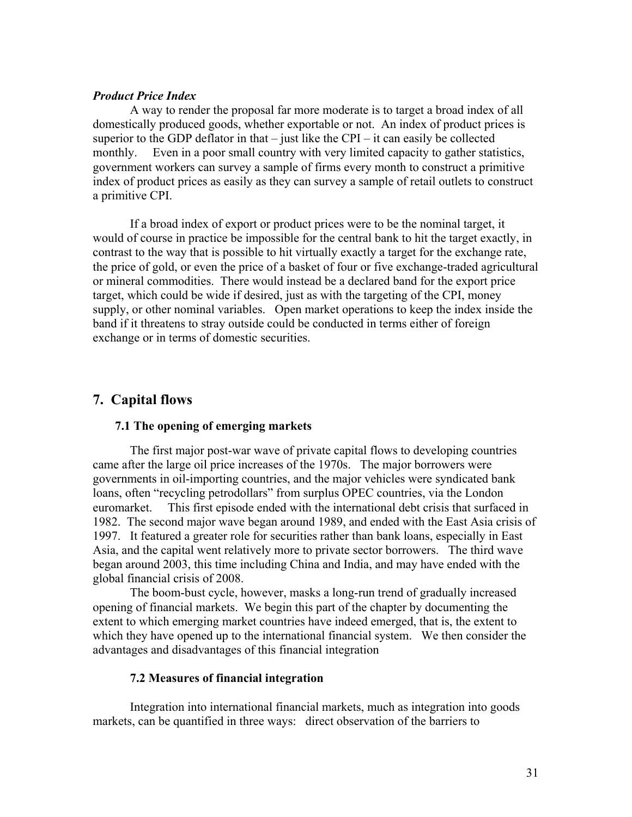### *Product Price Index*

A way to render the proposal far more moderate is to target a broad index of all domestically produced goods, whether exportable or not. An index of product prices is superior to the GDP deflator in that  $-$  just like the CPI  $-$  it can easily be collected monthly. Even in a poor small country with very limited capacity to gather statistics, government workers can survey a sample of firms every month to construct a primitive index of product prices as easily as they can survey a sample of retail outlets to construct a primitive CPI.

If a broad index of export or product prices were to be the nominal target, it would of course in practice be impossible for the central bank to hit the target exactly, in contrast to the way that is possible to hit virtually exactly a target for the exchange rate, the price of gold, or even the price of a basket of four or five exchange-traded agricultural or mineral commodities. There would instead be a declared band for the export price target, which could be wide if desired, just as with the targeting of the CPI, money supply, or other nominal variables. Open market operations to keep the index inside the band if it threatens to stray outside could be conducted in terms either of foreign exchange or in terms of domestic securities.

# **7. Capital flows**

# **7.1 The opening of emerging markets**

The first major post-war wave of private capital flows to developing countries came after the large oil price increases of the 1970s. The major borrowers were governments in oil-importing countries, and the major vehicles were syndicated bank loans, often "recycling petrodollars" from surplus OPEC countries, via the London euromarket. This first episode ended with the international debt crisis that surfaced in 1982. The second major wave began around 1989, and ended with the East Asia crisis of 1997. It featured a greater role for securities rather than bank loans, especially in East Asia, and the capital went relatively more to private sector borrowers. The third wave began around 2003, this time including China and India, and may have ended with the global financial crisis of 2008.

The boom-bust cycle, however, masks a long-run trend of gradually increased opening of financial markets. We begin this part of the chapter by documenting the extent to which emerging market countries have indeed emerged, that is, the extent to which they have opened up to the international financial system. We then consider the advantages and disadvantages of this financial integration

## **7.2 Measures of financial integration**

Integration into international financial markets, much as integration into goods markets, can be quantified in three ways: direct observation of the barriers to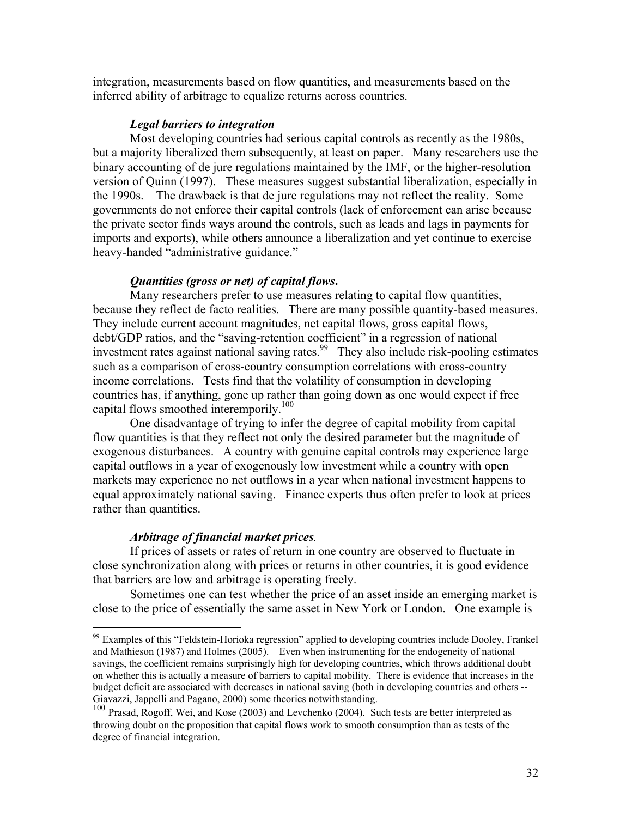integration, measurements based on flow quantities, and measurements based on the inferred ability of arbitrage to equalize returns across countries.

### *Legal barriers to integration*

Most developing countries had serious capital controls as recently as the 1980s, but a majority liberalized them subsequently, at least on paper. Many researchers use the binary accounting of de jure regulations maintained by the IMF, or the higher-resolution version of Quinn (1997). These measures suggest substantial liberalization, especially in the 1990s. The drawback is that de jure regulations may not reflect the reality. Some governments do not enforce their capital controls (lack of enforcement can arise because the private sector finds ways around the controls, such as leads and lags in payments for imports and exports), while others announce a liberalization and yet continue to exercise heavy-handed "administrative guidance."

#### *Quantities (gross or net) of capital flows***.**

Many researchers prefer to use measures relating to capital flow quantities, because they reflect de facto realities. There are many possible quantity-based measures. They include current account magnitudes, net capital flows, gross capital flows, debt/GDP ratios, and the "saving-retention coefficient" in a regression of national investment rates against national saving rates.<sup>99</sup> They also include risk-pooling estimates such as a comparison of cross-country consumption correlations with cross-country income correlations. Tests find that the volatility of consumption in developing countries has, if anything, gone up rather than going down as one would expect if free capital flows smoothed interemporily.<sup>100</sup>

One disadvantage of trying to infer the degree of capital mobility from capital flow quantities is that they reflect not only the desired parameter but the magnitude of exogenous disturbances. A country with genuine capital controls may experience large capital outflows in a year of exogenously low investment while a country with open markets may experience no net outflows in a year when national investment happens to equal approximately national saving. Finance experts thus often prefer to look at prices rather than quantities.

#### *Arbitrage of financial market prices.*

 $\overline{a}$ 

If prices of assets or rates of return in one country are observed to fluctuate in close synchronization along with prices or returns in other countries, it is good evidence that barriers are low and arbitrage is operating freely.

Sometimes one can test whether the price of an asset inside an emerging market is close to the price of essentially the same asset in New York or London. One example is

<sup>&</sup>lt;sup>99</sup> Examples of this "Feldstein-Horioka regression" applied to developing countries include Dooley, Frankel and Mathieson (1987) and Holmes (2005). Even when instrumenting for the endogeneity of national savings, the coefficient remains surprisingly high for developing countries, which throws additional doubt on whether this is actually a measure of barriers to capital mobility. There is evidence that increases in the budget deficit are associated with decreases in national saving (both in developing countries and others -- Giavazzi, Jappelli and Pagano, 2000) some theories notwithstanding.

 $100$  Prasad, Rogoff, Wei, and Kose (2003) and Levchenko (2004). Such tests are better interpreted as throwing doubt on the proposition that capital flows work to smooth consumption than as tests of the degree of financial integration.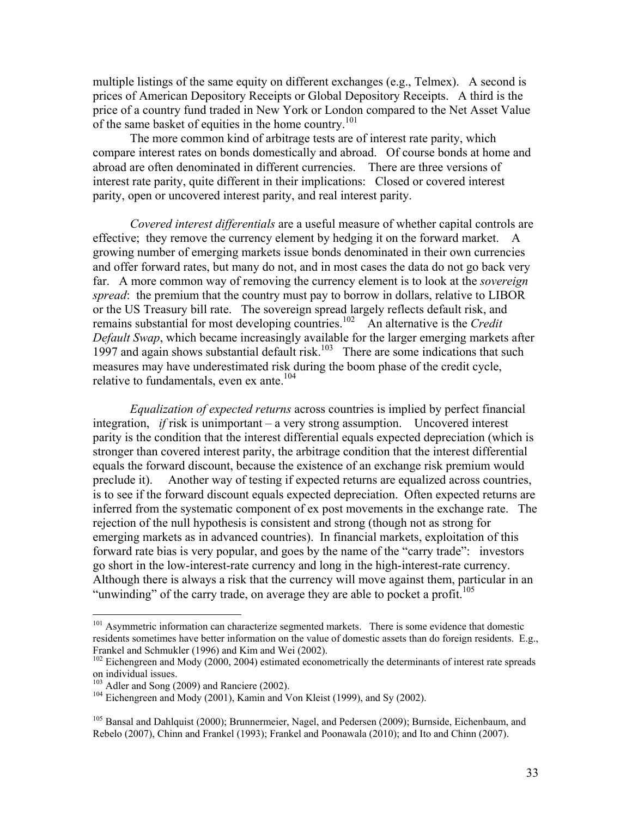multiple listings of the same equity on different exchanges (e.g., Telmex). A second is prices of American Depository Receipts or Global Depository Receipts. A third is the price of a country fund traded in New York or London compared to the Net Asset Value of the same basket of equities in the home country.<sup>101</sup>

The more common kind of arbitrage tests are of interest rate parity, which compare interest rates on bonds domestically and abroad. Of course bonds at home and abroad are often denominated in different currencies. There are three versions of interest rate parity, quite different in their implications: Closed or covered interest parity, open or uncovered interest parity, and real interest parity.

*Covered interest differentials* are a useful measure of whether capital controls are effective; they remove the currency element by hedging it on the forward market. A growing number of emerging markets issue bonds denominated in their own currencies and offer forward rates, but many do not, and in most cases the data do not go back very far. A more common way of removing the currency element is to look at the *sovereign spread*: the premium that the country must pay to borrow in dollars, relative to LIBOR or the US Treasury bill rate. The sovereign spread largely reflects default risk, and remains substantial for most developing countries.102 An alternative is the *Credit Default Swap*, which became increasingly available for the larger emerging markets after 1997 and again shows substantial default risk.<sup>103</sup> There are some indications that such measures may have underestimated risk during the boom phase of the credit cycle, relative to fundamentals, even ex ante.<sup>104</sup>

*Equalization of expected returns* across countries is implied by perfect financial integration, *if* risk is unimportant – a very strong assumption. Uncovered interest parity is the condition that the interest differential equals expected depreciation (which is stronger than covered interest parity, the arbitrage condition that the interest differential equals the forward discount, because the existence of an exchange risk premium would preclude it). Another way of testing if expected returns are equalized across countries, is to see if the forward discount equals expected depreciation. Often expected returns are inferred from the systematic component of ex post movements in the exchange rate. The rejection of the null hypothesis is consistent and strong (though not as strong for emerging markets as in advanced countries). In financial markets, exploitation of this forward rate bias is very popular, and goes by the name of the "carry trade": investors go short in the low-interest-rate currency and long in the high-interest-rate currency. Although there is always a risk that the currency will move against them, particular in an "unwinding" of the carry trade, on average they are able to pocket a profit.<sup>105</sup>

<sup>&</sup>lt;sup>101</sup> Asymmetric information can characterize segmented markets. There is some evidence that domestic residents sometimes have better information on the value of domestic assets than do foreign residents. E.g., Frankel and Schmukler (1996) and Kim and Wei (2002).

 $102$  Eichengreen and Mody (2000, 2004) estimated econometrically the determinants of interest rate spreads on individual issues.<br><sup>103</sup> Adler and Song (2009) and Ranciere (2002).

 $104$  Eichengreen and Mody (2001), Kamin and Von Kleist (1999), and Sy (2002).

<sup>&</sup>lt;sup>105</sup> Bansal and Dahlquist (2000); Brunnermeier, Nagel, and Pedersen (2009); Burnside, Eichenbaum, and Rebelo (2007), Chinn and Frankel (1993); Frankel and Poonawala (2010); and Ito and Chinn (2007).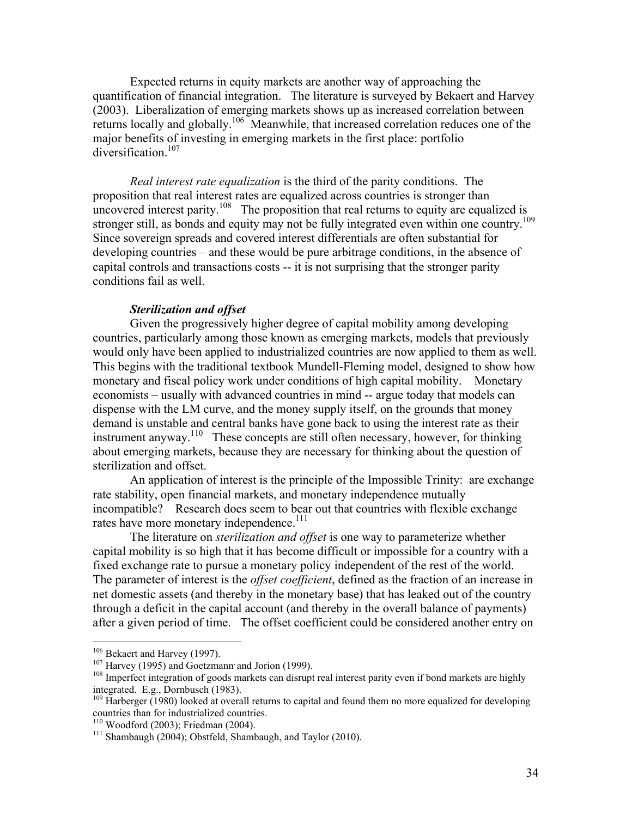Expected returns in equity markets are another way of approaching the quantification of financial integration. The literature is surveyed by Bekaert and Harvey (2003). Liberalization of emerging markets shows up as increased correlation between returns locally and globally.106 Meanwhile, that increased correlation reduces one of the major benefits of investing in emerging markets in the first place: portfolio diversification.<sup>107</sup>

*Real interest rate equalization* is the third of the parity conditions. The proposition that real interest rates are equalized across countries is stronger than uncovered interest parity.<sup>108</sup> The proposition that real returns to equity are equalized is stronger still, as bonds and equity may not be fully integrated even within one country.<sup>109</sup> Since sovereign spreads and covered interest differentials are often substantial for developing countries – and these would be pure arbitrage conditions, in the absence of capital controls and transactions costs -- it is not surprising that the stronger parity conditions fail as well.

### *Sterilization and offset*

Given the progressively higher degree of capital mobility among developing countries, particularly among those known as emerging markets, models that previously would only have been applied to industrialized countries are now applied to them as well. This begins with the traditional textbook Mundell-Fleming model, designed to show how monetary and fiscal policy work under conditions of high capital mobility. Monetary economists – usually with advanced countries in mind -- argue today that models can dispense with the LM curve, and the money supply itself, on the grounds that money demand is unstable and central banks have gone back to using the interest rate as their instrument anyway.<sup>110</sup> These concepts are still often necessary, however, for thinking about emerging markets, because they are necessary for thinking about the question of sterilization and offset.

An application of interest is the principle of the Impossible Trinity: are exchange rate stability, open financial markets, and monetary independence mutually incompatible? Research does seem to bear out that countries with flexible exchange rates have more monetary independence.<sup>111</sup>

The literature on *sterilization and offset* is one way to parameterize whether capital mobility is so high that it has become difficult or impossible for a country with a fixed exchange rate to pursue a monetary policy independent of the rest of the world. The parameter of interest is the *offset coefficient*, defined as the fraction of an increase in net domestic assets (and thereby in the monetary base) that has leaked out of the country through a deficit in the capital account (and thereby in the overall balance of payments) after a given period of time. The offset coefficient could be considered another entry on

 $106$  Bekaert and Harvey (1997).

<sup>&</sup>lt;sup>107</sup> Harvey (1995) and Goetzmann and Jorion (1999).<br><sup>108</sup> Imperfect integration of goods markets can disrupt real interest parity even if bond markets are highly integrated. E.g., Dornbusch (1983).

<sup>&</sup>lt;sup>109</sup> Harberger (1980) looked at overall returns to capital and found them no more equalized for developing countries than for industrialized countries.<br><sup>110</sup> Woodford (2003); Friedman (2004).

 $111$  Shambaugh (2004); Obstfeld, Shambaugh, and Taylor (2010).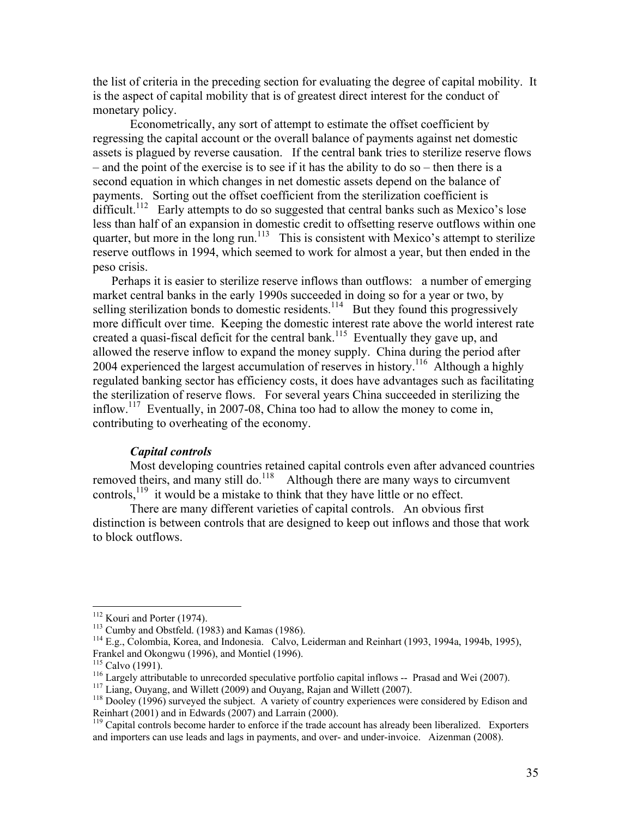the list of criteria in the preceding section for evaluating the degree of capital mobility. It is the aspect of capital mobility that is of greatest direct interest for the conduct of monetary policy.

Econometrically, any sort of attempt to estimate the offset coefficient by regressing the capital account or the overall balance of payments against net domestic assets is plagued by reverse causation. If the central bank tries to sterilize reserve flows – and the point of the exercise is to see if it has the ability to do so – then there is a second equation in which changes in net domestic assets depend on the balance of payments. Sorting out the offset coefficient from the sterilization coefficient is difficult.<sup>112</sup> Early attempts to do so suggested that central banks such as Mexico's lose less than half of an expansion in domestic credit to offsetting reserve outflows within one quarter, but more in the long run.<sup>113</sup> This is consistent with Mexico's attempt to sterilize reserve outflows in 1994, which seemed to work for almost a year, but then ended in the peso crisis.

Perhaps it is easier to sterilize reserve inflows than outflows: a number of emerging market central banks in the early 1990s succeeded in doing so for a year or two, by selling sterilization bonds to domestic residents.<sup>114</sup> But they found this progressively more difficult over time. Keeping the domestic interest rate above the world interest rate created a quasi-fiscal deficit for the central bank.<sup>115</sup> Eventually they gave up, and allowed the reserve inflow to expand the money supply. China during the period after 2004 experienced the largest accumulation of reserves in history.<sup>116</sup> Although a highly regulated banking sector has efficiency costs, it does have advantages such as facilitating the sterilization of reserve flows. For several years China succeeded in sterilizing the inflow.117 Eventually, in 2007-08, China too had to allow the money to come in, contributing to overheating of the economy.

### *Capital controls*

Most developing countries retained capital controls even after advanced countries removed theirs, and many still do. $\frac{118}{118}$  Although there are many ways to circumvent controls, $119$  it would be a mistake to think that they have little or no effect.

There are many different varieties of capital controls. An obvious first distinction is between controls that are designed to keep out inflows and those that work to block outflows.

1

<sup>&</sup>lt;sup>112</sup> Kouri and Porter (1974).<br><sup>113</sup> Cumby and Obstfeld. (1983) and Kamas (1986).<br><sup>114</sup> E.g., Colombia, Korea, and Indonesia. Calvo, Leiderman and Reinhart (1993, 1994a, 1994b, 1995), Frankel and Okongwu (1996), and Montiel (1996).<br><sup>115</sup> Calvo (1991).

<sup>&</sup>lt;sup>116</sup> Largely attributable to unrecorded speculative portfolio capital inflows -- Prasad and Wei (2007).<br><sup>117</sup> Liang, Ouyang, and Willett (2009) and Ouyang, Rajan and Willett (2007).<br><sup>118</sup> Dooley (1996) surveyed the subje

Reinhart (2001) and in Edwards (2007) and Larrain (2000).

<sup>&</sup>lt;sup>119</sup> Capital controls become harder to enforce if the trade account has already been liberalized. Exporters and importers can use leads and lags in payments, and over- and under-invoice. Aizenman (2008).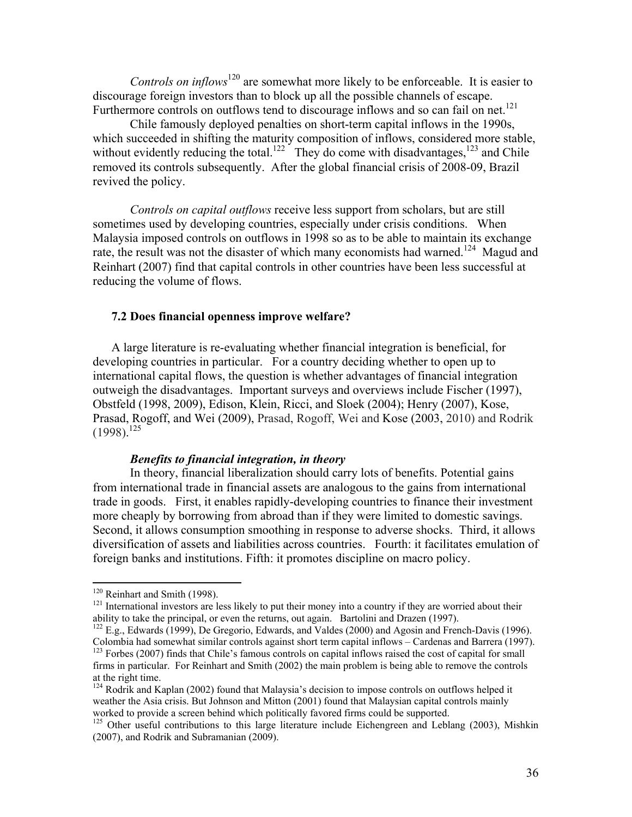*Controls on inflows*120 are somewhat more likely to be enforceable. It is easier to discourage foreign investors than to block up all the possible channels of escape. Furthermore controls on outflows tend to discourage inflows and so can fail on net.<sup>121</sup>

Chile famously deployed penalties on short-term capital inflows in the 1990s, which succeeded in shifting the maturity composition of inflows, considered more stable, without evidently reducing the total.<sup>122</sup> They do come with disadvantages,<sup>123</sup> and Chile removed its controls subsequently. After the global financial crisis of 2008-09, Brazil revived the policy.

*Controls on capital outflows* receive less support from scholars, but are still sometimes used by developing countries, especially under crisis conditions. When Malaysia imposed controls on outflows in 1998 so as to be able to maintain its exchange rate, the result was not the disaster of which many economists had warned.<sup>124</sup> Magud and Reinhart (2007) find that capital controls in other countries have been less successful at reducing the volume of flows.

#### **7.2 Does financial openness improve welfare?**

A large literature is re-evaluating whether financial integration is beneficial, for developing countries in particular. For a country deciding whether to open up to international capital flows, the question is whether advantages of financial integration outweigh the disadvantages. Important surveys and overviews include Fischer (1997), Obstfeld (1998, 2009), Edison, Klein, Ricci, and Sloek (2004); Henry (2007), Kose, Prasad, Rogoff, and Wei (2009), Prasad, Rogoff, Wei and Kose (2003, 2010) and Rodrik  $(1998).^{125}$ 

#### *Benefits to financial integration, in theory*

In theory, financial liberalization should carry lots of benefits. Potential gains from international trade in financial assets are analogous to the gains from international trade in goods. First, it enables rapidly-developing countries to finance their investment more cheaply by borrowing from abroad than if they were limited to domestic savings. Second, it allows consumption smoothing in response to adverse shocks. Third, it allows diversification of assets and liabilities across countries. Fourth: it facilitates emulation of foreign banks and institutions. Fifth: it promotes discipline on macro policy.

 $120$  Reinhart and Smith (1998).

 $121$  International investors are less likely to put their money into a country if they are worried about their ability to take the principal, or even the returns, out again. Bartolini and Drazen (1997).

<sup>&</sup>lt;sup>122</sup> E.g., Edwards (1999), De Gregorio, Edwards, and Valdes (2000) and Agosin and French-Davis (1996). Colombia had somewhat similar controls against short term capital inflows – Cardenas and Barrera (1997). <sup>123</sup> Forbes (2007) finds that Chile's famous controls on capital inflows raised the cost of capital for small firms in particular. For Reinhart and Smith (2002) the main problem is being able to remove the controls at the right time.

<sup>&</sup>lt;sup>124</sup> Rodrik and Kaplan (2002) found that Malaysia's decision to impose controls on outflows helped it weather the Asia crisis. But Johnson and Mitton (2001) found that Malaysian capital controls mainly worked to provide a screen behind which politically favored firms could be supported.

<sup>&</sup>lt;sup>125</sup> Other useful contributions to this large literature include Eichengreen and Leblang (2003), Mishkin (2007), and Rodrik and Subramanian (2009).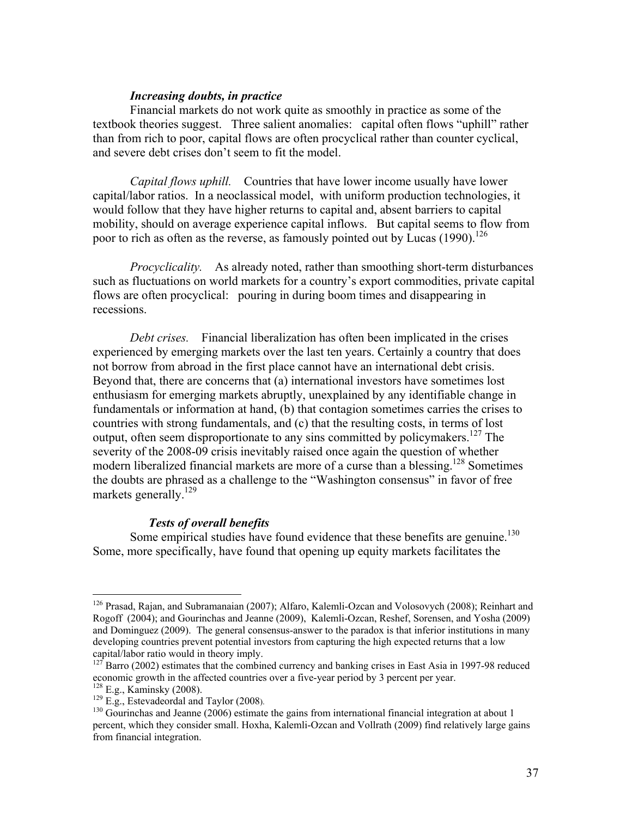#### *Increasing doubts, in practice*

Financial markets do not work quite as smoothly in practice as some of the textbook theories suggest. Three salient anomalies: capital often flows "uphill" rather than from rich to poor, capital flows are often procyclical rather than counter cyclical, and severe debt crises don't seem to fit the model.

*Capital flows uphill.* Countries that have lower income usually have lower capital/labor ratios. In a neoclassical model, with uniform production technologies, it would follow that they have higher returns to capital and, absent barriers to capital mobility, should on average experience capital inflows. But capital seems to flow from poor to rich as often as the reverse, as famously pointed out by Lucas  $(1990)^{126}$ 

*Procyclicality.* As already noted, rather than smoothing short-term disturbances such as fluctuations on world markets for a country's export commodities, private capital flows are often procyclical: pouring in during boom times and disappearing in recessions.

*Debt crises.* Financial liberalization has often been implicated in the crises experienced by emerging markets over the last ten years. Certainly a country that does not borrow from abroad in the first place cannot have an international debt crisis. Beyond that, there are concerns that (a) international investors have sometimes lost enthusiasm for emerging markets abruptly, unexplained by any identifiable change in fundamentals or information at hand, (b) that contagion sometimes carries the crises to countries with strong fundamentals, and (c) that the resulting costs, in terms of lost output, often seem disproportionate to any sins committed by policymakers.<sup>127</sup> The severity of the 2008-09 crisis inevitably raised once again the question of whether modern liberalized financial markets are more of a curse than a blessing.<sup>128</sup> Sometimes the doubts are phrased as a challenge to the "Washington consensus" in favor of free markets generally.<sup>129</sup>

#### *Tests of overall benefits*

Some empirical studies have found evidence that these benefits are genuine.<sup>130</sup> Some, more specifically, have found that opening up equity markets facilitates the

1

<sup>&</sup>lt;sup>126</sup> Prasad, Rajan, and Subramanaian (2007); Alfaro, Kalemli-Ozcan and Volosovych (2008); Reinhart and Rogoff (2004); and Gourinchas and Jeanne (2009), Kalemli-Ozcan, Reshef, Sorensen, and Yosha (2009) and Dominguez (2009). The general consensus-answer to the paradox is that inferior institutions in many developing countries prevent potential investors from capturing the high expected returns that a low capital/labor ratio would in theory imply.

<sup>127</sup> Barro (2002) estimates that the combined currency and banking crises in East Asia in 1997-98 reduced economic growth in the affected countries over a five-year period by 3 percent per year.<br><sup>128</sup> E.g., Kaminsky (2008).<br><sup>129</sup> E.g., Estevadeordal and Taylor (2008).<br><sup>129</sup> Gourinchas and Jeanne (2006) estimate the gains from

percent, which they consider small. Hoxha, Kalemli-Ozcan and Vollrath (2009) find relatively large gains from financial integration.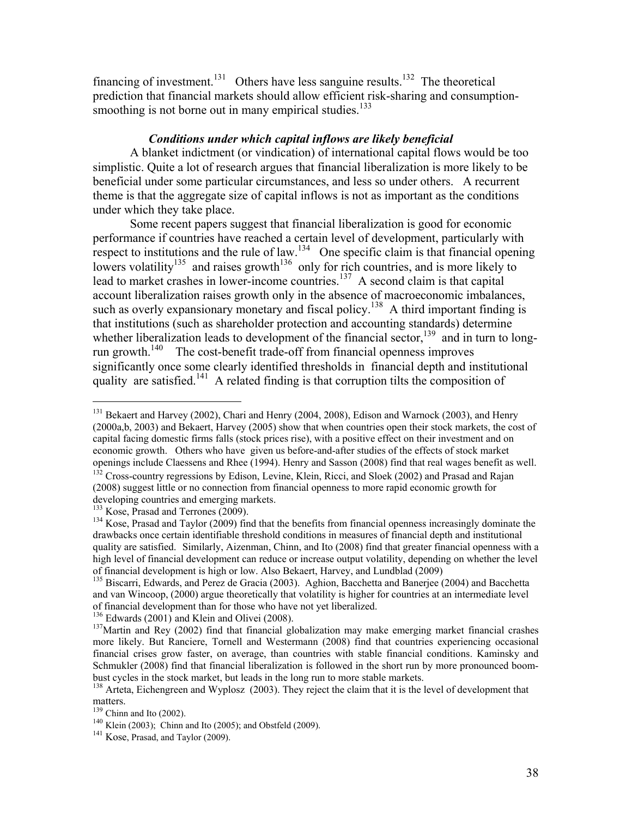financing of investment.<sup>131</sup> Others have less sanguine results.<sup>132</sup> The theoretical prediction that financial markets should allow efficient risk-sharing and consumptionsmoothing is not borne out in many empirical studies.<sup>133</sup>

## *Conditions under which capital inflows are likely beneficial*

A blanket indictment (or vindication) of international capital flows would be too simplistic. Quite a lot of research argues that financial liberalization is more likely to be beneficial under some particular circumstances, and less so under others. A recurrent theme is that the aggregate size of capital inflows is not as important as the conditions under which they take place.

Some recent papers suggest that financial liberalization is good for economic performance if countries have reached a certain level of development, particularly with respect to institutions and the rule of law.<sup>134</sup> One specific claim is that financial opening lowers volatility<sup>135</sup> and raises growth<sup>136</sup> only for rich countries, and is more likely to lead to market crashes in lower-income countries.<sup>137</sup> A second claim is that capital account liberalization raises growth only in the absence of macroeconomic imbalances, such as overly expansionary monetary and fiscal policy.<sup>138</sup> A third important finding is that institutions (such as shareholder protection and accounting standards) determine whether liberalization leads to development of the financial sector,  $139$  and in turn to longrun growth.140 The cost-benefit trade-off from financial openness improves significantly once some clearly identified thresholds in financial depth and institutional quality are satisfied.<sup>141</sup> A related finding is that corruption tilts the composition of

<sup>&</sup>lt;sup>131</sup> Bekaert and Harvey (2002), Chari and Henry (2004, 2008), Edison and Warnock (2003), and Henry (2000a,b, 2003) and Bekaert, Harvey (2005) show that when countries open their stock markets, the cost of capital facing domestic firms falls (stock prices rise), with a positive effect on their investment and on economic growth. Others who have given us before-and-after studies of the effects of stock market openings include Claessens and Rhee (1994). Henry and Sasson (2008) find that real wages benefit as well. <sup>132</sup> Cross-country regressions by Edison, Levine, Klein, Ricci, and Sloek (2002) and Prasad and Rajan (2008) suggest little or no connection from financial openness to more rapid economic growth for developing countries and emerging markets.<br><sup>133</sup> Kose, Prasad and Terrones (2009).

<sup>&</sup>lt;sup>134</sup> Kose, Prasad and Taylor (2009) find that the benefits from financial openness increasingly dominate the drawbacks once certain identifiable threshold conditions in measures of financial depth and institutional quality are satisfied. Similarly, Aizenman, Chinn, and Ito (2008) find that greater financial openness with a high level of financial development can reduce or increase output volatility, depending on whether the level of financial development is high or low. Also Bekaert, Harvey, and Lundblad (2009)

<sup>&</sup>lt;sup>135</sup> Biscarri, Edwards, and Perez de Gracia (2003). Aghion, Bacchetta and Banerjee (2004) and Bacchetta and van Wincoop, (2000) argue theoretically that volatility is higher for countries at an intermediate level of financial development than for those who have not yet liberalized.<br><sup>136</sup> Edwards (2001) and Klein and Olivei (2008).

 $137$  Martin and Rey (2002) find that financial globalization may make emerging market financial crashes more likely. But Ranciere, Tornell and Westermann (2008) find that countries experiencing occasional financial crises grow faster, on average, than countries with stable financial conditions. Kaminsky and Schmukler (2008) find that financial liberalization is followed in the short run by more pronounced boombust cycles in the stock market, but leads in the long run to more stable markets. 138 Arteta, Eichengreen and Wyplosz (2003). They reject the claim that it is the level of development that

matters.

 $139$  Chinn and Ito (2002).

<sup>&</sup>lt;sup>140</sup> Klein (2003); Chinn and Ito (2005); and Obstfeld (2009).<br><sup>141</sup> Kose, Prasad, and Taylor (2009).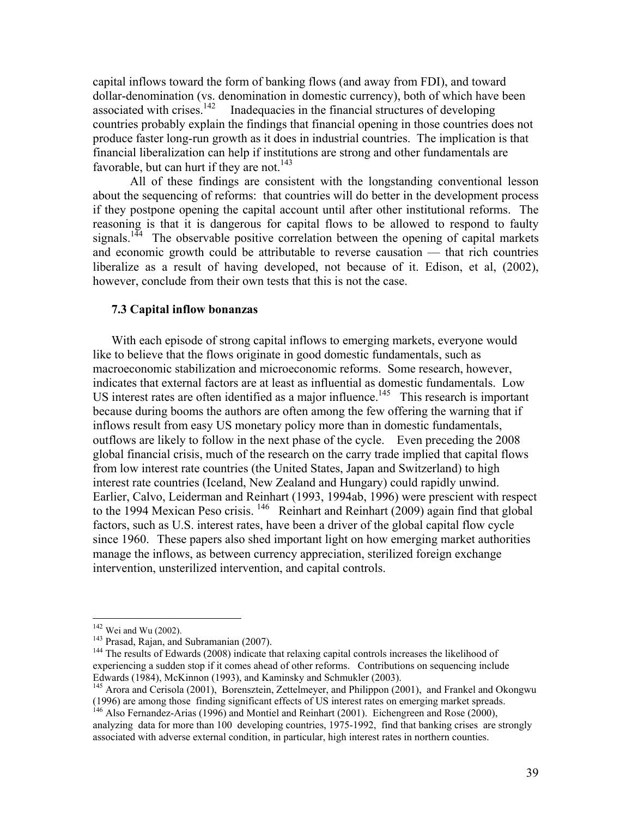capital inflows toward the form of banking flows (and away from FDI), and toward dollar-denomination (vs. denomination in domestic currency), both of which have been associated with crises.<sup>142</sup> Inadequacies in the financial structures of developing countries probably explain the findings that financial opening in those countries does not produce faster long-run growth as it does in industrial countries. The implication is that financial liberalization can help if institutions are strong and other fundamentals are favorable, but can hurt if they are not. $143$ 

All of these findings are consistent with the longstanding conventional lesson about the sequencing of reforms: that countries will do better in the development process if they postpone opening the capital account until after other institutional reforms. The reasoning is that it is dangerous for capital flows to be allowed to respond to faulty signals.<sup>144</sup> The observable positive correlation between the opening of capital markets and economic growth could be attributable to reverse causation — that rich countries liberalize as a result of having developed, not because of it. Edison, et al, (2002), however, conclude from their own tests that this is not the case.

#### **7.3 Capital inflow bonanzas**

With each episode of strong capital inflows to emerging markets, everyone would like to believe that the flows originate in good domestic fundamentals, such as macroeconomic stabilization and microeconomic reforms. Some research, however, indicates that external factors are at least as influential as domestic fundamentals. Low US interest rates are often identified as a major influence.<sup>145</sup> This research is important because during booms the authors are often among the few offering the warning that if inflows result from easy US monetary policy more than in domestic fundamentals, outflows are likely to follow in the next phase of the cycle. Even preceding the 2008 global financial crisis, much of the research on the carry trade implied that capital flows from low interest rate countries (the United States, Japan and Switzerland) to high interest rate countries (Iceland, New Zealand and Hungary) could rapidly unwind. Earlier, Calvo, Leiderman and Reinhart (1993, 1994ab, 1996) were prescient with respect to the 1994 Mexican Peso crisis.  $146$  Reinhart and Reinhart (2009) again find that global factors, such as U.S. interest rates, have been a driver of the global capital flow cycle since 1960. These papers also shed important light on how emerging market authorities manage the inflows, as between currency appreciation, sterilized foreign exchange intervention, unsterilized intervention, and capital controls.

 $142$  Wei and Wu (2002).<br> $143$  Prasad, Rajan, and Subramanian (2007).

<sup>&</sup>lt;sup>144</sup> The results of Edwards (2008) indicate that relaxing capital controls increases the likelihood of experiencing a sudden stop if it comes ahead of other reforms. Contributions on sequencing include Edwards (1984), McKinnon (1993), and Kaminsky and Schmukler (2003).

<sup>&</sup>lt;sup>145</sup> Arora and Cerisola (2001), Borensztein, Zettelmeyer, and Philippon (2001), and Frankel and Okongwu (1996) are among those finding significant effects of US interest rates on emerging market spreads. 146 Also Fernandez-Arias (1996) and Montiel and Reinhart (2001). Eichengreen and Rose (2000),

analyzing data for more than 100 developing countries, 1975-1992, find that banking crises are strongly associated with adverse external condition, in particular, high interest rates in northern counties.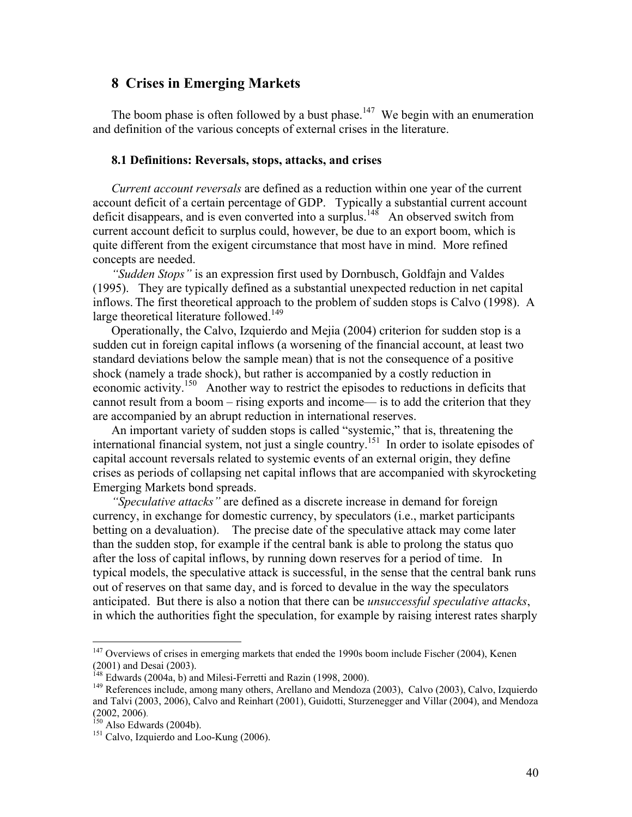## **8 Crises in Emerging Markets**

The boom phase is often followed by a bust phase.<sup>147</sup> We begin with an enumeration and definition of the various concepts of external crises in the literature.

## **8.1 Definitions: Reversals, stops, attacks, and crises**

*Current account reversals* are defined as a reduction within one year of the current account deficit of a certain percentage of GDP. Typically a substantial current account deficit disappears, and is even converted into a surplus.<sup>148</sup> An observed switch from current account deficit to surplus could, however, be due to an export boom, which is quite different from the exigent circumstance that most have in mind. More refined concepts are needed.

*"Sudden Stops"* is an expression first used by Dornbusch, Goldfajn and Valdes (1995). They are typically defined as a substantial unexpected reduction in net capital inflows. The first theoretical approach to the problem of sudden stops is Calvo (1998). A large theoretical literature followed.<sup>149</sup>

Operationally, the Calvo, Izquierdo and Mejia (2004) criterion for sudden stop is a sudden cut in foreign capital inflows (a worsening of the financial account, at least two standard deviations below the sample mean) that is not the consequence of a positive shock (namely a trade shock), but rather is accompanied by a costly reduction in economic activity.150Another way to restrict the episodes to reductions in deficits that cannot result from a boom – rising exports and income— is to add the criterion that they are accompanied by an abrupt reduction in international reserves.

An important variety of sudden stops is called "systemic," that is, threatening the international financial system, not just a single country.151 In order to isolate episodes of capital account reversals related to systemic events of an external origin, they define crises as periods of collapsing net capital inflows that are accompanied with skyrocketing Emerging Markets bond spreads.

*"Speculative attacks"* are defined as a discrete increase in demand for foreign currency, in exchange for domestic currency, by speculators (i.e., market participants betting on a devaluation). The precise date of the speculative attack may come later than the sudden stop, for example if the central bank is able to prolong the status quo after the loss of capital inflows, by running down reserves for a period of time. In typical models, the speculative attack is successful, in the sense that the central bank runs out of reserves on that same day, and is forced to devalue in the way the speculators anticipated. But there is also a notion that there can be *unsuccessful speculative attacks*, in which the authorities fight the speculation, for example by raising interest rates sharply

 $147$  Overviews of crises in emerging markets that ended the 1990s boom include Fischer (2004), Kenen  $(2001)$  and Desai (2003).<br><sup>148</sup> Edwards (2004a, b) and Milesi-Ferretti and Razin (1998, 2000).

<sup>&</sup>lt;sup>149</sup> References include, among many others, Arellano and Mendoza (2003), Calvo (2003), Calvo, Izquierdo and Talvi (2003, 2006), Calvo and Reinhart (2001), Guidotti, Sturzenegger and Villar (2004), and Mendoza (2002, 2006).<br><sup>150</sup> Also Edwards (2004b).<br><sup>151</sup> Calvo, Izquierdo and Loo-Kung (2006).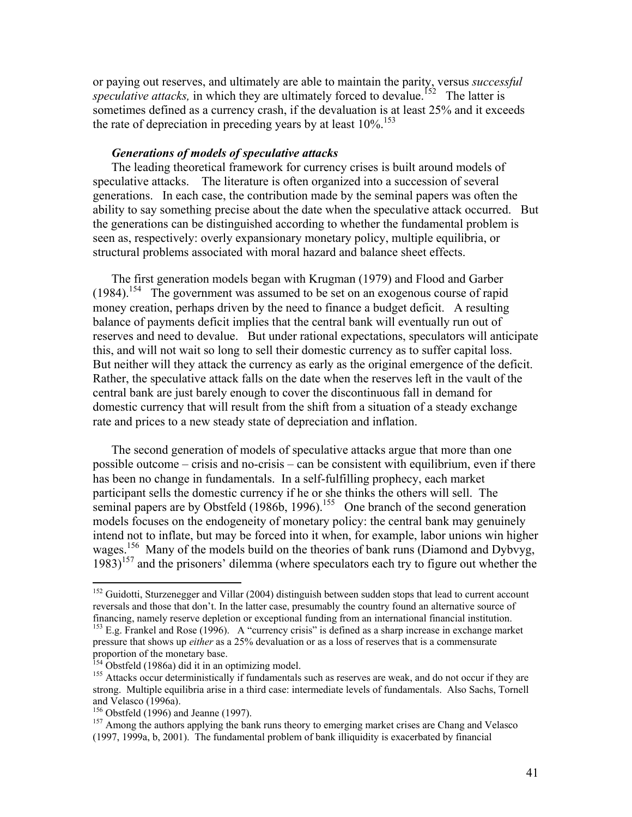or paying out reserves, and ultimately are able to maintain the parity, versus *successful speculative attacks,* in which they are ultimately forced to devalue.<sup>152</sup> The latter is sometimes defined as a currency crash, if the devaluation is at least 25% and it exceeds the rate of depreciation in preceding years by at least  $10\%$ .<sup>153</sup>

## *Generations of models of speculative attacks*

The leading theoretical framework for currency crises is built around models of speculative attacks. The literature is often organized into a succession of several generations. In each case, the contribution made by the seminal papers was often the ability to say something precise about the date when the speculative attack occurred. But the generations can be distinguished according to whether the fundamental problem is seen as, respectively: overly expansionary monetary policy, multiple equilibria, or structural problems associated with moral hazard and balance sheet effects.

The first generation models began with Krugman (1979) and Flood and Garber  $(1984)$ <sup>154</sup> The government was assumed to be set on an exogenous course of rapid money creation, perhaps driven by the need to finance a budget deficit. A resulting balance of payments deficit implies that the central bank will eventually run out of reserves and need to devalue. But under rational expectations, speculators will anticipate this, and will not wait so long to sell their domestic currency as to suffer capital loss. But neither will they attack the currency as early as the original emergence of the deficit. Rather, the speculative attack falls on the date when the reserves left in the vault of the central bank are just barely enough to cover the discontinuous fall in demand for domestic currency that will result from the shift from a situation of a steady exchange rate and prices to a new steady state of depreciation and inflation.

The second generation of models of speculative attacks argue that more than one possible outcome – crisis and no-crisis – can be consistent with equilibrium, even if there has been no change in fundamentals. In a self-fulfilling prophecy, each market participant sells the domestic currency if he or she thinks the others will sell. The seminal papers are by Obstfeld  $(1986b, 1996)$ <sup>155</sup> One branch of the second generation models focuses on the endogeneity of monetary policy: the central bank may genuinely intend not to inflate, but may be forced into it when, for example, labor unions win higher wages.<sup>156</sup> Many of the models build on the theories of bank runs (Diamond and Dybvyg,  $1983$ )<sup>157</sup> and the prisoners' dilemma (where speculators each try to figure out whether the

 $152$  Guidotti, Sturzenegger and Villar (2004) distinguish between sudden stops that lead to current account reversals and those that don't. In the latter case, presumably the country found an alternative source of financing, namely reserve depletion or exceptional funding from an international financial institution.

<sup>&</sup>lt;sup>153</sup> E.g. Frankel and Rose (1996). A "currency crisis" is defined as a sharp increase in exchange market pressure that shows up *either* as a 25% devaluation or as a loss of reserves that is a commensurate proportion of the monetary base.<br><sup>154</sup> Obstfeld (1986a) did it in an optimizing model.

 $155$  Attacks occur deterministically if fundamentals such as reserves are weak, and do not occur if they are strong. Multiple equilibria arise in a third case: intermediate levels of fundamentals. Also Sachs, Tornell and Velasco (1996a).<br><sup>156</sup> Obstfeld (1996) and Jeanne (1997).

<sup>&</sup>lt;sup>157</sup> Among the authors applying the bank runs theory to emerging market crises are Chang and Velasco (1997, 1999a, b, 2001). The fundamental problem of bank illiquidity is exacerbated by financial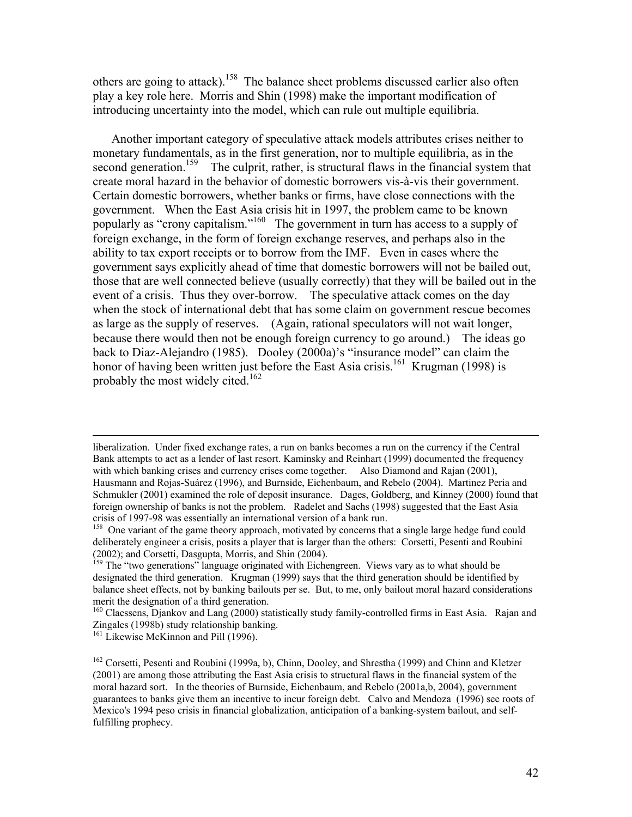others are going to attack).<sup>158</sup> The balance sheet problems discussed earlier also often play a key role here. Morris and Shin (1998) make the important modification of introducing uncertainty into the model, which can rule out multiple equilibria.

Another important category of speculative attack models attributes crises neither to monetary fundamentals, as in the first generation, nor to multiple equilibria, as in the second generation.<sup>159</sup> The culprit, rather, is structural flaws in the financial system that create moral hazard in the behavior of domestic borrowers vis-à-vis their government. Certain domestic borrowers, whether banks or firms, have close connections with the government. When the East Asia crisis hit in 1997, the problem came to be known popularly as "crony capitalism."<sup>160</sup> The government in turn has access to a supply of foreign exchange, in the form of foreign exchange reserves, and perhaps also in the ability to tax export receipts or to borrow from the IMF. Even in cases where the government says explicitly ahead of time that domestic borrowers will not be bailed out, those that are well connected believe (usually correctly) that they will be bailed out in the event of a crisis. Thus they over-borrow. The speculative attack comes on the day when the stock of international debt that has some claim on government rescue becomes as large as the supply of reserves. (Again, rational speculators will not wait longer, because there would then not be enough foreign currency to go around.) The ideas go back to Diaz-Alejandro (1985). Dooley (2000a)'s "insurance model" can claim the honor of having been written just before the East Asia crisis.<sup>161</sup> Krugman (1998) is probably the most widely cited.<sup>162</sup>

<sup>160</sup> Claessens, Diankov and Lang (2000) statistically study family-controlled firms in East Asia. Rajan and Zingales (1998b) study relationship banking.

liberalization. Under fixed exchange rates, a run on banks becomes a run on the currency if the Central Bank attempts to act as a lender of last resort. Kaminsky and Reinhart (1999) documented the frequency with which banking crises and currency crises come together. Also Diamond and Rajan (2001), Hausmann and Rojas-Suárez (1996), and Burnside, Eichenbaum, and Rebelo (2004). Martinez Peria and Schmukler (2001) examined the role of deposit insurance. Dages, Goldberg, and Kinney (2000) found that foreign ownership of banks is not the problem. Radelet and Sachs (1998) suggested that the East Asia

<sup>&</sup>lt;sup>158</sup> One variant of the game theory approach, motivated by concerns that a single large hedge fund could deliberately engineer a crisis, posits a player that is larger than the others: Corsetti, Pesenti and Roubini (2002); and Corsetti, Dasgupta, Morris, and Shin (2004).

<sup>&</sup>lt;sup>159</sup> The "two generations" language originated with Eichengreen. Views vary as to what should be designated the third generation. Krugman (1999) says that the third generation should be identified by balance sheet effects, not by banking bailouts per se. But, to me, only bailout moral hazard considerations merit the designation of a third generation.

<sup>&</sup>lt;sup>161</sup> Likewise McKinnon and Pill (1996).

<sup>&</sup>lt;sup>162</sup> Corsetti, Pesenti and Roubini (1999a, b), Chinn, Dooley, and Shrestha (1999) and Chinn and Kletzer (2001) are among those attributing the East Asia crisis to structural flaws in the financial system of the moral hazard sort. In the theories of Burnside, Eichenbaum, and Rebelo (2001a,b, 2004), government guarantees to banks give them an incentive to incur foreign debt. Calvo and Mendoza (1996) see roots of Mexico's 1994 peso crisis in financial globalization, anticipation of a banking-system bailout, and selffulfilling prophecy.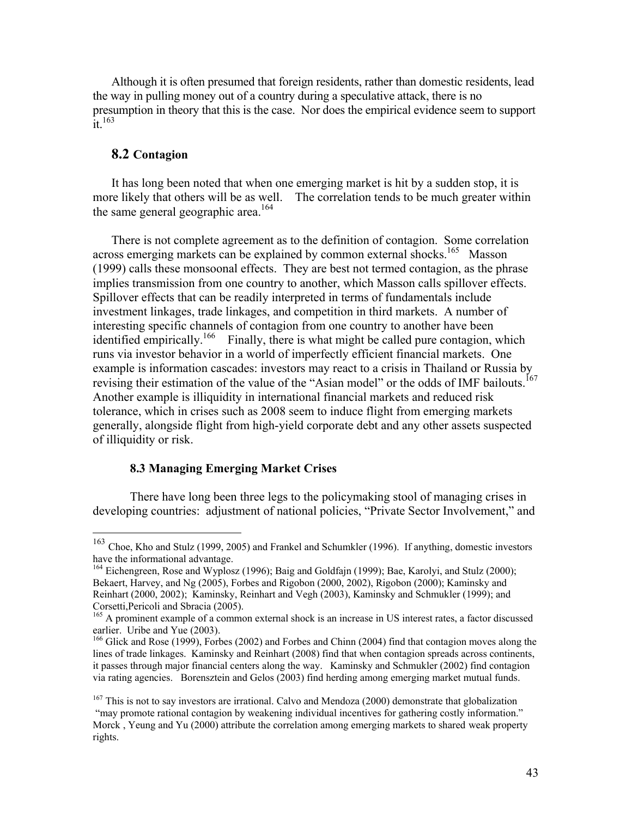Although it is often presumed that foreign residents, rather than domestic residents, lead the way in pulling money out of a country during a speculative attack, there is no presumption in theory that this is the case. Nor does the empirical evidence seem to support  $\overline{it}$ . 163

## **8.2 Contagion**

 $\overline{a}$ 

It has long been noted that when one emerging market is hit by a sudden stop, it is more likely that others will be as well. The correlation tends to be much greater within the same general geographic area.<sup>164</sup>

There is not complete agreement as to the definition of contagion. Some correlation across emerging markets can be explained by common external shocks.<sup>165</sup> Masson (1999) calls these monsoonal effects. They are best not termed contagion, as the phrase implies transmission from one country to another, which Masson calls spillover effects. Spillover effects that can be readily interpreted in terms of fundamentals include investment linkages, trade linkages, and competition in third markets. A number of interesting specific channels of contagion from one country to another have been identified empirically.<sup>166</sup> Finally, there is what might be called pure contagion, which runs via investor behavior in a world of imperfectly efficient financial markets. One example is information cascades: investors may react to a crisis in Thailand or Russia by revising their estimation of the value of the "Asian model" or the odds of IMF bailouts.<sup>167</sup> Another example is illiquidity in international financial markets and reduced risk tolerance, which in crises such as 2008 seem to induce flight from emerging markets generally, alongside flight from high-yield corporate debt and any other assets suspected of illiquidity or risk.

## **8.3 Managing Emerging Market Crises**

There have long been three legs to the policymaking stool of managing crises in developing countries: adjustment of national policies, "Private Sector Involvement," and

<sup>&</sup>lt;sup>163</sup> Choe, Kho and Stulz (1999, 2005) and Frankel and Schumkler (1996). If anything, domestic investors have the informational advantage.

<sup>164</sup> Eichengreen, Rose and Wyplosz (1996); Baig and Goldfajn (1999); Bae, Karolyi, and Stulz (2000); Bekaert, Harvey, and Ng (2005), Forbes and Rigobon (2000, 2002), Rigobon (2000); Kaminsky and Reinhart (2000, 2002); Kaminsky, Reinhart and Vegh (2003), Kaminsky and Schmukler (1999); and Corsetti,Pericoli and Sbracia (2005).

 $165$  A prominent example of a common external shock is an increase in US interest rates, a factor discussed earlier. Uribe and Yue (2003).

 $^{166}$  Glick and Rose (1999), Forbes (2002) and Forbes and Chinn (2004) find that contagion moves along the lines of trade linkages. Kaminsky and Reinhart (2008) find that when contagion spreads across continents, it passes through major financial centers along the way. Kaminsky and Schmukler (2002) find contagion via rating agencies. Borensztein and Gelos (2003) find herding among emerging market mutual funds.

<sup>&</sup>lt;sup>167</sup> This is not to say investors are irrational. Calvo and Mendoza (2000) demonstrate that globalization "may promote rational contagion by weakening individual incentives for gathering costly information." Morck , Yeung and Yu (2000) attribute the correlation among emerging markets to shared weak property rights.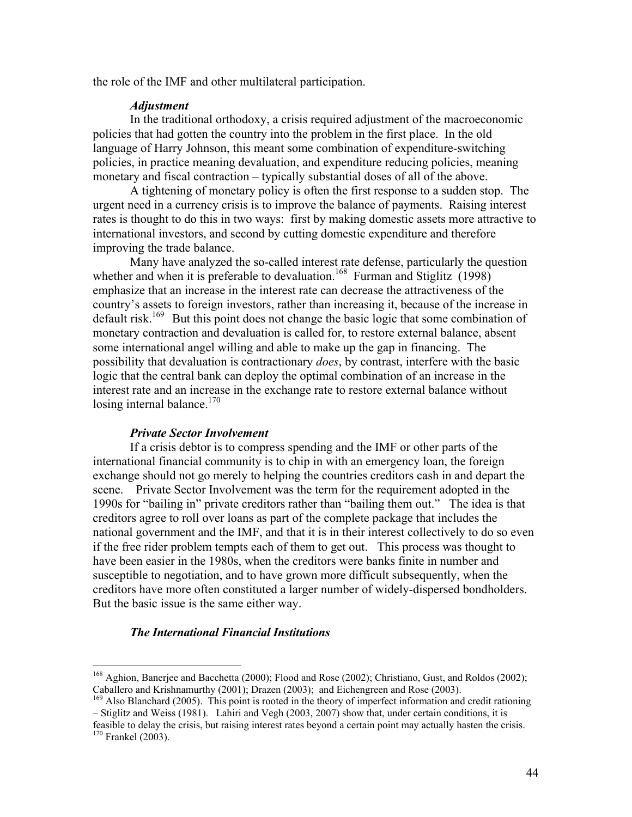the role of the IMF and other multilateral participation.

#### *Adjustment*

In the traditional orthodoxy, a crisis required adjustment of the macroeconomic policies that had gotten the country into the problem in the first place.In the old language of Harry Johnson, this meant some combination of expenditure-switching policies, in practice meaning devaluation, and expenditure reducing policies, meaning monetary and fiscal contraction – typically substantial doses of all of the above.

A tightening of monetary policy is often the first response to a sudden stop. The urgent need in a currency crisis is to improve the balance of payments. Raising interest rates is thought to do this in two ways: first by making domestic assets more attractive to international investors, and second by cutting domestic expenditure and therefore improving the trade balance.

Many have analyzed the so-called interest rate defense, particularly the question whether and when it is preferable to devaluation.<sup>168</sup> Furman and Stiglitz (1998) emphasize that an increase in the interest rate can decrease the attractiveness of the country's assets to foreign investors, rather than increasing it, because of the increase in default risk.<sup>169</sup> But this point does not change the basic logic that some combination of monetary contraction and devaluation is called for, to restore external balance, absent some international angel willing and able to make up the gap in financing. The possibility that devaluation is contractionary *does*, by contrast, interfere with the basic logic that the central bank can deploy the optimal combination of an increase in the interest rate and an increase in the exchange rate to restore external balance without losing internal balance.<sup>170</sup>

#### *Private Sector Involvement*

If a crisis debtor is to compress spending and the IMF or other parts of the international financial community is to chip in with an emergency loan, the foreign exchange should not go merely to helping the countries creditors cash in and depart the scene. Private Sector Involvement was the term for the requirement adopted in the 1990s for "bailing in" private creditors rather than "bailing them out." The idea is that creditors agree to roll over loans as part of the complete package that includes the national government and the IMF, and that it is in their interest collectively to do so even if the free rider problem tempts each of them to get out. This process was thought to have been easier in the 1980s, when the creditors were banks finite in number and susceptible to negotiation, and to have grown more difficult subsequently, when the creditors have more often constituted a larger number of widely-dispersed bondholders. But the basic issue is the same either way.

## *The International Financial Institutions*

<sup>&</sup>lt;sup>168</sup> Aghion, Banerjee and Bacchetta (2000); Flood and Rose (2002); Christiano, Gust, and Roldos (2002); Caballero and Krishnamurthy (2001); Drazen (2003); and Eichengreen and Rose (2003).

<sup>&</sup>lt;sup>169</sup> Also Blanchard (2005). This point is rooted in the theory of imperfect information and credit rationing – Stiglitz and Weiss (1981). Lahiri and Vegh (2003, 2007) show that, under certain conditions, it is

feasible to delay the crisis, but raising interest rates beyond a certain point may actually hasten the crisis. 170 Frankel (2003).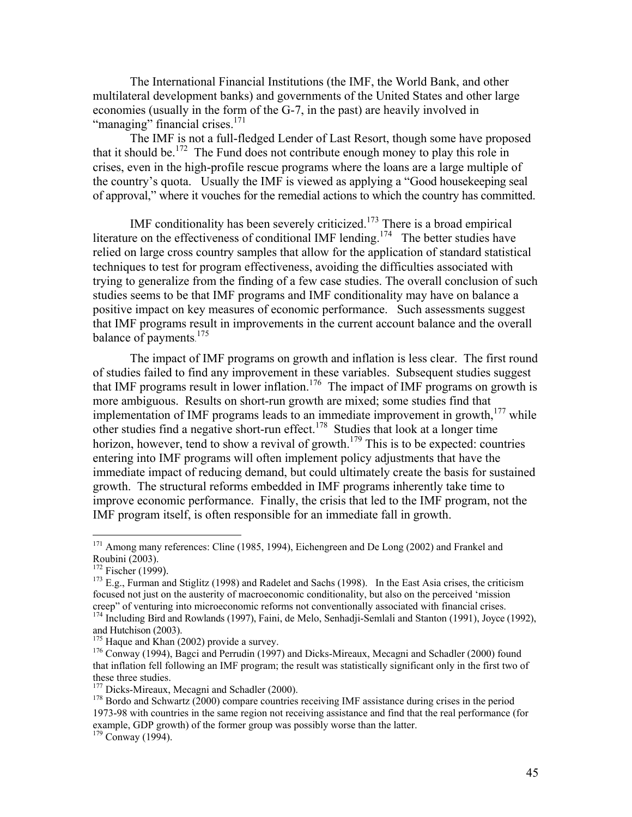The International Financial Institutions (the IMF, the World Bank, and other multilateral development banks) and governments of the United States and other large economies (usually in the form of the G-7, in the past) are heavily involved in "managing" financial crises. $171$ 

The IMF is not a full-fledged Lender of Last Resort, though some have proposed that it should be.<sup>172</sup> The Fund does not contribute enough money to play this role in crises, even in the high-profile rescue programs where the loans are a large multiple of the country's quota. Usually the IMF is viewed as applying a "Good housekeeping seal of approval," where it vouches for the remedial actions to which the country has committed.

IMF conditionality has been severely criticized.<sup>173</sup> There is a broad empirical literature on the effectiveness of conditional IMF lending.<sup>174</sup> The better studies have relied on large cross country samples that allow for the application of standard statistical techniques to test for program effectiveness, avoiding the difficulties associated with trying to generalize from the finding of a few case studies. The overall conclusion of such studies seems to be that IMF programs and IMF conditionality may have on balance a positive impact on key measures of economic performance. Such assessments suggest that IMF programs result in improvements in the current account balance and the overall balance of payments.<sup>175</sup>

The impact of IMF programs on growth and inflation is less clear. The first round of studies failed to find any improvement in these variables. Subsequent studies suggest that IMF programs result in lower inflation.<sup>176</sup> The impact of IMF programs on growth is more ambiguous. Results on short-run growth are mixed; some studies find that implementation of IMF programs leads to an immediate improvement in growth,<sup>177</sup> while other studies find a negative short-run effect.<sup>178</sup> Studies that look at a longer time horizon, however, tend to show a revival of growth.<sup>179</sup> This is to be expected: countries entering into IMF programs will often implement policy adjustments that have the immediate impact of reducing demand, but could ultimately create the basis for sustained growth. The structural reforms embedded in IMF programs inherently take time to improve economic performance. Finally, the crisis that led to the IMF program, not the IMF program itself, is often responsible for an immediate fall in growth.

<sup>&</sup>lt;sup>171</sup> Among many references: Cline (1985, 1994), Eichengreen and De Long (2002) and Frankel and Roubini (2003).<br><sup>172</sup> Fischer (1999).

<sup>&</sup>lt;sup>173</sup> E.g., Furman and Stiglitz (1998) and Radelet and Sachs (1998). In the East Asia crises, the criticism focused not just on the austerity of macroeconomic conditionality, but also on the perceived 'mission creep" of venturing into microeconomic reforms not conventionally associated with financial crises. 174 Including Bird and Rowlands (1997), Faini, de Melo, Senhadji-Semlali and Stanton (1991), Joyce (1992),

and Hutchison (2003).<br><sup>175</sup> Haque and Khan (2002) provide a survey.

 $176$  Conway (1994), Bagci and Perrudin (1997) and Dicks-Mireaux, Mecagni and Schadler (2000) found that inflation fell following an IMF program; the result was statistically significant only in the first two of these three studies.<br><sup>177</sup> Dicks-Mireaux, Mecagni and Schadler (2000).

 $178$  Bordo and Schwartz (2000) compare countries receiving IMF assistance during crises in the period 1973-98 with countries in the same region not receiving assistance and find that the real performance (for example, GDP growth) of the former group was possibly worse than the latter.

 $179$  Conway (1994).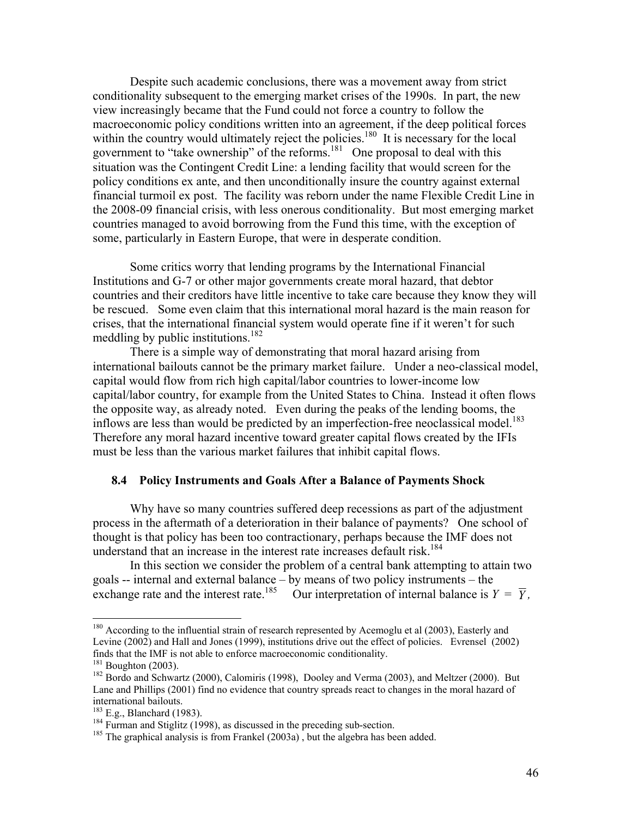Despite such academic conclusions, there was a movement away from strict conditionality subsequent to the emerging market crises of the 1990s. In part, the new view increasingly became that the Fund could not force a country to follow the macroeconomic policy conditions written into an agreement, if the deep political forces within the country would ultimately reject the policies.<sup>180</sup> It is necessary for the local government to "take ownership" of the reforms.<sup>181</sup> One proposal to deal with this situation was the Contingent Credit Line: a lending facility that would screen for the policy conditions ex ante, and then unconditionally insure the country against external financial turmoil ex post. The facility was reborn under the name Flexible Credit Line in the 2008-09 financial crisis, with less onerous conditionality. But most emerging market countries managed to avoid borrowing from the Fund this time, with the exception of some, particularly in Eastern Europe, that were in desperate condition.

Some critics worry that lending programs by the International Financial Institutions and G-7 or other major governments create moral hazard, that debtor countries and their creditors have little incentive to take care because they know they will be rescued. Some even claim that this international moral hazard is the main reason for crises, that the international financial system would operate fine if it weren't for such meddling by public institutions.<sup>182</sup>

There is a simple way of demonstrating that moral hazard arising from international bailouts cannot be the primary market failure. Under a neo-classical model, capital would flow from rich high capital/labor countries to lower-income low capital/labor country, for example from the United States to China. Instead it often flows the opposite way, as already noted. Even during the peaks of the lending booms, the inflows are less than would be predicted by an imperfection-free neoclassical model.<sup>183</sup> Therefore any moral hazard incentive toward greater capital flows created by the IFIs must be less than the various market failures that inhibit capital flows.

#### **8.4 Policy Instruments and Goals After a Balance of Payments Shock**

 Why have so many countries suffered deep recessions as part of the adjustment process in the aftermath of a deterioration in their balance of payments? One school of thought is that policy has been too contractionary, perhaps because the IMF does not understand that an increase in the interest rate increases default risk.<sup>184</sup>

 In this section we consider the problem of a central bank attempting to attain two goals -- internal and external balance – by means of two policy instruments – the exchange rate and the interest rate.<sup>185</sup> Our interpretation of internal balance is  $Y = \overline{Y}$ ,

1

<sup>&</sup>lt;sup>180</sup> According to the influential strain of research represented by Acemoglu et al (2003), Easterly and Levine (2002) and Hall and Jones (1999), institutions drive out the effect of policies. Evrensel (2002) finds that the IMF is not able to enforce macroeconomic conditionality.<br><sup>181</sup> Boughton (2003).

 $182$  Bordo and Schwartz (2000), Calomiris (1998), Dooley and Verma (2003), and Meltzer (2000). But Lane and Phillips (2001) find no evidence that country spreads react to changes in the moral hazard of international bailouts.<br> $^{183}$  E.g., Blanchard (1983).

<sup>&</sup>lt;sup>184</sup> Furman and Stiglitz (1998), as discussed in the preceding sub-section.<br><sup>185</sup> The graphical analysis is from Frankel (2003a), but the algebra has been added.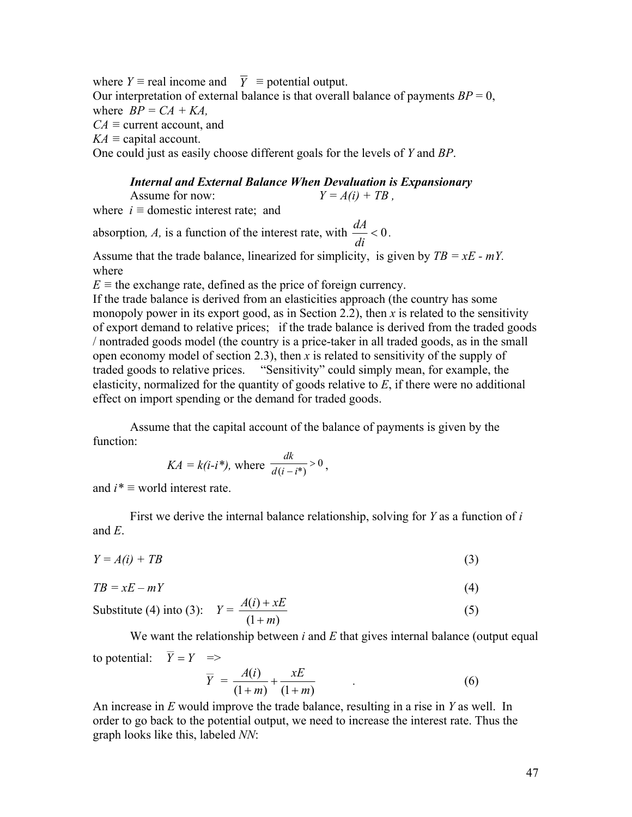where  $Y \equiv$  real income and  $\overline{Y} \equiv$  potential output. Our interpretation of external balance is that overall balance of payments  $BP = 0$ , where  $BP = CA + KA$ , *CA ≡* current account, and  $KA \equiv$  capital account. One could just as easily choose different goals for the levels of *Y* and *BP*.

#### *Internal and External Balance When Devaluation is Expansionary*

Assume for now:  $Y = A(i) + TB$ ,

where  $i \equiv$  domestic interest rate; and

absorption, A, is a function of the interest rate, with  $\frac{dH}{dr} < 0$ *di*  $\frac{dA}{dt}$  < 0.

Assume that the trade balance, linearized for simplicity, is given by  $TB = xE - mY$ . where

 $E \equiv$  the exchange rate, defined as the price of foreign currency.

If the trade balance is derived from an elasticities approach (the country has some monopoly power in its export good, as in Section 2.2), then  $x$  is related to the sensitivity of export demand to relative prices; if the trade balance is derived from the traded goods / nontraded goods model (the country is a price-taker in all traded goods, as in the small open economy model of section 2.3), then *x* is related to sensitivity of the supply of traded goods to relative prices. "Sensitivity" could simply mean, for example, the elasticity, normalized for the quantity of goods relative to *E*, if there were no additional effect on import spending or the demand for traded goods.

 Assume that the capital account of the balance of payments is given by the function:

$$
KA = k(i-i^*), \text{ where } \frac{dk}{d(i-i^*)} > 0,
$$

and  $i^* \equiv$  world interest rate.

First we derive the internal balance relationship, solving for *Y* as a function of *i*  and *E*.

$$
Y = A(i) + TB \tag{3}
$$

$$
TB = xE - mY \tag{4}
$$

Substitute (4) into (3):  $Y =$  $(1 + m)$  $(i)$ *m*  $A(i) + xE$  $^{+}$  $+xE$  (5)

We want the relationship between *i* and *E* that gives internal balance (output equal to potential:  $\overline{Y} = Y \implies$  $\overline{Y}$ 

$$
\overline{Y} = \frac{A(i)}{(1+m)} + \frac{xE}{(1+m)}\tag{6}
$$

An increase in *E* would improve the trade balance, resulting in a rise in *Y* as well. In order to go back to the potential output, we need to increase the interest rate. Thus the graph looks like this, labeled *NN*: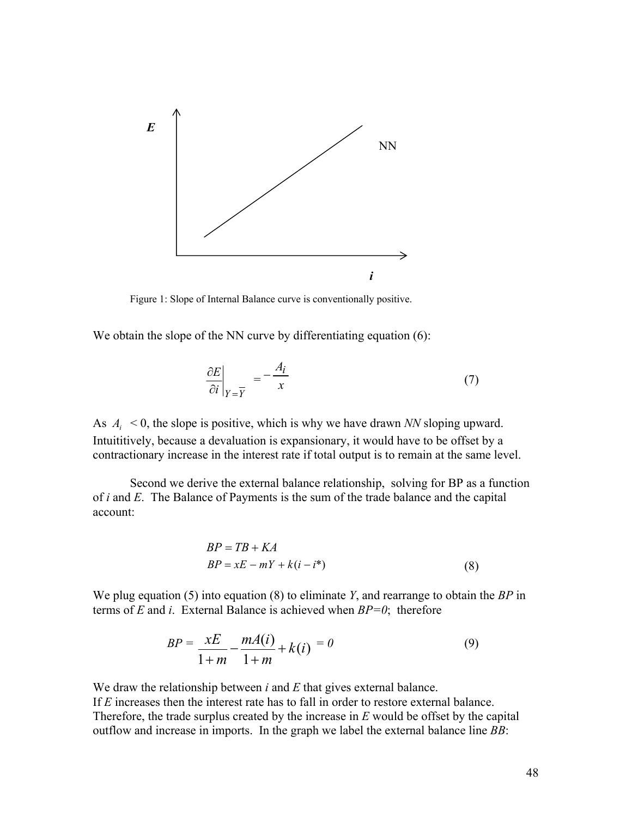

Figure 1: Slope of Internal Balance curve is conventionally positive.

We obtain the slope of the NN curve by differentiating equation  $(6)$ :

$$
\left. \frac{\partial E}{\partial i} \right|_{Y = \overline{Y}} = -\frac{A_i}{x} \tag{7}
$$

As *Ai* < 0, the slope is positive, which is why we have drawn *NN* sloping upward. Intuititively, because a devaluation is expansionary, it would have to be offset by a contractionary increase in the interest rate if total output is to remain at the same level.

Second we derive the external balance relationship, solving for BP as a function of *i* and *E*. The Balance of Payments is the sum of the trade balance and the capital account:

$$
BP = TB + KA
$$
  
 
$$
BP = xE - mY + k(i - i^*)
$$
 (8)

We plug equation (5) into equation (8) to eliminate *Y*, and rearrange to obtain the *BP* in terms of *E* and *i*. External Balance is achieved when *BP=0*; therefore

$$
BP = \frac{xE}{1+m} - \frac{mA(i)}{1+m} + k(i) = 0
$$
\n(9)

We draw the relationship between *i* and *E* that gives external balance.

If *E* increases then the interest rate has to fall in order to restore external balance. Therefore, the trade surplus created by the increase in *E* would be offset by the capital outflow and increase in imports. In the graph we label the external balance line *BB*: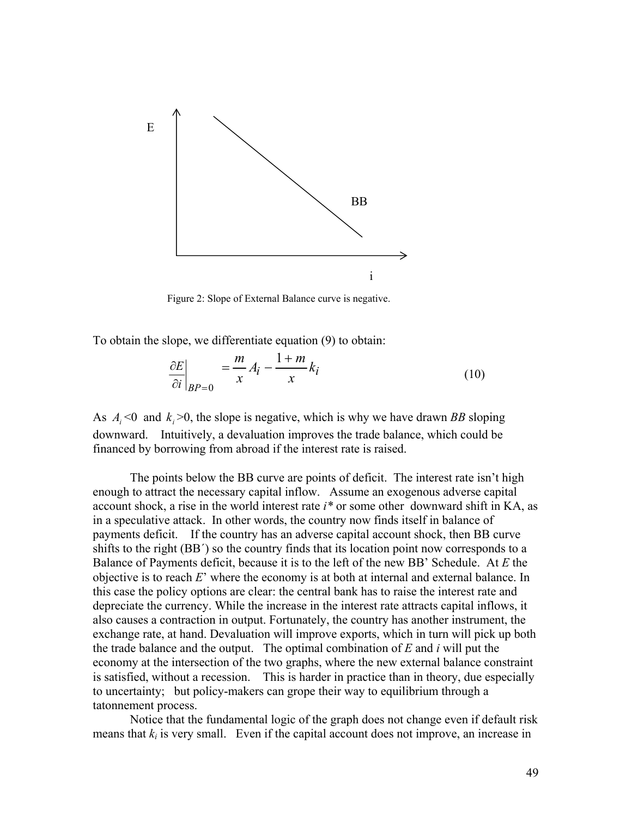

Figure 2: Slope of External Balance curve is negative.

To obtain the slope, we differentiate equation (9) to obtain:

$$
\left. \frac{\partial E}{\partial i} \right|_{BP=0} = \frac{m}{x} A_i - \frac{1+m}{x} k_i \tag{10}
$$

As  $A_i \leq 0$  and  $k_i \geq 0$ , the slope is negative, which is why we have drawn *BB* sloping downward. Intuitively, a devaluation improves the trade balance, which could be financed by borrowing from abroad if the interest rate is raised.

 The points below the BB curve are points of deficit. The interest rate isn't high enough to attract the necessary capital inflow. Assume an exogenous adverse capital account shock, a rise in the world interest rate *i\** or some other downward shift in KA, as in a speculative attack. In other words, the country now finds itself in balance of payments deficit. If the country has an adverse capital account shock, then BB curve shifts to the right (BB´) so the country finds that its location point now corresponds to a Balance of Payments deficit, because it is to the left of the new BB' Schedule. At *E* the objective is to reach *E*' where the economy is at both at internal and external balance. In this case the policy options are clear: the central bank has to raise the interest rate and depreciate the currency. While the increase in the interest rate attracts capital inflows, it also causes a contraction in output. Fortunately, the country has another instrument, the exchange rate, at hand. Devaluation will improve exports, which in turn will pick up both the trade balance and the output. The optimal combination of *E* and *i* will put the economy at the intersection of the two graphs, where the new external balance constraint is satisfied, without a recession. This is harder in practice than in theory, due especially to uncertainty; but policy-makers can grope their way to equilibrium through a tatonnement process.

 Notice that the fundamental logic of the graph does not change even if default risk means that  $k_i$  is very small. Even if the capital account does not improve, an increase in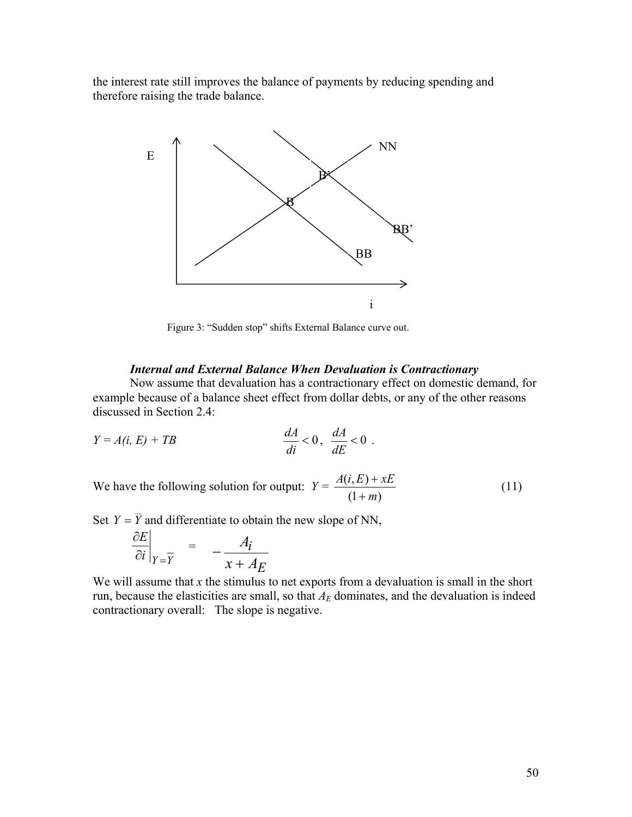the interest rate still improves the balance of payments by reducing spending and therefore raising the trade balance.



Figure 3: "Sudden stop" shifts External Balance curve out.

### *Internal and External Balance When Devaluation is Contractionary*

 Now assume that devaluation has a contractionary effect on domestic demand, for example because of a balance sheet effect from dollar debts, or any of the other reasons discussed in Section 2.4:

$$
Y = A(i, E) + TB \qquad \qquad \frac{dA}{di} < 0 \, , \, \frac{dA}{dE} < 0 \, .
$$

We have the following solution for output:  $Y =$  $(1 + m)$  $(i, E)$ *m*  $A(i, E) + xE$  $\ddot{}$  $+xE$  (11)

Set  $Y = \overline{Y}$  and differentiate to obtain the new slope of NN,

$$
\left. \frac{\partial E}{\partial i} \right|_{Y = \overline{Y}} = -\frac{A_i}{x + A_E}
$$

We will assume that *x* the stimulus to net exports from a devaluation is small in the short run, because the elasticities are small, so that  $A<sub>E</sub>$  dominates, and the devaluation is indeed contractionary overall: The slope is negative.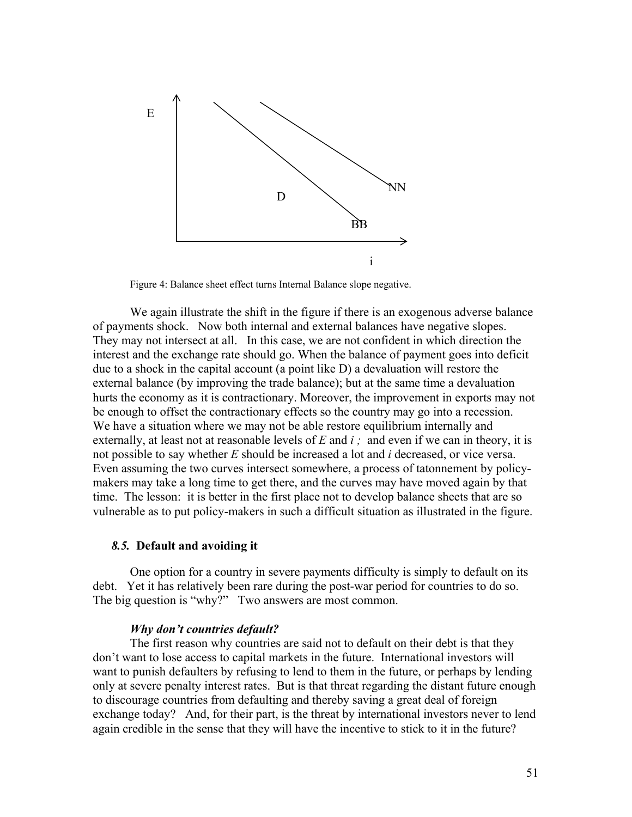

Figure 4: Balance sheet effect turns Internal Balance slope negative.

 We again illustrate the shift in the figure if there is an exogenous adverse balance of payments shock. Now both internal and external balances have negative slopes. They may not intersect at all. In this case, we are not confident in which direction the interest and the exchange rate should go. When the balance of payment goes into deficit due to a shock in the capital account (a point like D) a devaluation will restore the external balance (by improving the trade balance); but at the same time a devaluation hurts the economy as it is contractionary. Moreover, the improvement in exports may not be enough to offset the contractionary effects so the country may go into a recession. We have a situation where we may not be able restore equilibrium internally and externally, at least not at reasonable levels of *E* and *i*; and even if we can in theory, it is not possible to say whether *E* should be increased a lot and *i* decreased, or vice versa. Even assuming the two curves intersect somewhere, a process of tatonnement by policymakers may take a long time to get there, and the curves may have moved again by that time. The lesson: it is better in the first place not to develop balance sheets that are so vulnerable as to put policy-makers in such a difficult situation as illustrated in the figure.

#### *8.5.* **Default and avoiding it**

One option for a country in severe payments difficulty is simply to default on its debt. Yet it has relatively been rare during the post-war period for countries to do so. The big question is "why?" Two answers are most common.

#### *Why don't countries default?*

The first reason why countries are said not to default on their debt is that they don't want to lose access to capital markets in the future. International investors will want to punish defaulters by refusing to lend to them in the future, or perhaps by lending only at severe penalty interest rates. But is that threat regarding the distant future enough to discourage countries from defaulting and thereby saving a great deal of foreign exchange today? And, for their part, is the threat by international investors never to lend again credible in the sense that they will have the incentive to stick to it in the future?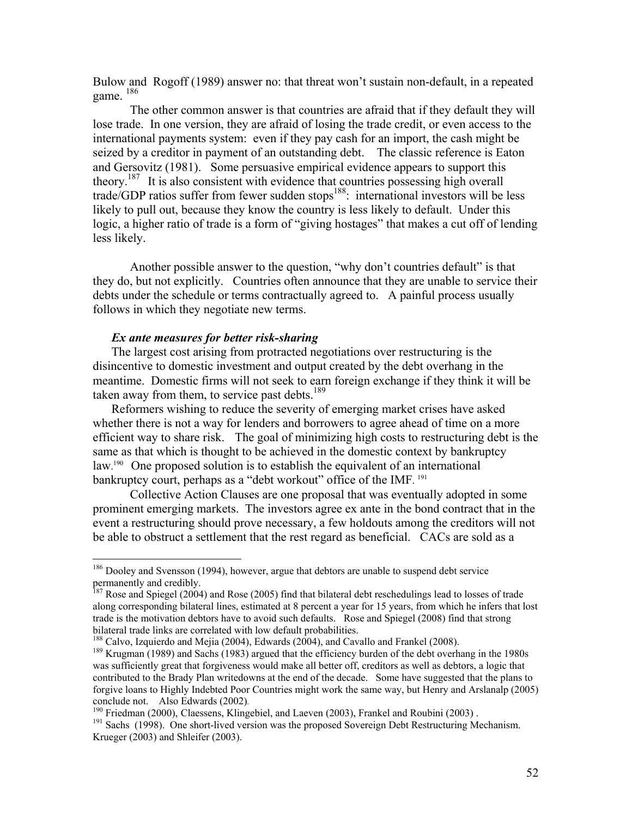Bulow and Rogoff (1989) answer no: that threat won't sustain non-default, in a repeated game. <sup>186</sup>

The other common answer is that countries are afraid that if they default they will lose trade. In one version, they are afraid of losing the trade credit, or even access to the international payments system: even if they pay cash for an import, the cash might be seized by a creditor in payment of an outstanding debt. The classic reference is Eaton and Gersovitz (1981). Some persuasive empirical evidence appears to support this theory.187 It is also consistent with evidence that countries possessing high overall trade/GDP ratios suffer from fewer sudden stops<sup>188</sup>: international investors will be less likely to pull out, because they know the country is less likely to default. Under this logic, a higher ratio of trade is a form of "giving hostages" that makes a cut off of lending less likely.

Another possible answer to the question, "why don't countries default" is that they do, but not explicitly. Countries often announce that they are unable to service their debts under the schedule or terms contractually agreed to. A painful process usually follows in which they negotiate new terms.

#### *Ex ante measures for better risk-sharing*

1

The largest cost arising from protracted negotiations over restructuring is the disincentive to domestic investment and output created by the debt overhang in the meantime. Domestic firms will not seek to earn foreign exchange if they think it will be taken away from them, to service past debts. $189$ 

Reformers wishing to reduce the severity of emerging market crises have asked whether there is not a way for lenders and borrowers to agree ahead of time on a more efficient way to share risk. The goal of minimizing high costs to restructuring debt is the same as that which is thought to be achieved in the domestic context by bankruptcy law.<sup>190</sup> One proposed solution is to establish the equivalent of an international bankruptcy court, perhaps as a "debt workout" office of the IMF. <sup>191</sup>

Collective Action Clauses are one proposal that was eventually adopted in some prominent emerging markets. The investors agree ex ante in the bond contract that in the event a restructuring should prove necessary, a few holdouts among the creditors will not be able to obstruct a settlement that the rest regard as beneficial. CACs are sold as a

<sup>&</sup>lt;sup>186</sup> Dooley and Svensson (1994), however, argue that debtors are unable to suspend debt service permanently and credibly.

<sup>&</sup>lt;sup>187</sup> Rose and Spiegel (2004) and Rose (2005) find that bilateral debt reschedulings lead to losses of trade along corresponding bilateral lines, estimated at 8 percent a year for 15 years, from which he infers that lost trade is the motivation debtors have to avoid such defaults. Rose and Spiegel (2008) find that strong

<sup>&</sup>lt;sup>188</sup> Calvo, Izquierdo and Mejia (2004), Edwards (2004), and Cavallo and Frankel (2008).<br><sup>189</sup> Krugman (1989) and Sachs (1983) argued that the efficiency burden of the debt overhang in the 1980s was sufficiently great that forgiveness would make all better off, creditors as well as debtors, a logic that contributed to the Brady Plan writedowns at the end of the decade. Some have suggested that the plans to forgive loans to Highly Indebted Poor Countries might work the same way, but Henry and Arslanalp (2005)

<sup>&</sup>lt;sup>190</sup> Friedman (2000), Claessens, Klingebiel, and Laeven (2003), Frankel and Roubini (2003).<br><sup>191</sup> Sachs (1998). One short-lived version was the proposed Sovereign Debt Restructuring Mechanism. Krueger (2003) and Shleifer (2003).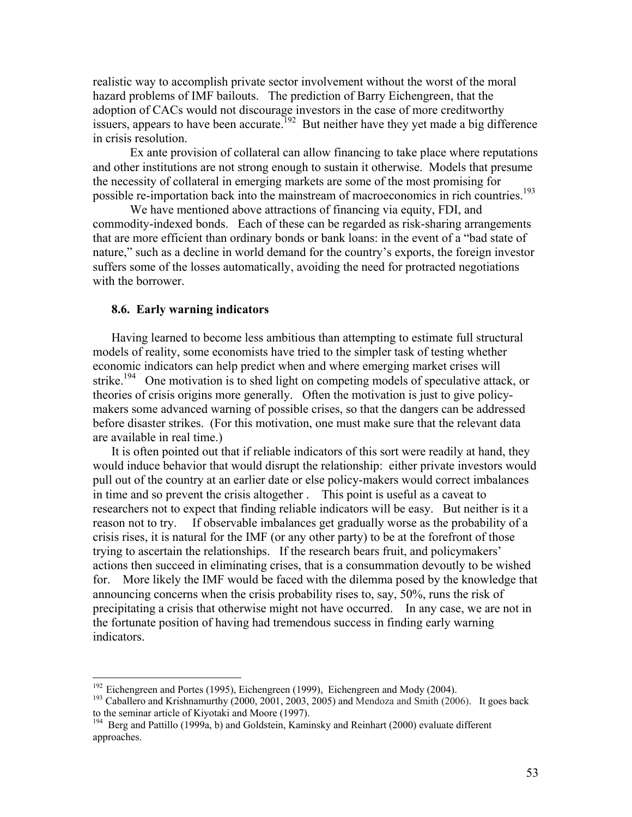realistic way to accomplish private sector involvement without the worst of the moral hazard problems of IMF bailouts. The prediction of Barry Eichengreen, that the adoption of CACs would not discourage investors in the case of more creditworthy issuers, appears to have been accurate.<sup>192</sup> But neither have they yet made a big difference in crisis resolution.

Ex ante provision of collateral can allow financing to take place where reputations and other institutions are not strong enough to sustain it otherwise. Models that presume the necessity of collateral in emerging markets are some of the most promising for possible re-importation back into the mainstream of macroeconomics in rich countries.<sup>193</sup>

We have mentioned above attractions of financing via equity, FDI, and commodity-indexed bonds. Each of these can be regarded as risk-sharing arrangements that are more efficient than ordinary bonds or bank loans: in the event of a "bad state of nature," such as a decline in world demand for the country's exports, the foreign investor suffers some of the losses automatically, avoiding the need for protracted negotiations with the borrower.

#### **8.6. Early warning indicators**

Having learned to become less ambitious than attempting to estimate full structural models of reality, some economists have tried to the simpler task of testing whether economic indicators can help predict when and where emerging market crises will strike.<sup>194</sup> One motivation is to shed light on competing models of speculative attack, or theories of crisis origins more generally. Often the motivation is just to give policymakers some advanced warning of possible crises, so that the dangers can be addressed before disaster strikes. (For this motivation, one must make sure that the relevant data are available in real time.)

It is often pointed out that if reliable indicators of this sort were readily at hand, they would induce behavior that would disrupt the relationship: either private investors would pull out of the country at an earlier date or else policy-makers would correct imbalances in time and so prevent the crisis altogether . This point is useful as a caveat to researchers not to expect that finding reliable indicators will be easy. But neither is it a reason not to try. If observable imbalances get gradually worse as the probability of a crisis rises, it is natural for the IMF (or any other party) to be at the forefront of those trying to ascertain the relationships. If the research bears fruit, and policymakers' actions then succeed in eliminating crises, that is a consummation devoutly to be wished for. More likely the IMF would be faced with the dilemma posed by the knowledge that announcing concerns when the crisis probability rises to, say, 50%, runs the risk of precipitating a crisis that otherwise might not have occurred. In any case, we are not in the fortunate position of having had tremendous success in finding early warning indicators.

<sup>&</sup>lt;sup>192</sup> Eichengreen and Portes (1995), Eichengreen (1999), Eichengreen and Mody (2004).

<sup>&</sup>lt;sup>193</sup> Caballero and Krishnamurthy (2000, 2001, 2003, 2005) and Mendoza and Smith (2006). It goes back to the seminar article of Kiyotaki and Moore (1997).

<sup>&</sup>lt;sup>194</sup> Berg and Pattillo (1999a, b) and Goldstein, Kaminsky and Reinhart (2000) evaluate different approaches.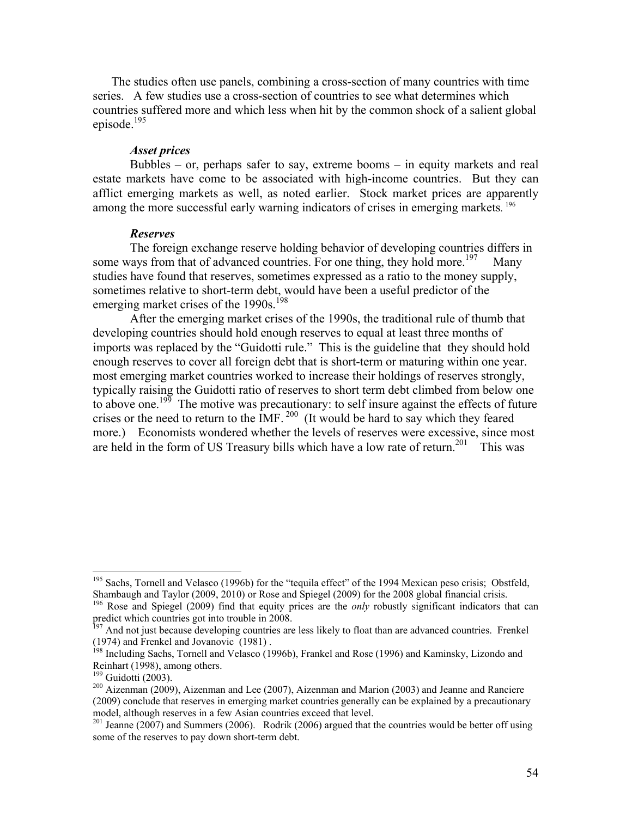The studies often use panels, combining a cross-section of many countries with time series. A few studies use a cross-section of countries to see what determines which countries suffered more and which less when hit by the common shock of a salient global episode.195

#### *Asset prices*

Bubbles – or, perhaps safer to say, extreme booms – in equity markets and real estate markets have come to be associated with high-income countries. But they can afflict emerging markets as well, as noted earlier. Stock market prices are apparently among the more successful early warning indicators of crises in emerging markets.<sup>196</sup>

#### *Reserves*

The foreign exchange reserve holding behavior of developing countries differs in some ways from that of advanced countries. For one thing, they hold more.<sup>197</sup> Many studies have found that reserves, sometimes expressed as a ratio to the money supply, sometimes relative to short-term debt, would have been a useful predictor of the emerging market crises of the 1990s.<sup>198</sup>

After the emerging market crises of the 1990s, the traditional rule of thumb that developing countries should hold enough reserves to equal at least three months of imports was replaced by the "Guidotti rule." This is the guideline that they should hold enough reserves to cover all foreign debt that is short-term or maturing within one year. most emerging market countries worked to increase their holdings of reserves strongly, typically raising the Guidotti ratio of reserves to short term debt climbed from below one to above one.<sup>199</sup> The motive was precautionary: to self insure against the effects of future crises or the need to return to the IMF. 200 (It would be hard to say which they feared more.) Economists wondered whether the levels of reserves were excessive, since most are held in the form of US Treasury bills which have a low rate of return.<sup>201</sup> This was

1

<sup>&</sup>lt;sup>195</sup> Sachs, Tornell and Velasco (1996b) for the "tequila effect" of the 1994 Mexican peso crisis; Obstfeld, Shambaugh and Taylor (2009, 2010) or Rose and Spiegel (2009) for the 2008 global financial crisis.

<sup>196</sup> Rose and Spiegel (2009) find that equity prices are the *only* robustly significant indicators that can predict which countries got into trouble in 2008.

<sup>&</sup>lt;sup>197</sup> And not just because developing countries are less likely to float than are advanced countries. Frenkel (1974) and Frenkel and Jovanovic (1981) .

<sup>&</sup>lt;sup>198</sup> Including Sachs, Tornell and Velasco (1996b), Frankel and Rose (1996) and Kaminsky, Lizondo and Reinhart (1998), among others.<br><sup>199</sup> Guidotti (2003).

 $1000$  Aizenman (2009), Aizenman and Lee (2007), Aizenman and Marion (2003) and Jeanne and Ranciere (2009) conclude that reserves in emerging market countries generally can be explained by a precautionary model, although reserves in a few Asian countries exceed that level.

 $201$  Jeanne (2007) and Summers (2006). Rodrik (2006) argued that the countries would be better off using some of the reserves to pay down short-term debt.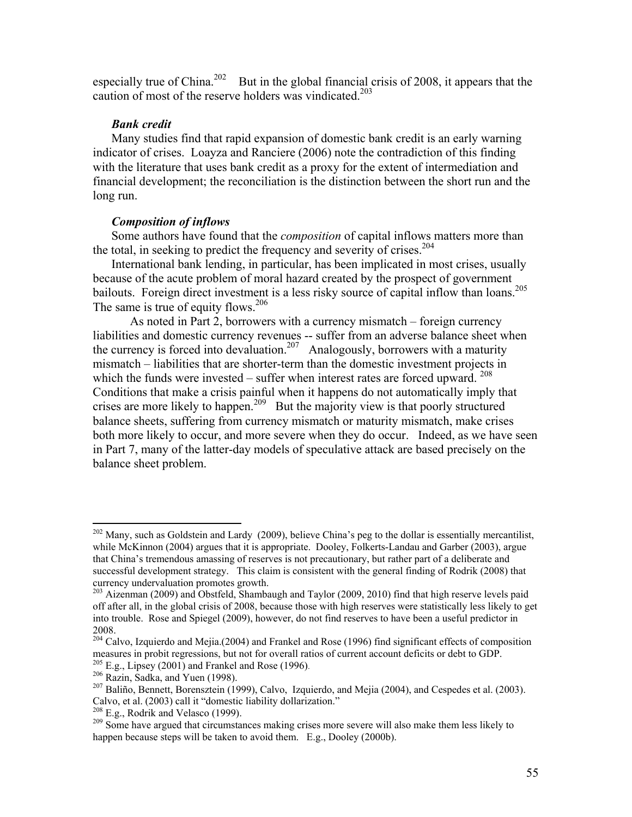especially true of China.<sup>202</sup> But in the global financial crisis of 2008, it appears that the caution of most of the reserve holders was vindicated.<sup>203</sup>

#### *Bank credit*

Many studies find that rapid expansion of domestic bank credit is an early warning indicator of crises. Loayza and Ranciere (2006) note the contradiction of this finding with the literature that uses bank credit as a proxy for the extent of intermediation and financial development; the reconciliation is the distinction between the short run and the long run.

## *Composition of inflows*

Some authors have found that the *composition* of capital inflows matters more than the total, in seeking to predict the frequency and severity of crises.<sup>204</sup>

International bank lending, in particular, has been implicated in most crises, usually because of the acute problem of moral hazard created by the prospect of government bailouts. Foreign direct investment is a less risky source of capital inflow than loans.<sup>205</sup> The same is true of equity flows.<sup>206</sup>

As noted in Part 2, borrowers with a currency mismatch – foreign currency liabilities and domestic currency revenues -- suffer from an adverse balance sheet when the currency is forced into devaluation.<sup>207</sup> Analogously, borrowers with a maturity mismatch – liabilities that are shorter-term than the domestic investment projects in which the funds were invested – suffer when interest rates are forced upward.  $^{208}$ Conditions that make a crisis painful when it happens do not automatically imply that crises are more likely to happen.<sup>209</sup> But the majority view is that poorly structured balance sheets, suffering from currency mismatch or maturity mismatch, make crises both more likely to occur, and more severe when they do occur. Indeed, as we have seen in Part 7, many of the latter-day models of speculative attack are based precisely on the balance sheet problem.

1

 $^{202}$  Many, such as Goldstein and Lardy (2009), believe China's peg to the dollar is essentially mercantilist, while McKinnon (2004) argues that it is appropriate. Dooley, Folkerts-Landau and Garber (2003), argue that China's tremendous amassing of reserves is not precautionary, but rather part of a deliberate and successful development strategy. This claim is consistent with the general finding of Rodrik (2008) that currency undervaluation promotes growth.

<sup>&</sup>lt;sup>203</sup> Aizenman (2009) and Obstfeld, Shambaugh and Taylor (2009, 2010) find that high reserve levels paid off after all, in the global crisis of 2008, because those with high reserves were statistically less likely to get into trouble. Rose and Spiegel (2009), however, do not find reserves to have been a useful predictor in 2008.

 $204$  Calvo, Izquierdo and Mejia.(2004) and Frankel and Rose (1996) find significant effects of composition measures in probit regressions, but not for overall ratios of current account deficits or debt to GDP.

<sup>&</sup>lt;sup>205</sup> E.g., Lipsey (2001) and Frankel and Rose (1996).<br><sup>206</sup> Razin, Sadka, and Yuen (1998).<br><sup>207</sup> Baliño, Bennett, Borensztein (1999), Calvo, Izquierdo, and Mejia (2004), and Cespedes et al. (2003). Calvo, et al. (2003) call it "domestic liability dollarization."<br><sup>208</sup> E.g., Rodrik and Velasco (1999).

<sup>&</sup>lt;sup>209</sup> Some have argued that circumstances making crises more severe will also make them less likely to happen because steps will be taken to avoid them. E.g., Dooley (2000b).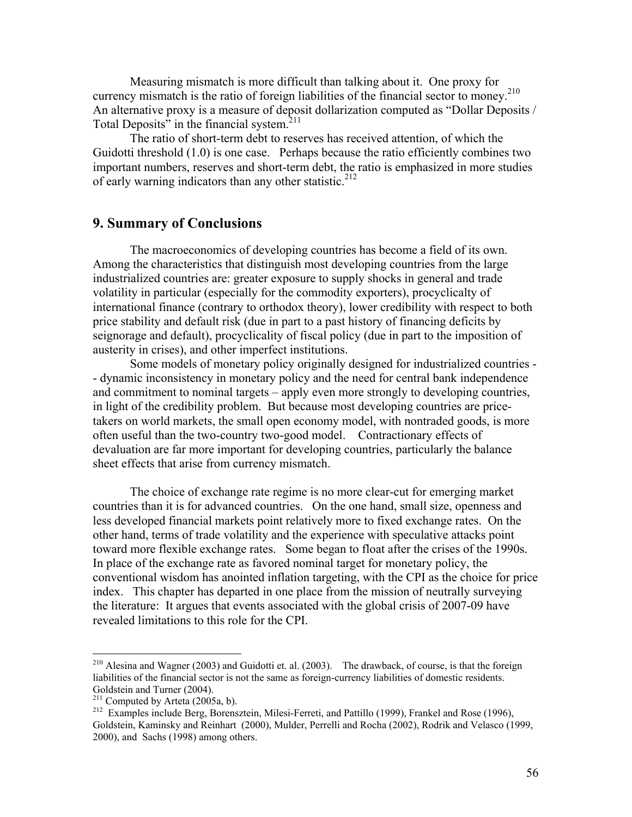Measuring mismatch is more difficult than talking about it. One proxy for currency mismatch is the ratio of foreign liabilities of the financial sector to money.<sup>210</sup> An alternative proxy is a measure of deposit dollarization computed as "Dollar Deposits / Total Deposits" in the financial system.<sup>211</sup>

The ratio of short-term debt to reserves has received attention, of which the Guidotti threshold (1.0) is one case. Perhaps because the ratio efficiently combines two important numbers, reserves and short-term debt, the ratio is emphasized in more studies of early warning indicators than any other statistic.<sup>212</sup>

## **9. Summary of Conclusions**

The macroeconomics of developing countries has become a field of its own. Among the characteristics that distinguish most developing countries from the large industrialized countries are: greater exposure to supply shocks in general and trade volatility in particular (especially for the commodity exporters), procyclicalty of international finance (contrary to orthodox theory), lower credibility with respect to both price stability and default risk (due in part to a past history of financing deficits by seignorage and default), procyclicality of fiscal policy (due in part to the imposition of austerity in crises), and other imperfect institutions.

Some models of monetary policy originally designed for industrialized countries - - dynamic inconsistency in monetary policy and the need for central bank independence and commitment to nominal targets – apply even more strongly to developing countries, in light of the credibility problem. But because most developing countries are pricetakers on world markets, the small open economy model, with nontraded goods, is more often useful than the two-country two-good model. Contractionary effects of devaluation are far more important for developing countries, particularly the balance sheet effects that arise from currency mismatch.

 The choice of exchange rate regime is no more clear-cut for emerging market countries than it is for advanced countries. On the one hand, small size, openness and less developed financial markets point relatively more to fixed exchange rates. On the other hand, terms of trade volatility and the experience with speculative attacks point toward more flexible exchange rates. Some began to float after the crises of the 1990s. In place of the exchange rate as favored nominal target for monetary policy, the conventional wisdom has anointed inflation targeting, with the CPI as the choice for price index. This chapter has departed in one place from the mission of neutrally surveying the literature: It argues that events associated with the global crisis of 2007-09 have revealed limitations to this role for the CPI.

<u>.</u>

<sup>&</sup>lt;sup>210</sup> Alesina and Wagner (2003) and Guidotti et. al. (2003). The drawback, of course, is that the foreign liabilities of the financial sector is not the same as foreign-currency liabilities of domestic residents. Goldstein and Turner (2004).<br><sup>211</sup> Computed by Arteta (2005a, b).

<sup>&</sup>lt;sup>212</sup> Examples include Berg, Borensztein, Milesi-Ferreti, and Pattillo (1999), Frankel and Rose (1996), Goldstein, Kaminsky and Reinhart (2000), Mulder, Perrelli and Rocha (2002), Rodrik and Velasco (1999, 2000), and Sachs (1998) among others.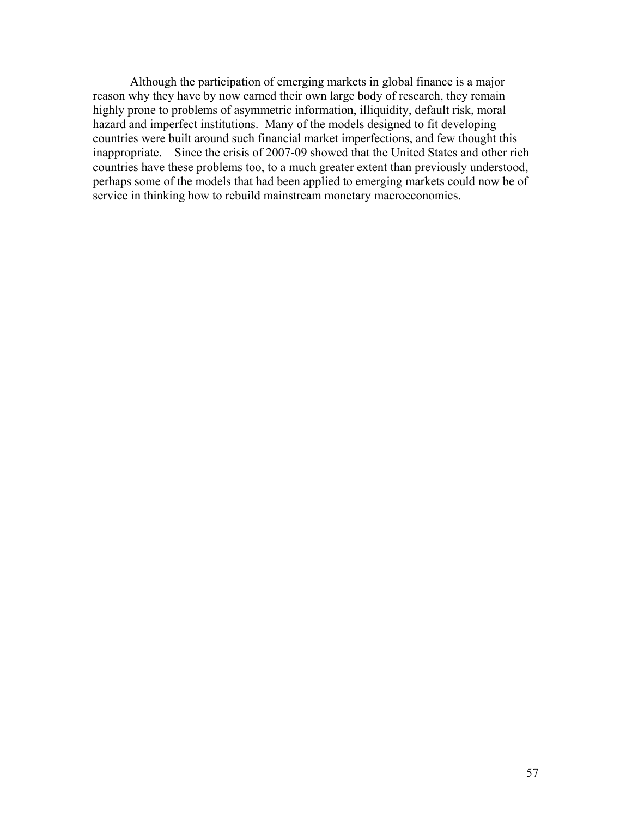Although the participation of emerging markets in global finance is a major reason why they have by now earned their own large body of research, they remain highly prone to problems of asymmetric information, illiquidity, default risk, moral hazard and imperfect institutions. Many of the models designed to fit developing countries were built around such financial market imperfections, and few thought this inappropriate. Since the crisis of 2007-09 showed that the United States and other rich countries have these problems too, to a much greater extent than previously understood, perhaps some of the models that had been applied to emerging markets could now be of service in thinking how to rebuild mainstream monetary macroeconomics.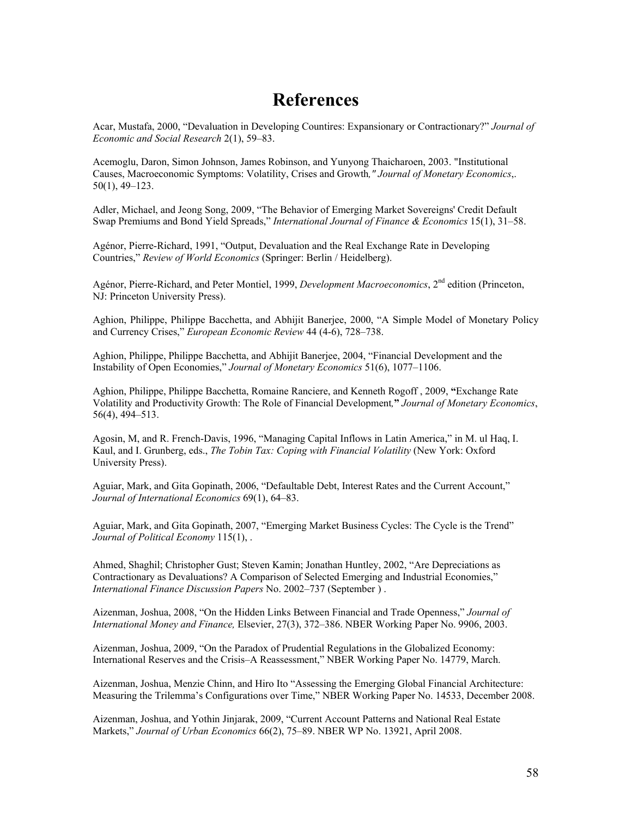# **References**

Acar, Mustafa, 2000, "Devaluation in Developing Countires: Expansionary or Contractionary?" *Journal of Economic and Social Research* 2(1), 59–83.

Acemoglu, Daron, Simon Johnson, James Robinson, and Yunyong Thaicharoen, 2003. "Institutional Causes, Macroeconomic Symptoms: Volatility, Crises and Growth*," Journal of Monetary Economics*,. 50(1), 49–123.

Adler, Michael, and Jeong Song, 2009, "The Behavior of Emerging Market Sovereigns' Credit Default Swap Premiums and Bond Yield Spreads," *International Journal of Finance & Economics* 15(1), 31–58.

Agénor, Pierre-Richard, 1991, "Output, Devaluation and the Real Exchange Rate in Developing Countries," *Review of World Economics* (Springer: Berlin / Heidelberg).

Agénor, Pierre-Richard, and Peter Montiel, 1999, *Development Macroeconomics*, 2nd edition (Princeton, NJ: Princeton University Press).

Aghion, Philippe, Philippe Bacchetta, and Abhijit Banerjee, 2000, "A Simple Model of Monetary Policy and Currency Crises," *European Economic Review* 44 (4-6), 728–738.

Aghion, Philippe, Philippe Bacchetta, and Abhijit Banerjee, 2004, "Financial Development and the Instability of Open Economies," *Journal of Monetary Economics* 51(6), 1077–1106.

Aghion, Philippe, Philippe Bacchetta, Romaine Ranciere, and Kenneth Rogoff , 2009, **"**Exchange Rate Volatility and Productivity Growth: The Role of Financial Development*,***"** *Journal of Monetary Economics*, 56(4), 494–513.

Agosin, M, and R. French-Davis, 1996, "Managing Capital Inflows in Latin America," in M. ul Haq, I. Kaul, and I. Grunberg, eds., *The Tobin Tax: Coping with Financial Volatility* (New York: Oxford University Press).

Aguiar, Mark, and Gita Gopinath, 2006, "Defaultable Debt, Interest Rates and the Current Account," *Journal of International Economics* 69(1), 64–83.

Aguiar, Mark, and Gita Gopinath, 2007, "Emerging Market Business Cycles: The Cycle is the Trend" *Journal of Political Economy* 115(1), .

Ahmed, Shaghil; Christopher Gust; Steven Kamin; Jonathan Huntley, 2002, "Are Depreciations as Contractionary as Devaluations? A Comparison of Selected Emerging and Industrial Economies," *International Finance Discussion Papers* No. 2002–737 (September ) .

Aizenman, Joshua, 2008, "On the Hidden Links Between Financial and Trade Openness," *Journal of International Money and Finance,* Elsevier, 27(3), 372–386. NBER Working Paper No. 9906, 2003.

Aizenman, Joshua, 2009, "On the Paradox of Prudential Regulations in the Globalized Economy: International Reserves and the Crisis–A Reassessment," NBER Working Paper No. 14779, March.

Aizenman, Joshua, Menzie Chinn, and Hiro Ito "Assessing the Emerging Global Financial Architecture: Measuring the Trilemma's Configurations over Time," NBER Working Paper No. 14533, December 2008.

Aizenman, Joshua, and Yothin Jinjarak, 2009, "Current Account Patterns and National Real Estate Markets," *Journal of Urban Economics* 66(2), 75–89. NBER WP No. 13921, April 2008.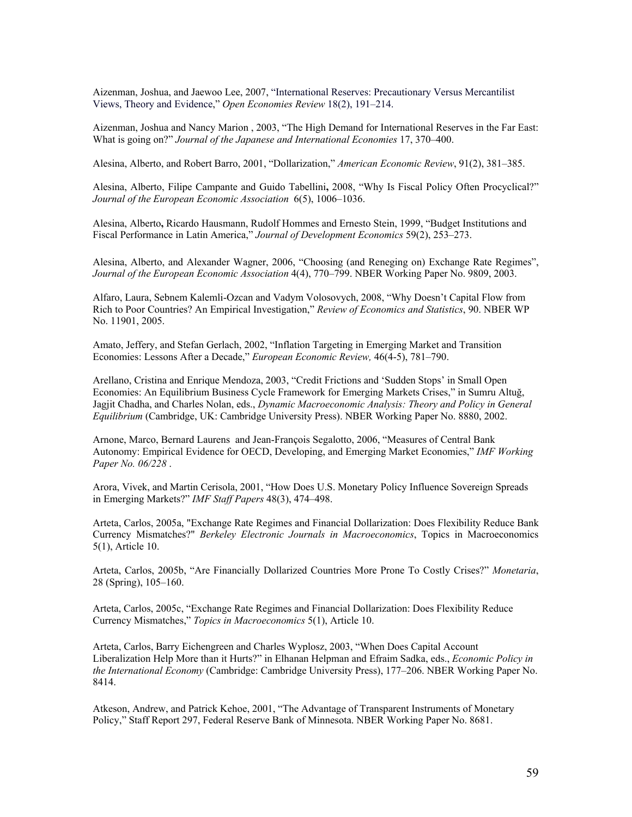Aizenman, Joshua, and Jaewoo Lee, 2007, "International Reserves: Precautionary Versus Mercantilist Views, Theory and Evidence," *Open Economies Review* 18(2), 191–214.

Aizenman, Joshua and Nancy Marion , 2003, "The High Demand for International Reserves in the Far East: What is going on?" *Journal of the Japanese and International Economies* 17, 370–400.

Alesina, Alberto, and Robert Barro, 2001, "Dollarization," *American Economic Review*, 91(2), 381–385.

Alesina, Alberto, Filipe Campante and Guido Tabellini**,** 2008, "Why Is Fiscal Policy Often Procyclical?" *Journal of the European Economic Association* 6(5), 1006–1036.

Alesina, Alberto**,** Ricardo Hausmann, Rudolf Hommes and Ernesto Stein, 1999, "Budget Institutions and Fiscal Performance in Latin America," *Journal of Development Economics* 59(2), 253–273.

Alesina, Alberto, and Alexander Wagner, 2006, "Choosing (and Reneging on) Exchange Rate Regimes", *Journal of the European Economic Association* 4(4), 770–799. NBER Working Paper No. 9809, 2003.

Alfaro, Laura, Sebnem Kalemli-Ozcan and Vadym Volosovych, 2008, "Why Doesn't Capital Flow from Rich to Poor Countries? An Empirical Investigation," *Review of Economics and Statistics*, 90. NBER WP No. 11901, 2005.

Amato, Jeffery, and Stefan Gerlach, 2002, "Inflation Targeting in Emerging Market and Transition Economies: Lessons After a Decade," *European Economic Review,* 46(4-5), 781–790.

Arellano, Cristina and Enrique Mendoza, 2003, "Credit Frictions and 'Sudden Stops' in Small Open Economies: An Equilibrium Business Cycle Framework for Emerging Markets Crises," in Sumru Altuğ, Jagjit Chadha, and Charles Nolan, eds., *Dynamic Macroeconomic Analysis: Theory and Policy in General Equilibrium* (Cambridge, UK: Cambridge University Press). NBER Working Paper No. 8880, 2002.

Arnone, Marco, Bernard Laurens and Jean-François Segalotto, 2006, "Measures of Central Bank Autonomy: Empirical Evidence for OECD, Developing, and Emerging Market Economies," *IMF Working Paper No. 06/228* .

Arora, Vivek, and Martin Cerisola, 2001, "How Does U.S. Monetary Policy Influence Sovereign Spreads in Emerging Markets?" *IMF Staff Papers* 48(3), 474–498.

Arteta, Carlos, 2005a, "Exchange Rate Regimes and Financial Dollarization: Does Flexibility Reduce Bank Currency Mismatches?" *Berkeley Electronic Journals in Macroeconomics*, Topics in Macroeconomics 5(1), Article 10.

Arteta, Carlos, 2005b, "Are Financially Dollarized Countries More Prone To Costly Crises?" *Monetaria*, 28 (Spring), 105–160.

Arteta, Carlos, 2005c, "Exchange Rate Regimes and Financial Dollarization: Does Flexibility Reduce Currency Mismatches," *Topics in Macroeconomics* 5(1), Article 10.

Arteta, Carlos, Barry Eichengreen and Charles Wyplosz, 2003, "When Does Capital Account Liberalization Help More than it Hurts?" in Elhanan Helpman and Efraim Sadka, eds., *Economic Policy in the International Economy* (Cambridge: Cambridge University Press), 177–206. NBER Working Paper No. 8414.

Atkeson, Andrew, and Patrick Kehoe, 2001, "The Advantage of Transparent Instruments of Monetary Policy," Staff Report 297, Federal Reserve Bank of Minnesota. NBER Working Paper No. 8681.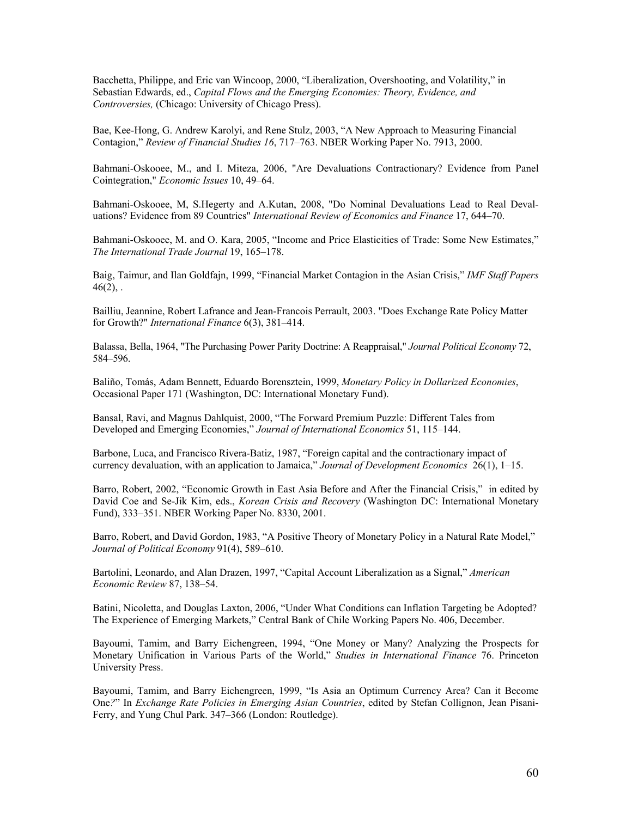Bacchetta, Philippe, and Eric van Wincoop, 2000, "Liberalization, Overshooting, and Volatility," in Sebastian Edwards, ed., *Capital Flows and the Emerging Economies: Theory, Evidence, and Controversies,* (Chicago: University of Chicago Press).

Bae, Kee-Hong, G. Andrew Karolyi, and Rene Stulz, 2003, "A New Approach to Measuring Financial Contagion," *Review of Financial Studies 16*, 717–763. NBER Working Paper No. 7913, 2000.

Bahmani-Oskooee, M., and I. Miteza, 2006, "Are Devaluations Contractionary? Evidence from Panel Cointegration," *Economic Issues* 10, 49–64.

Bahmani-Oskooee, M, S.Hegerty and A.Kutan, 2008, "Do Nominal Devaluations Lead to Real Devaluations? Evidence from 89 Countries" *International Review of Economics and Finance* 17, 644–70.

Bahmani-Oskooee, M. and O. Kara, 2005, "Income and Price Elasticities of Trade: Some New Estimates," *The International Trade Journal* 19, 165–178.

Baig, Taimur, and Ilan Goldfajn, 1999, "Financial Market Contagion in the Asian Crisis," *IMF Staff Papers*  $46(2)$ , .

Bailliu, Jeannine, Robert Lafrance and Jean-Francois Perrault, 2003. "Does Exchange Rate Policy Matter for Growth?" *International Finance* 6(3), 381–414.

Balassa, Bella, 1964, "The Purchasing Power Parity Doctrine: A Reappraisal," *Journal Political Economy* 72, 584–596.

Baliño, Tomás, Adam Bennett, Eduardo Borensztein, 1999, *Monetary Policy in Dollarized Economies*, Occasional Paper 171 (Washington, DC: International Monetary Fund).

Bansal, Ravi, and Magnus Dahlquist, 2000, "The Forward Premium Puzzle: Different Tales from Developed and Emerging Economies," *Journal of International Economics* 51, 115–144.

Barbone, Luca, and Francisco Rivera-Batiz, 1987, "Foreign capital and the contractionary impact of currency devaluation, with an application to Jamaica," *Journal of Development Economics* 26(1), 1–15.

Barro, Robert, 2002, "Economic Growth in East Asia Before and After the Financial Crisis," in edited by David Coe and Se-Jik Kim, eds., *Korean Crisis and Recovery* (Washington DC: International Monetary Fund), 333–351. NBER Working Paper No. 8330, 2001.

Barro, Robert, and David Gordon, 1983, "A Positive Theory of Monetary Policy in a Natural Rate Model," *Journal of Political Economy* 91(4), 589–610.

Bartolini, Leonardo, and Alan Drazen, 1997, "Capital Account Liberalization as a Signal," *American Economic Review* 87, 138–54.

Batini, Nicoletta, and Douglas Laxton, 2006, "Under What Conditions can Inflation Targeting be Adopted? The Experience of Emerging Markets," Central Bank of Chile Working Papers No. 406, December.

Bayoumi, Tamim, and Barry Eichengreen, 1994, "One Money or Many? Analyzing the Prospects for Monetary Unification in Various Parts of the World," *Studies in International Finance* 76. Princeton University Press.

Bayoumi, Tamim, and Barry Eichengreen, 1999, "Is Asia an Optimum Currency Area? Can it Become One*?*" In *Exchange Rate Policies in Emerging Asian Countries*, edited by Stefan Collignon, Jean Pisani-Ferry, and Yung Chul Park. 347–366 (London: Routledge).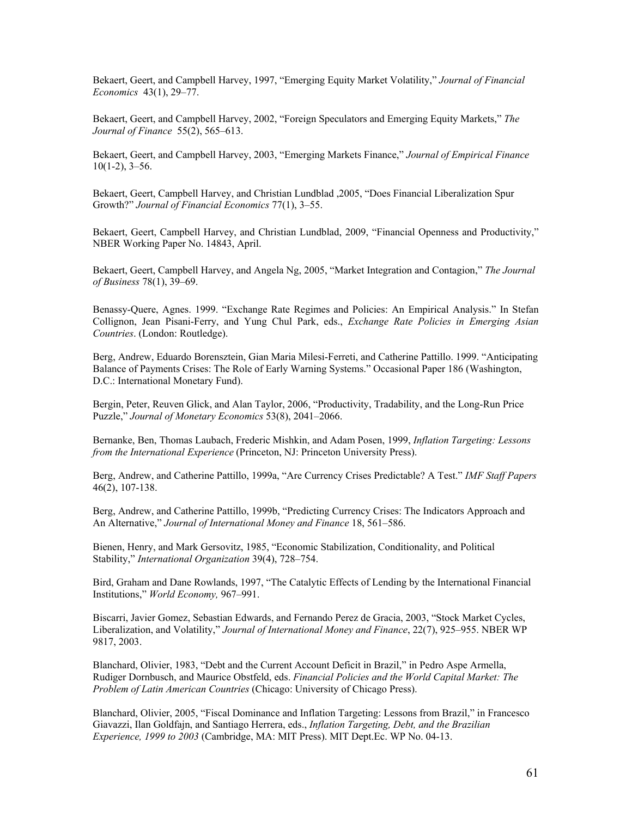Bekaert, Geert, and Campbell Harvey, 1997, "Emerging Equity Market Volatility," *Journal of Financial Economics* 43(1), 29–77.

Bekaert, Geert, and Campbell Harvey, 2002, "Foreign Speculators and Emerging Equity Markets," *The Journal of Finance* 55(2), 565–613.

Bekaert, Geert, and Campbell Harvey, 2003, "Emerging Markets Finance," *Journal of Empirical Finance*  $10(1-2)$ ,  $3-56$ .

Bekaert, Geert, Campbell Harvey, and Christian Lundblad ,2005, "Does Financial Liberalization Spur Growth?" *Journal of Financial Economics* 77(1), 3–55.

Bekaert, Geert, Campbell Harvey, and Christian Lundblad, 2009, "Financial Openness and Productivity," NBER Working Paper No. 14843, April.

Bekaert, Geert, Campbell Harvey, and Angela Ng, 2005, "Market Integration and Contagion," *The Journal of Business* 78(1), 39–69.

Benassy-Quere, Agnes. 1999. "Exchange Rate Regimes and Policies: An Empirical Analysis." In Stefan Collignon, Jean Pisani-Ferry, and Yung Chul Park, eds., *Exchange Rate Policies in Emerging Asian Countries*. (London: Routledge).

Berg, Andrew, Eduardo Borensztein, Gian Maria Milesi-Ferreti, and Catherine Pattillo. 1999. "Anticipating Balance of Payments Crises: The Role of Early Warning Systems." Occasional Paper 186 (Washington, D.C.: International Monetary Fund).

Bergin, Peter, Reuven Glick, and Alan Taylor, 2006, "Productivity, Tradability, and the Long-Run Price Puzzle," *Journal of Monetary Economics* 53(8), 2041–2066.

Bernanke, Ben, Thomas Laubach, Frederic Mishkin, and Adam Posen, 1999, *Inflation Targeting: Lessons from the International Experience* (Princeton, NJ: Princeton University Press).

Berg, Andrew, and Catherine Pattillo, 1999a, "Are Currency Crises Predictable? A Test." *IMF Staff Papers* 46(2), 107-138.

Berg, Andrew, and Catherine Pattillo, 1999b, "Predicting Currency Crises: The Indicators Approach and An Alternative," *Journal of International Money and Finance* 18, 561–586.

Bienen, Henry, and Mark Gersovitz, 1985, "Economic Stabilization, Conditionality, and Political Stability," *International Organization* 39(4), 728–754.

Bird, Graham and Dane Rowlands, 1997, "The Catalytic Effects of Lending by the International Financial Institutions," *World Economy,* 967–991.

Biscarri, Javier Gomez, Sebastian Edwards, and Fernando Perez de Gracia, 2003, "Stock Market Cycles, Liberalization, and Volatility," *Journal of International Money and Finance*, 22(7), 925–955. NBER WP 9817, 2003.

Blanchard, Olivier, 1983, "Debt and the Current Account Deficit in Brazil," in Pedro Aspe Armella, Rudiger Dornbusch, and Maurice Obstfeld, eds. *Financial Policies and the World Capital Market: The Problem of Latin American Countries* (Chicago: University of Chicago Press).

Blanchard, Olivier, 2005, "Fiscal Dominance and Inflation Targeting: Lessons from Brazil," in Francesco Giavazzi, Ilan Goldfajn, and Santiago Herrera, eds., *Inflation Targeting, Debt, and the Brazilian Experience, 1999 to 2003* (Cambridge, MA: MIT Press). MIT Dept.Ec. WP No. 04-13.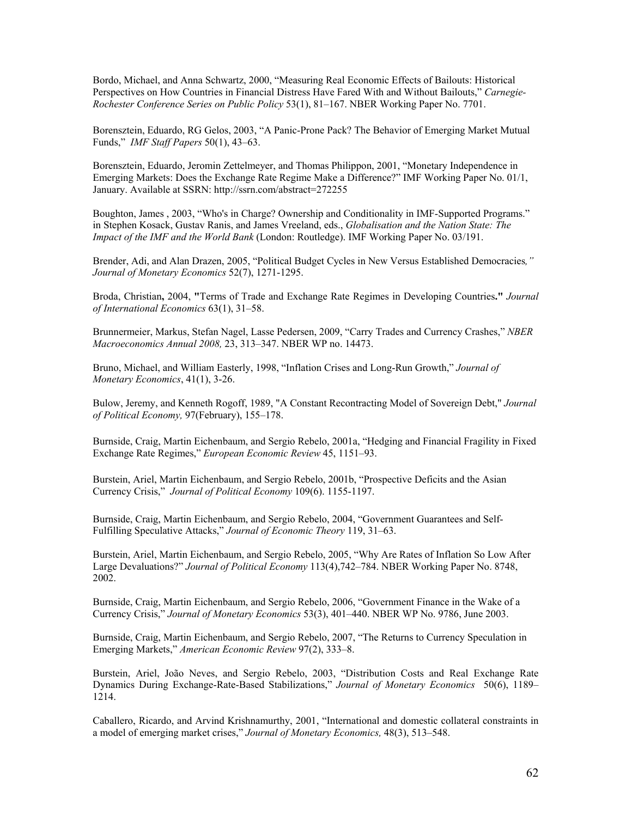Bordo, Michael, and Anna Schwartz, 2000, "Measuring Real Economic Effects of Bailouts: Historical Perspectives on How Countries in Financial Distress Have Fared With and Without Bailouts," *Carnegie-Rochester Conference Series on Public Policy* 53(1), 81–167. NBER Working Paper No. 7701.

Borensztein, Eduardo, RG Gelos, 2003, "A Panic-Prone Pack? The Behavior of Emerging Market Mutual Funds," *IMF Staff Papers* 50(1), 43–63.

Borensztein, Eduardo, Jeromin Zettelmeyer, and Thomas Philippon, 2001, "Monetary Independence in Emerging Markets: Does the Exchange Rate Regime Make a Difference?" IMF Working Paper No. 01/1, January. Available at SSRN: http://ssrn.com/abstract=272255

Boughton, James , 2003, "Who's in Charge? Ownership and Conditionality in IMF-Supported Programs." in Stephen Kosack, Gustav Ranis, and James Vreeland, eds., *Globalisation and the Nation State: The Impact of the IMF and the World Bank* (London: Routledge). IMF Working Paper No. 03/191.

Brender, Adi, and Alan Drazen, 2005, "Political Budget Cycles in New Versus Established Democracies*," Journal of Monetary Economics* 52(7), 1271-1295.

Broda, Christian**,** 2004, **"**Terms of Trade and Exchange Rate Regimes in Developing Countries**."** *Journal of International Economics* 63(1), 31–58.

Brunnermeier, Markus, Stefan Nagel, Lasse Pedersen, 2009, "Carry Trades and Currency Crashes," *NBER Macroeconomics Annual 2008,* 23, 313–347. NBER WP no. 14473.

Bruno, Michael, and William Easterly, 1998, "Inflation Crises and Long-Run Growth," *Journal of Monetary Economics*, 41(1), 3-26.

Bulow, Jeremy, and Kenneth Rogoff, 1989, "A Constant Recontracting Model of Sovereign Debt," *Journal of Political Economy,* 97(February), 155–178.

Burnside, Craig, Martin Eichenbaum, and Sergio Rebelo, 2001a, "Hedging and Financial Fragility in Fixed Exchange Rate Regimes," *European Economic Review* 45, 1151–93.

Burstein, Ariel, Martin Eichenbaum, and Sergio Rebelo, 2001b, "Prospective Deficits and the Asian Currency Crisis," *Journal of Political Economy* 109(6). 1155-1197.

Burnside, Craig, Martin Eichenbaum, and Sergio Rebelo, 2004, "Government Guarantees and Self-Fulfilling Speculative Attacks," *Journal of Economic Theory* 119, 31–63.

Burstein, Ariel, Martin Eichenbaum, and Sergio Rebelo, 2005, "Why Are Rates of Inflation So Low After Large Devaluations?" *Journal of Political Economy* 113(4),742–784. NBER Working Paper No. 8748, 2002.

Burnside, Craig, Martin Eichenbaum, and Sergio Rebelo, 2006, "Government Finance in the Wake of a Currency Crisis," *Journal of Monetary Economics* 53(3), 401–440. NBER WP No. 9786, June 2003.

Burnside, Craig, Martin Eichenbaum, and Sergio Rebelo, 2007, "The Returns to Currency Speculation in Emerging Markets," *American Economic Review* 97(2), 333–8.

Burstein, Ariel, João Neves, and Sergio Rebelo, 2003, "Distribution Costs and Real Exchange Rate Dynamics During Exchange-Rate-Based Stabilizations," *Journal of Monetary Economics* 50(6), 1189– 1214.

Caballero, Ricardo, and Arvind Krishnamurthy, 2001, "International and domestic collateral constraints in a model of emerging market crises," *Journal of Monetary Economics,* 48(3), 513–548.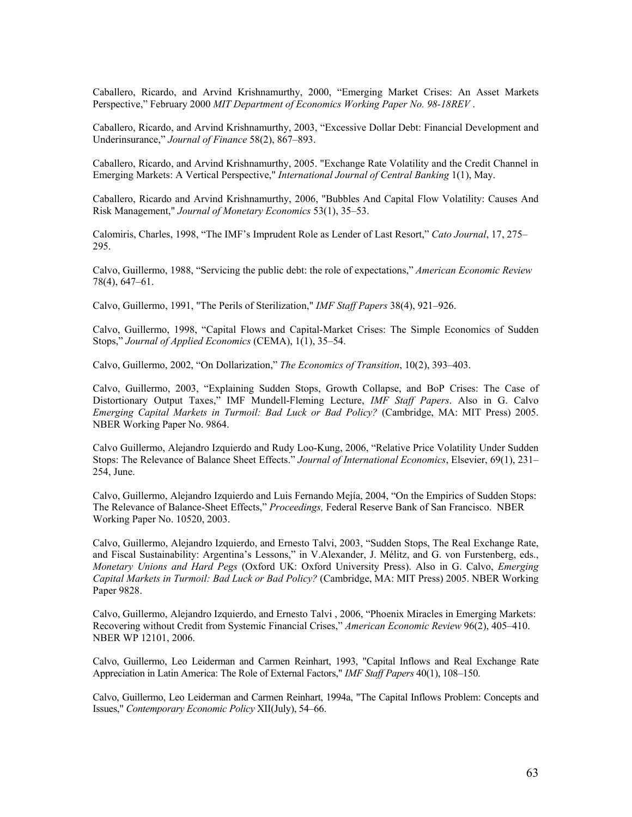Caballero, Ricardo, and Arvind Krishnamurthy, 2000, "Emerging Market Crises: An Asset Markets Perspective," February 2000 *MIT Department of Economics Working Paper No. 98-18REV* .

Caballero, Ricardo, and Arvind Krishnamurthy, 2003, "Excessive Dollar Debt: Financial Development and Underinsurance," *Journal of Finance* 58(2), 867–893.

Caballero, Ricardo, and Arvind Krishnamurthy, 2005. "Exchange Rate Volatility and the Credit Channel in Emerging Markets: A Vertical Perspective," *International Journal of Central Banking* 1(1), May.

Caballero, Ricardo and Arvind Krishnamurthy, 2006, "Bubbles And Capital Flow Volatility: Causes And Risk Management," *Journal of Monetary Economics* 53(1), 35–53.

Calomiris, Charles, 1998, "The IMF's Imprudent Role as Lender of Last Resort," *Cato Journal*, 17, 275– 295.

Calvo, Guillermo, 1988, "Servicing the public debt: the role of expectations," *American Economic Review* 78(4), 647–61.

Calvo, Guillermo, 1991, "The Perils of Sterilization," *IMF Staff Papers* 38(4), 921–926.

Calvo, Guillermo, 1998, "Capital Flows and Capital-Market Crises: The Simple Economics of Sudden Stops," *Journal of Applied Economics* (CEMA), 1(1), 35–54.

Calvo, Guillermo, 2002, "On Dollarization," *The Economics of Transition*, 10(2), 393–403.

Calvo, Guillermo, 2003, "Explaining Sudden Stops, Growth Collapse, and BoP Crises: The Case of Distortionary Output Taxes," IMF Mundell-Fleming Lecture, *IMF Staff Papers*. Also in G. Calvo *Emerging Capital Markets in Turmoil: Bad Luck or Bad Policy?* (Cambridge, MA: MIT Press) 2005. NBER Working Paper No. 9864.

Calvo Guillermo, Alejandro Izquierdo and Rudy Loo-Kung, 2006, "Relative Price Volatility Under Sudden Stops: The Relevance of Balance Sheet Effects." *Journal of International Economics*, Elsevier, 69(1), 231– 254, June.

Calvo, Guillermo, Alejandro Izquierdo and Luis Fernando Mejía, 2004, "On the Empirics of Sudden Stops: The Relevance of Balance-Sheet Effects," *Proceedings,* Federal Reserve Bank of San Francisco. NBER Working Paper No. 10520, 2003.

Calvo, Guillermo, Alejandro Izquierdo, and Ernesto Talvi, 2003, "Sudden Stops, The Real Exchange Rate, and Fiscal Sustainability: Argentina's Lessons," in V.Alexander, J. Mélitz, and G. von Furstenberg, eds., *Monetary Unions and Hard Pegs* (Oxford UK: Oxford University Press). Also in G. Calvo, *Emerging Capital Markets in Turmoil: Bad Luck or Bad Policy?* (Cambridge, MA: MIT Press) 2005. NBER Working Paper 9828.

Calvo, Guillermo, Alejandro Izquierdo, and Ernesto Talvi , 2006, "Phoenix Miracles in Emerging Markets: Recovering without Credit from Systemic Financial Crises," *American Economic Review* 96(2), 405–410. NBER WP 12101, 2006.

Calvo, Guillermo, Leo Leiderman and Carmen Reinhart, 1993, "Capital Inflows and Real Exchange Rate Appreciation in Latin America: The Role of External Factors," *IMF Staff Papers* 40(1), 108–150.

Calvo, Guillermo, Leo Leiderman and Carmen Reinhart, 1994a, "The Capital Inflows Problem: Concepts and Issues," *Contemporary Economic Policy* XII(July), 54–66.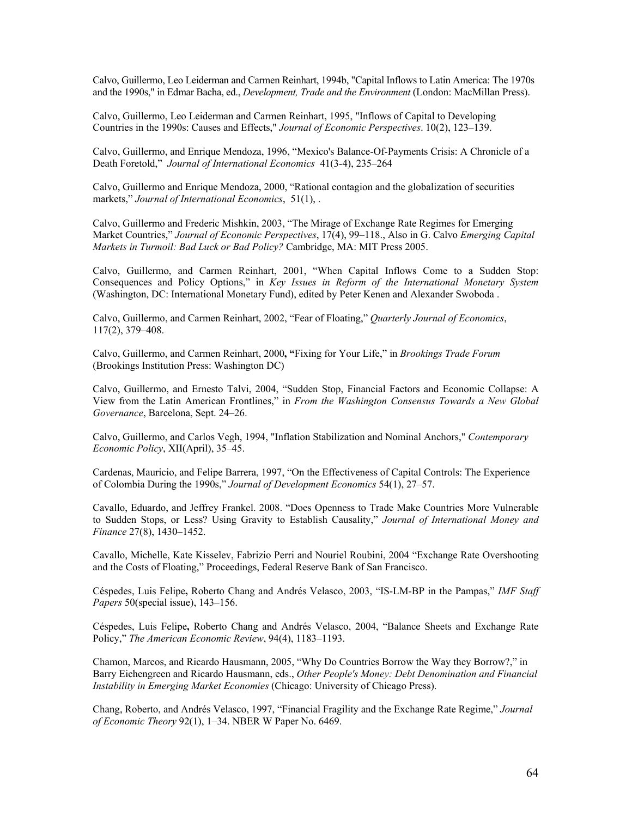Calvo, Guillermo, Leo Leiderman and Carmen Reinhart, 1994b, "Capital Inflows to Latin America: The 1970s and the 1990s," in Edmar Bacha, ed., *Development, Trade and the Environment* (London: MacMillan Press).

Calvo, Guillermo, Leo Leiderman and Carmen Reinhart, 1995, "Inflows of Capital to Developing Countries in the 1990s: Causes and Effects," *Journal of Economic Perspectives*. 10(2), 123–139.

Calvo, Guillermo, and Enrique Mendoza, 1996, "Mexico's Balance-Of-Payments Crisis: A Chronicle of a Death Foretold," *Journal of International Economics* 41(3-4), 235–264

Calvo, Guillermo and Enrique Mendoza, 2000, "Rational contagion and the globalization of securities markets," *Journal of International Economics*, 51(1), .

Calvo, Guillermo and Frederic Mishkin, 2003, "The Mirage of Exchange Rate Regimes for Emerging Market Countries," *Journal of Economic Perspectives*, 17(4), 99–118., Also in G. Calvo *Emerging Capital Markets in Turmoil: Bad Luck or Bad Policy?* Cambridge, MA: MIT Press 2005.

Calvo, Guillermo, and Carmen Reinhart, 2001, "When Capital Inflows Come to a Sudden Stop: Consequences and Policy Options," in *Key Issues in Reform of the International Monetary System*  (Washington, DC: International Monetary Fund), edited by Peter Kenen and Alexander Swoboda .

Calvo, Guillermo, and Carmen Reinhart, 2002, "Fear of Floating," *Quarterly Journal of Economics*, 117(2), 379–408.

Calvo, Guillermo, and Carmen Reinhart, 2000**, "**Fixing for Your Life," in *Brookings Trade Forum* (Brookings Institution Press: Washington DC)

Calvo, Guillermo, and Ernesto Talvi, 2004, "Sudden Stop, Financial Factors and Economic Collapse: A View from the Latin American Frontlines," in *From the Washington Consensus Towards a New Global Governance*, Barcelona, Sept. 24–26.

Calvo, Guillermo, and Carlos Vegh, 1994, "Inflation Stabilization and Nominal Anchors," *Contemporary Economic Policy*, XII(April), 35–45.

Cardenas, Mauricio, and Felipe Barrera, 1997, "On the Effectiveness of Capital Controls: The Experience of Colombia During the 1990s," *Journal of Development Economics* 54(1), 27–57.

Cavallo, Eduardo, and Jeffrey Frankel. 2008. "Does Openness to Trade Make Countries More Vulnerable to Sudden Stops, or Less? Using Gravity to Establish Causality," *Journal of International Money and Finance* 27(8), 1430–1452.

Cavallo, Michelle, Kate Kisselev, Fabrizio Perri and Nouriel Roubini, 2004 "Exchange Rate Overshooting and the Costs of Floating," Proceedings, Federal Reserve Bank of San Francisco.

Céspedes, Luis Felipe**,** Roberto Chang and Andrés Velasco, 2003, "IS-LM-BP in the Pampas," *IMF Staff Papers* 50(special issue), 143–156.

Céspedes, Luis Felipe**,** Roberto Chang and Andrés Velasco, 2004, "Balance Sheets and Exchange Rate Policy," *The American Economic Review*, 94(4), 1183–1193.

Chamon, Marcos, and Ricardo Hausmann, 2005, "Why Do Countries Borrow the Way they Borrow?," in Barry Eichengreen and Ricardo Hausmann, eds., *Other People's Money: Debt Denomination and Financial Instability in Emerging Market Economies* (Chicago: University of Chicago Press).

Chang, Roberto, and Andrés Velasco, 1997, "Financial Fragility and the Exchange Rate Regime," *Journal of Economic Theory* 92(1), 1–34. NBER W Paper No. 6469.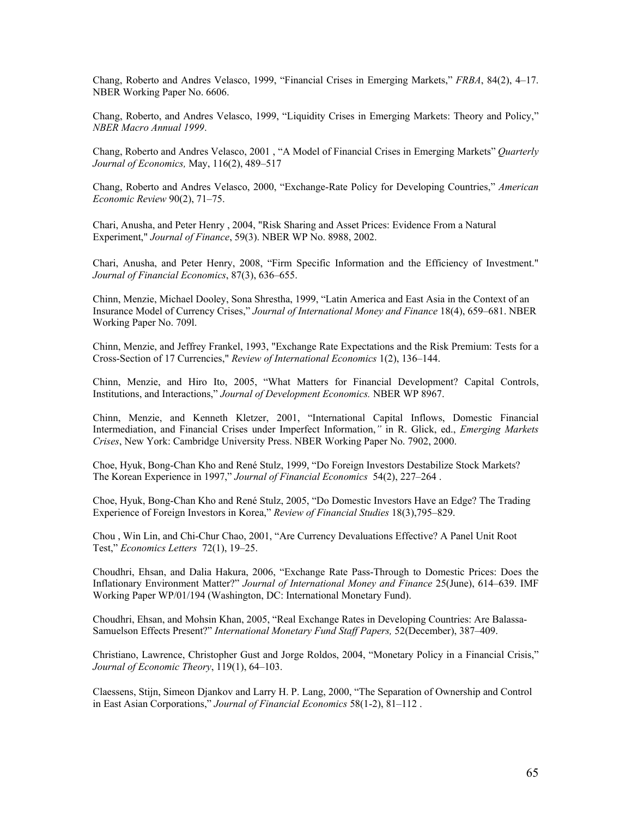Chang, Roberto and Andres Velasco, 1999, "Financial Crises in Emerging Markets," *FRBA*, 84(2), 4–17. NBER Working Paper No. 6606.

Chang, Roberto, and Andres Velasco, 1999, "Liquidity Crises in Emerging Markets: Theory and Policy," *NBER Macro Annual 1999*.

Chang, Roberto and Andres Velasco, 2001 , "A Model of Financial Crises in Emerging Markets" *Quarterly Journal of Economics,* May, 116(2), 489–517

Chang, Roberto and Andres Velasco, 2000, "Exchange-Rate Policy for Developing Countries," *American Economic Review* 90(2), 71–75.

Chari, Anusha, and Peter Henry , 2004, "Risk Sharing and Asset Prices: Evidence From a Natural Experiment," *Journal of Finance*, 59(3). NBER WP No. 8988, 2002.

Chari, Anusha, and Peter Henry, 2008, "Firm Specific Information and the Efficiency of Investment." *Journal of Financial Economics*, 87(3), 636–655.

Chinn, Menzie, Michael Dooley, Sona Shrestha, 1999, "Latin America and East Asia in the Context of an Insurance Model of Currency Crises," *Journal of International Money and Finance* 18(4), 659–681. NBER Working Paper No. 709l.

Chinn, Menzie, and Jeffrey Frankel, 1993, "Exchange Rate Expectations and the Risk Premium: Tests for a Cross-Section of 17 Currencies," *Review of International Economics* 1(2), 136–144.

Chinn, Menzie, and Hiro Ito, 2005, "What Matters for Financial Development? Capital Controls, Institutions, and Interactions," *Journal of Development Economics.* NBER WP 8967.

Chinn, Menzie, and Kenneth Kletzer, 2001, "International Capital Inflows, Domestic Financial Intermediation, and Financial Crises under Imperfect Information,*"* in R. Glick, ed., *Emerging Markets Crises*, New York: Cambridge University Press. NBER Working Paper No. 7902, 2000.

Choe, Hyuk, Bong-Chan Kho and René Stulz, 1999, "Do Foreign Investors Destabilize Stock Markets? The Korean Experience in 1997," *Journal of Financial Economics* 54(2), 227–264 .

Choe, Hyuk, Bong-Chan Kho and René Stulz, 2005, "Do Domestic Investors Have an Edge? The Trading Experience of Foreign Investors in Korea," *Review of Financial Studies* 18(3),795–829.

Chou , Win Lin, and Chi-Chur Chao, 2001, "Are Currency Devaluations Effective? A Panel Unit Root Test," *Economics Letters* 72(1), 19–25.

Choudhri, Ehsan, and Dalia Hakura, 2006, "Exchange Rate Pass-Through to Domestic Prices: Does the Inflationary Environment Matter?" *Journal of International Money and Finance* 25(June), 614–639. IMF Working Paper WP/01/194 (Washington, DC: International Monetary Fund).

Choudhri, Ehsan, and Mohsin Khan, 2005, "Real Exchange Rates in Developing Countries: Are Balassa-Samuelson Effects Present?" *International Monetary Fund Staff Papers,* 52(December), 387–409.

Christiano, Lawrence, Christopher Gust and Jorge Roldos, 2004, "Monetary Policy in a Financial Crisis," *Journal of Economic Theory*, 119(1), 64–103.

Claessens, Stijn, Simeon Djankov and Larry H. P. Lang, 2000, "The Separation of Ownership and Control in East Asian Corporations," *Journal of Financial Economics* 58(1-2), 81–112 .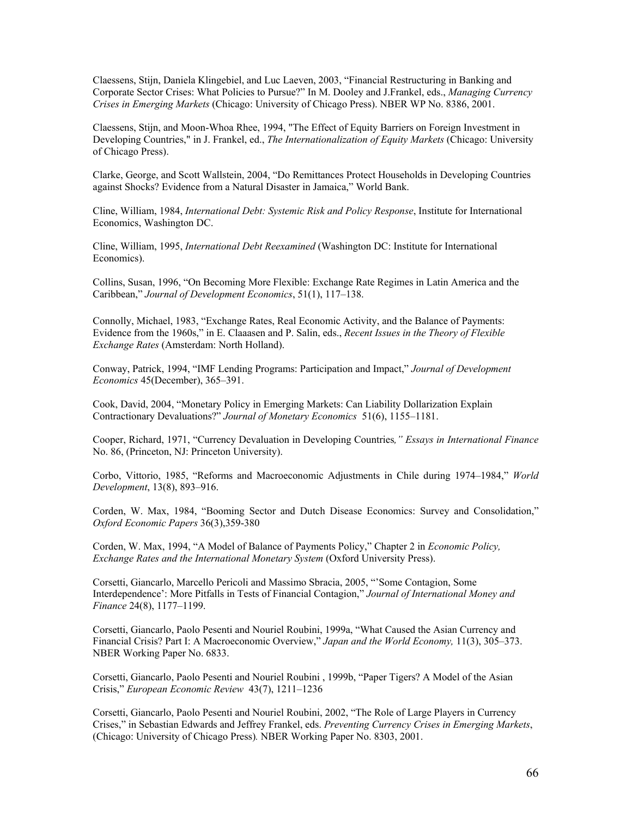Claessens, Stijn, Daniela Klingebiel, and Luc Laeven, 2003, "Financial Restructuring in Banking and Corporate Sector Crises: What Policies to Pursue?" In M. Dooley and J.Frankel, eds., *Managing Currency Crises in Emerging Markets* (Chicago: University of Chicago Press). NBER WP No. 8386, 2001.

Claessens, Stijn, and Moon-Whoa Rhee, 1994, "The Effect of Equity Barriers on Foreign Investment in Developing Countries," in J. Frankel, ed., *The Internationalization of Equity Markets* (Chicago: University of Chicago Press).

Clarke, George, and Scott Wallstein, 2004, "Do Remittances Protect Households in Developing Countries against Shocks? Evidence from a Natural Disaster in Jamaica," World Bank.

Cline, William, 1984, *International Debt: Systemic Risk and Policy Response*, Institute for International Economics, Washington DC.

Cline, William, 1995, *International Debt Reexamined* (Washington DC: Institute for International Economics).

Collins, Susan, 1996, "On Becoming More Flexible: Exchange Rate Regimes in Latin America and the Caribbean," *Journal of Development Economics*, 51(1), 117–138.

Connolly, Michael, 1983, "Exchange Rates, Real Economic Activity, and the Balance of Payments: Evidence from the 1960s," in E. Claaasen and P. Salin, eds., *Recent Issues in the Theory of Flexible Exchange Rates* (Amsterdam: North Holland).

Conway, Patrick, 1994, "IMF Lending Programs: Participation and Impact," *Journal of Development Economics* 45(December), 365–391.

Cook, David, 2004, "Monetary Policy in Emerging Markets: Can Liability Dollarization Explain Contractionary Devaluations?" *Journal of Monetary Economics* 51(6), 1155–1181.

Cooper, Richard, 1971, "Currency Devaluation in Developing Countries*," Essays in International Finance* No. 86, (Princeton, NJ: Princeton University).

Corbo, Vittorio, 1985, "Reforms and Macroeconomic Adjustments in Chile during 1974–1984," *World Development*, 13(8), 893–916.

Corden, W. Max, 1984, "Booming Sector and Dutch Disease Economics: Survey and Consolidation," *Oxford Economic Papers* 36(3),359-380

Corden, W. Max, 1994, "A Model of Balance of Payments Policy," Chapter 2 in *Economic Policy, Exchange Rates and the International Monetary System* (Oxford University Press).

Corsetti, Giancarlo, Marcello Pericoli and Massimo Sbracia, 2005, "'Some Contagion, Some Interdependence': More Pitfalls in Tests of Financial Contagion," *Journal of International Money and Finance* 24(8), 1177–1199.

Corsetti, Giancarlo, Paolo Pesenti and Nouriel Roubini, 1999a, "What Caused the Asian Currency and Financial Crisis? Part I: A Macroeconomic Overview," *Japan and the World Economy,* 11(3), 305–373. NBER Working Paper No. 6833.

Corsetti, Giancarlo, Paolo Pesenti and Nouriel Roubini , 1999b, "Paper Tigers? A Model of the Asian Crisis," *European Economic Review* 43(7), 1211–1236

Corsetti, Giancarlo, Paolo Pesenti and Nouriel Roubini, 2002, "The Role of Large Players in Currency Crises," in Sebastian Edwards and Jeffrey Frankel, eds. *Preventing Currency Crises in Emerging Markets*, (Chicago: University of Chicago Press)*.* NBER Working Paper No. 8303, 2001.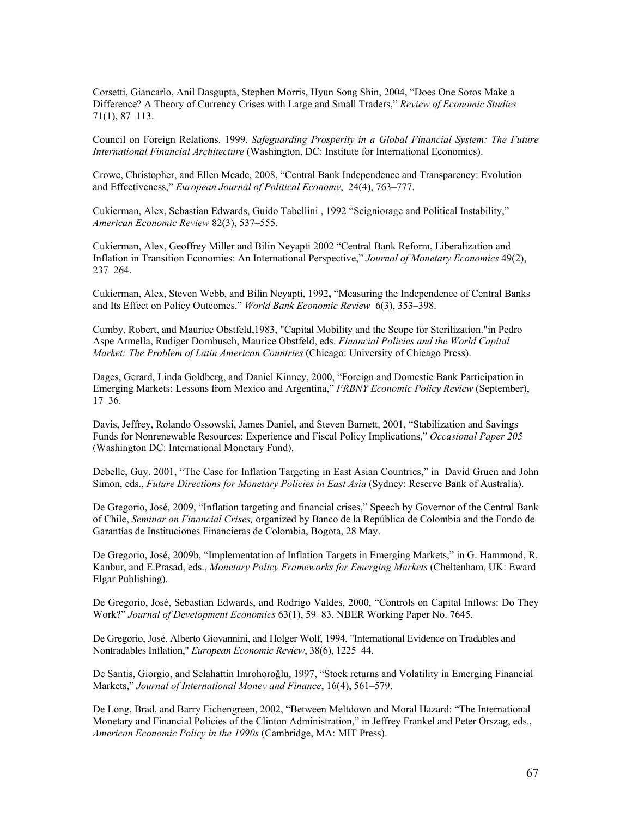Corsetti, Giancarlo, Anil Dasgupta, Stephen Morris, Hyun Song Shin, 2004, "Does One Soros Make a Difference? A Theory of Currency Crises with Large and Small Traders," *Review of Economic Studies* 71(1), 87–113.

Council on Foreign Relations. 1999. *Safeguarding Prosperity in a Global Financial System: The Future International Financial Architecture* (Washington, DC: Institute for International Economics).

Crowe, Christopher, and Ellen Meade, 2008, "Central Bank Independence and Transparency: Evolution and Effectiveness," *European Journal of Political Economy*, 24(4), 763–777.

Cukierman, Alex, Sebastian Edwards, Guido Tabellini , 1992 "Seigniorage and Political Instability," *American Economic Review* 82(3), 537–555.

Cukierman, Alex, Geoffrey Miller and Bilin Neyapti 2002 "Central Bank Reform, Liberalization and Inflation in Transition Economies: An International Perspective," *Journal of Monetary Economics* 49(2), 237–264.

Cukierman, Alex, Steven Webb, and Bilin Neyapti, 1992**,** "Measuring the Independence of Central Banks and Its Effect on Policy Outcomes." *World Bank Economic Review* 6(3), 353–398.

Cumby, Robert, and Maurice Obstfeld,1983, "Capital Mobility and the Scope for Sterilization."in Pedro Aspe Armella, Rudiger Dornbusch, Maurice Obstfeld, eds. *Financial Policies and the World Capital Market: The Problem of Latin American Countries* (Chicago: University of Chicago Press).

Dages, Gerard, Linda Goldberg, and Daniel Kinney, 2000, "Foreign and Domestic Bank Participation in Emerging Markets: Lessons from Mexico and Argentina," *FRBNY Economic Policy Review* (September), 17–36.

Davis, Jeffrey, Rolando Ossowski, James Daniel, and Steven Barnett, 2001, "Stabilization and Savings Funds for Nonrenewable Resources: Experience and Fiscal Policy Implications," *Occasional Paper 205* (Washington DC: International Monetary Fund).

Debelle, Guy. 2001, "The Case for Inflation Targeting in East Asian Countries," in David Gruen and John Simon, eds., *Future Directions for Monetary Policies in East Asia* (Sydney: Reserve Bank of Australia).

De Gregorio, José, 2009, "Inflation targeting and financial crises," Speech by Governor of the Central Bank of Chile, *Seminar on Financial Crises,* organized by Banco de la República de Colombia and the Fondo de Garantías de Instituciones Financieras de Colombia, Bogota, 28 May.

De Gregorio, José, 2009b, "Implementation of Inflation Targets in Emerging Markets," in G. Hammond, R. Kanbur, and E.Prasad, eds., *Monetary Policy Frameworks for Emerging Markets* (Cheltenham, UK: Eward Elgar Publishing).

De Gregorio, José, Sebastian Edwards, and Rodrigo Valdes, 2000, "Controls on Capital Inflows: Do They Work?" *Journal of Development Economics* 63(1), 59–83. NBER Working Paper No. 7645.

De Gregorio, José, Alberto Giovannini, and Holger Wolf, 1994, "International Evidence on Tradables and Nontradables Inflation," *European Economic Review*, 38(6), 1225–44.

De Santis, Giorgio, and Selahattin Imrohoroğlu, 1997, "Stock returns and Volatility in Emerging Financial Markets," *Journal of International Money and Finance*, 16(4), 561–579.

De Long, Brad, and Barry Eichengreen, 2002, "Between Meltdown and Moral Hazard: "The International Monetary and Financial Policies of the Clinton Administration," in Jeffrey Frankel and Peter Orszag, eds., *American Economic Policy in the 1990s* (Cambridge, MA: MIT Press).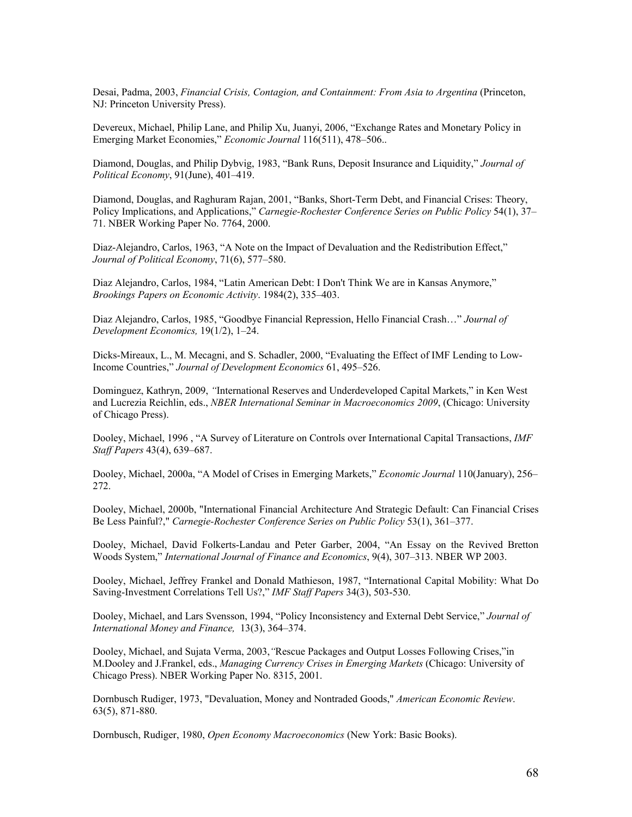Desai, Padma, 2003, *Financial Crisis, Contagion, and Containment: From Asia to Argentina* (Princeton, NJ: Princeton University Press).

Devereux, Michael, Philip Lane, and Philip Xu, Juanyi, 2006, "Exchange Rates and Monetary Policy in Emerging Market Economies," *Economic Journal* 116(511), 478–506..

Diamond, Douglas, and Philip Dybvig, 1983, "Bank Runs, Deposit Insurance and Liquidity," *Journal of Political Economy*, 91(June), 401–419.

Diamond, Douglas, and Raghuram Rajan, 2001, "Banks, Short-Term Debt, and Financial Crises: Theory, Policy Implications, and Applications," *Carnegie-Rochester Conference Series on Public Policy* 54(1), 37– 71. NBER Working Paper No. 7764, 2000.

Diaz-Alejandro, Carlos, 1963, "A Note on the Impact of Devaluation and the Redistribution Effect," *Journal of Political Economy*, 71(6), 577–580.

Diaz Alejandro, Carlos, 1984, "Latin American Debt: I Don't Think We are in Kansas Anymore," *Brookings Papers on Economic Activity*. 1984(2), 335–403.

Diaz Alejandro, Carlos, 1985, "Goodbye Financial Repression, Hello Financial Crash…" *J*o*urnal of Development Economics,* 19(1/2), 1–24.

Dicks-Mireaux, L., M. Mecagni, and S. Schadler, 2000, "Evaluating the Effect of IMF Lending to Low-Income Countries," *Journal of Development Economics* 61, 495–526.

Dominguez, Kathryn, 2009, *"*International Reserves and Underdeveloped Capital Markets," in Ken West and Lucrezia Reichlin, eds., *NBER International Seminar in Macroeconomics 2009*, (Chicago: University of Chicago Press).

Dooley, Michael, 1996 , "A Survey of Literature on Controls over International Capital Transactions, *IMF Staff Papers* 43(4), 639–687.

Dooley, Michael, 2000a, "A Model of Crises in Emerging Markets," *Economic Journal* 110(January), 256– 272.

Dooley, Michael, 2000b, "International Financial Architecture And Strategic Default: Can Financial Crises Be Less Painful?," *Carnegie-Rochester Conference Series on Public Policy* 53(1), 361–377.

Dooley, Michael, David Folkerts-Landau and Peter Garber, 2004, "An Essay on the Revived Bretton Woods System," *International Journal of Finance and Economics*, 9(4), 307–313. NBER WP 2003.

Dooley, Michael, Jeffrey Frankel and Donald Mathieson, 1987, "International Capital Mobility: What Do Saving-Investment Correlations Tell Us?," *IMF Staff Papers* 34(3), 503-530.

Dooley, Michael, and Lars Svensson, 1994, "Policy Inconsistency and External Debt Service," *Journal of International Money and Finance,* 13(3), 364–374.

Dooley, Michael, and Sujata Verma, 2003,*"*Rescue Packages and Output Losses Following Crises,"in M.Dooley and J.Frankel, eds., *Managing Currency Crises in Emerging Markets* (Chicago: University of Chicago Press). NBER Working Paper No. 8315, 2001.

Dornbusch Rudiger, 1973, "Devaluation, Money and Nontraded Goods," *American Economic Review*. 63(5), 871-880.

Dornbusch, Rudiger, 1980, *Open Economy Macroeconomics* (New York: Basic Books).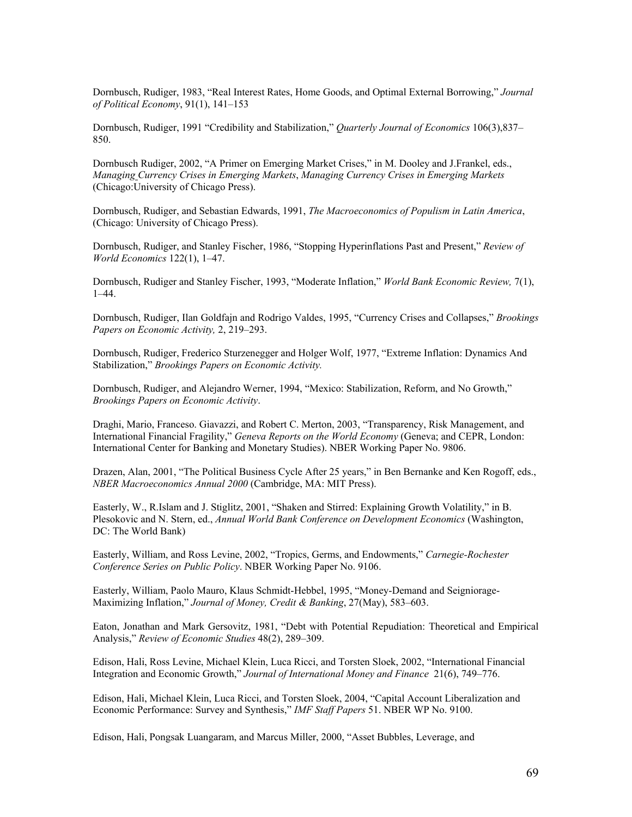Dornbusch, Rudiger, 1983, "Real Interest Rates, Home Goods, and Optimal External Borrowing," *Journal of Political Economy*, 91(1), 141–153

Dornbusch, Rudiger, 1991 "Credibility and Stabilization," *Quarterly Journal of Economics* 106(3),837– 850.

Dornbusch Rudiger, 2002, "A Primer on Emerging Market Crises," in M. Dooley and J.Frankel, eds., *Managing Currency Crises in Emerging Markets*, *Managing Currency Crises in Emerging Markets* (Chicago:University of Chicago Press).

Dornbusch, Rudiger, and Sebastian Edwards, 1991, *The Macroeconomics of Populism in Latin America*, (Chicago: University of Chicago Press).

Dornbusch, Rudiger, and Stanley Fischer, 1986, "Stopping Hyperinflations Past and Present," *Review of World Economics* 122(1), 1–47.

Dornbusch, Rudiger and Stanley Fischer, 1993, "Moderate Inflation," *World Bank Economic Review,* 7(1), 1–44.

Dornbusch, Rudiger, Ilan Goldfajn and Rodrigo Valdes, 1995, "Currency Crises and Collapses," *Brookings Papers on Economic Activity,* 2, 219–293.

Dornbusch, Rudiger, Frederico Sturzenegger and Holger Wolf, 1977, "Extreme Inflation: Dynamics And Stabilization," *Brookings Papers on Economic Activity.*

Dornbusch, Rudiger, and Alejandro Werner, 1994, "Mexico: Stabilization, Reform, and No Growth," *Brookings Papers on Economic Activity*.

Draghi, Mario, Franceso. Giavazzi, and Robert C. Merton, 2003, "Transparency, Risk Management, and International Financial Fragility," *Geneva Reports on the World Economy* (Geneva; and CEPR, London: International Center for Banking and Monetary Studies). NBER Working Paper No. 9806.

Drazen, Alan, 2001, "The Political Business Cycle After 25 years," in Ben Bernanke and Ken Rogoff, eds., *NBER Macroeconomics Annual 2000* (Cambridge, MA: MIT Press).

Easterly, W., R.Islam and J. Stiglitz, 2001, "Shaken and Stirred: Explaining Growth Volatility," in B. Plesokovic and N. Stern, ed., *Annual World Bank Conference on Development Economics* (Washington, DC: The World Bank)

Easterly, William, and Ross Levine, 2002, "Tropics, Germs, and Endowments," *Carnegie-Rochester Conference Series on Public Policy*. NBER Working Paper No. 9106.

Easterly, William, Paolo Mauro, Klaus Schmidt-Hebbel, 1995, "Money-Demand and Seigniorage-Maximizing Inflation," *Journal of Money, Credit & Banking*, 27(May), 583–603.

Eaton, Jonathan and Mark Gersovitz, 1981, "Debt with Potential Repudiation: Theoretical and Empirical Analysis," *Review of Economic Studies* 48(2), 289–309.

Edison, Hali, Ross Levine, Michael Klein, Luca Ricci, and Torsten Sloek, 2002, "International Financial Integration and Economic Growth," *Journal of International Money and Finance* 21(6), 749–776.

Edison, Hali, Michael Klein, Luca Ricci, and Torsten Sloek, 2004, "Capital Account Liberalization and Economic Performance: Survey and Synthesis," *IMF Staff Papers* 51. NBER WP No. 9100.

Edison, Hali, Pongsak Luangaram, and Marcus Miller, 2000, "Asset Bubbles, Leverage, and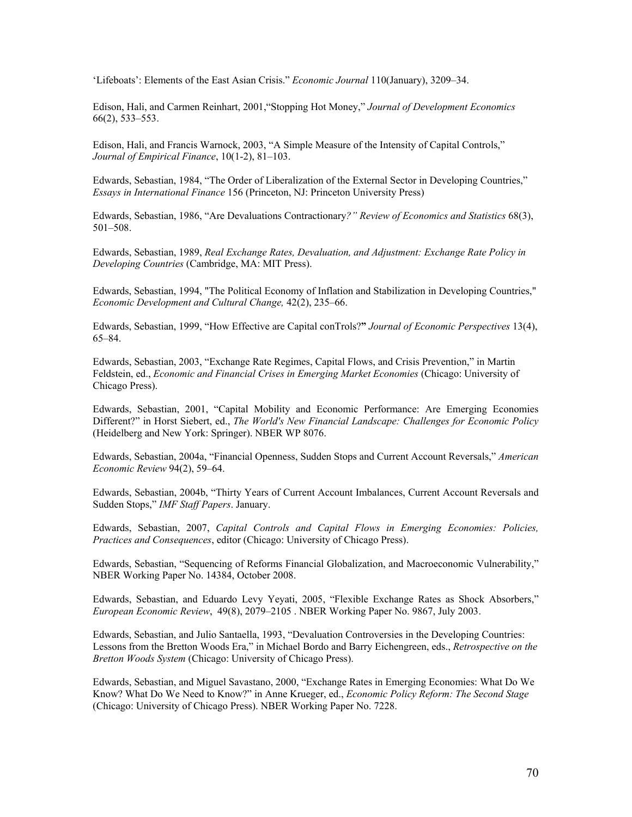'Lifeboats': Elements of the East Asian Crisis." *Economic Journal* 110(January), 3209–34.

Edison, Hali, and Carmen Reinhart, 2001,"Stopping Hot Money," *Journal of Development Economics* 66(2), 533–553.

Edison, Hali, and Francis Warnock, 2003, "A Simple Measure of the Intensity of Capital Controls," *Journal of Empirical Finance*, 10(1-2), 81–103.

Edwards, Sebastian, 1984, "The Order of Liberalization of the External Sector in Developing Countries," *Essays in International Finance* 156 (Princeton, NJ: Princeton University Press)

Edwards, Sebastian, 1986, "Are Devaluations Contractionary*?" Review of Economics and Statistics* 68(3), 501–508.

Edwards, Sebastian, 1989, *Real Exchange Rates, Devaluation, and Adjustment: Exchange Rate Policy in Developing Countries* (Cambridge, MA: MIT Press).

Edwards, Sebastian, 1994, "The Political Economy of Inflation and Stabilization in Developing Countries," *Economic Development and Cultural Change,* 42(2), 235–66.

Edwards, Sebastian, 1999, "How Effective are Capital conTrols?**"** *Journal of Economic Perspectives* 13(4), 65–84.

Edwards, Sebastian, 2003, "Exchange Rate Regimes, Capital Flows, and Crisis Prevention," in Martin Feldstein, ed., *Economic and Financial Crises in Emerging Market Economies* (Chicago: University of Chicago Press).

Edwards, Sebastian, 2001, "Capital Mobility and Economic Performance: Are Emerging Economies Different?" in Horst Siebert, ed., *The World's New Financial Landscape: Challenges for Economic Policy* (Heidelberg and New York: Springer). NBER WP 8076.

Edwards, Sebastian, 2004a, "Financial Openness, Sudden Stops and Current Account Reversals," *American Economic Review* 94(2), 59–64.

Edwards, Sebastian, 2004b, "Thirty Years of Current Account Imbalances, Current Account Reversals and Sudden Stops," *IMF Staff Papers*. January.

Edwards, Sebastian, 2007, *Capital Controls and Capital Flows in Emerging Economies: Policies, Practices and Consequences*, editor (Chicago: University of Chicago Press).

Edwards, Sebastian, "Sequencing of Reforms Financial Globalization, and Macroeconomic Vulnerability," NBER Working Paper No. 14384, October 2008.

Edwards, Sebastian, and Eduardo Levy Yeyati, 2005, "Flexible Exchange Rates as Shock Absorbers," *European Economic Review*, 49(8), 2079–2105 . NBER Working Paper No. 9867, July 2003.

Edwards, Sebastian, and Julio Santaella, 1993, "Devaluation Controversies in the Developing Countries: Lessons from the Bretton Woods Era," in Michael Bordo and Barry Eichengreen, eds., *Retrospective on the Bretton Woods System* (Chicago: University of Chicago Press).

Edwards, Sebastian, and Miguel Savastano, 2000, "Exchange Rates in Emerging Economies: What Do We Know? What Do We Need to Know?" in Anne Krueger, ed., *Economic Policy Reform: The Second Stage* (Chicago: University of Chicago Press). NBER Working Paper No. 7228.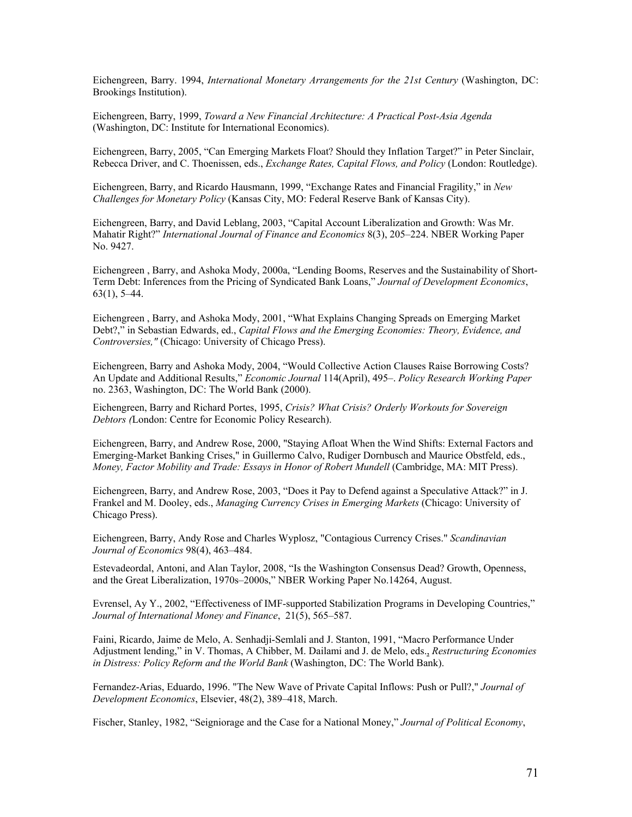Eichengreen, Barry. 1994, *International Monetary Arrangements for the 21st Century* (Washington, DC: Brookings Institution).

Eichengreen, Barry, 1999, *Toward a New Financial Architecture: A Practical Post-Asia Agenda* (Washington, DC: Institute for International Economics).

Eichengreen, Barry, 2005, "Can Emerging Markets Float? Should they Inflation Target?" in Peter Sinclair, Rebecca Driver, and C. Thoenissen, eds., *Exchange Rates, Capital Flows, and Policy* (London: Routledge).

Eichengreen, Barry, and Ricardo Hausmann, 1999, "Exchange Rates and Financial Fragility," in *New Challenges for Monetary Policy* (Kansas City, MO: Federal Reserve Bank of Kansas City).

Eichengreen, Barry, and David Leblang, 2003, "Capital Account Liberalization and Growth: Was Mr. Mahatir Right?" *International Journal of Finance and Economics* 8(3), 205–224. NBER Working Paper No. 9427.

Eichengreen , Barry, and Ashoka Mody, 2000a, "Lending Booms, Reserves and the Sustainability of Short-Term Debt: Inferences from the Pricing of Syndicated Bank Loans," *Journal of Development Economics*, 63(1), 5–44.

Eichengreen , Barry, and Ashoka Mody, 2001, "What Explains Changing Spreads on Emerging Market Debt?," in Sebastian Edwards, ed., *Capital Flows and the Emerging Economies: Theory, Evidence, and Controversies,"* (Chicago: University of Chicago Press).

Eichengreen, Barry and Ashoka Mody, 2004, "Would Collective Action Clauses Raise Borrowing Costs? An Update and Additional Results," *Economic Journal* 114(April), 495–. *Policy Research Working Paper* no. 2363, Washington, DC: The World Bank (2000).

Eichengreen, Barry and Richard Portes, 1995, *Crisis? What Crisis? Orderly Workouts for Sovereign Debtors (*London: Centre for Economic Policy Research).

Eichengreen, Barry, and Andrew Rose, 2000, "Staying Afloat When the Wind Shifts: External Factors and Emerging-Market Banking Crises," in Guillermo Calvo, Rudiger Dornbusch and Maurice Obstfeld, eds., *Money, Factor Mobility and Trade: Essays in Honor of Robert Mundell* (Cambridge, MA: MIT Press).

Eichengreen, Barry, and Andrew Rose, 2003, "Does it Pay to Defend against a Speculative Attack?" in J. Frankel and M. Dooley, eds., *Managing Currency Crises in Emerging Markets* (Chicago: University of Chicago Press).

Eichengreen, Barry, Andy Rose and Charles Wyplosz, "Contagious Currency Crises." *Scandinavian Journal of Economics* 98(4), 463–484.

Estevadeordal, Antoni, and Alan Taylor, 2008, "Is the Washington Consensus Dead? Growth, Openness, and the Great Liberalization, 1970s–2000s," NBER Working Paper No.14264, August.

Evrensel, Ay Y., 2002, "Effectiveness of IMF-supported Stabilization Programs in Developing Countries," *Journal of International Money and Finance*, 21(5), 565–587.

Faini, Ricardo, Jaime de Melo, A. Senhadji-Semlali and J. Stanton, 1991, "Macro Performance Under Adjustment lending," in V. Thomas, A Chibber, M. Dailami and J. de Melo, eds., *Restructuring Economies in Distress: Policy Reform and the World Bank* (Washington, DC: The World Bank).

Fernandez-Arias, Eduardo, 1996. "The New Wave of Private Capital Inflows: Push or Pull?," *Journal of Development Economics*, Elsevier, 48(2), 389–418, March.

Fischer, Stanley, 1982, "Seigniorage and the Case for a National Money," *Journal of Political Economy*,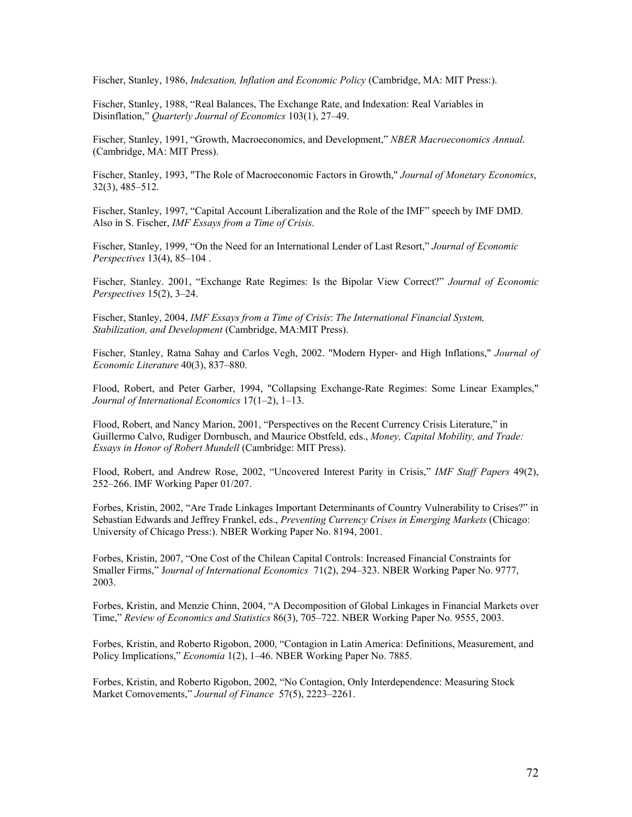Fischer, Stanley, 1986, *Indexation, Inflation and Economic Policy* (Cambridge, MA: MIT Press:).

Fischer, Stanley, 1988, "Real Balances, The Exchange Rate, and Indexation: Real Variables in Disinflation," *Quarterly Journal of Economics* 103(1), 27–49.

Fischer, Stanley, 1991, "Growth, Macroeconomics, and Development," *NBER Macroeconomics Annual*. (Cambridge, MA: MIT Press).

Fischer, Stanley, 1993, "The Role of Macroeconomic Factors in Growth," *Journal of Monetary Economics*, 32(3), 485–512.

Fischer, Stanley, 1997, "Capital Account Liberalization and the Role of the IMF" speech by IMF DMD. Also in S. Fischer, *IMF Essays from a Time of Crisis*.

Fischer, Stanley, 1999, "On the Need for an International Lender of Last Resort," *Journal of Economic Perspectives* 13(4), 85–104 .

Fischer, Stanley. 2001, "Exchange Rate Regimes: Is the Bipolar View Correct?" *Journal of Economic Perspectives* 15(2), 3–24.

Fischer, Stanley, 2004, *IMF Essays from a Time of Crisis*: *The International Financial System, Stabilization, and Development* (Cambridge, MA:MIT Press).

Fischer, Stanley, Ratna Sahay and Carlos Vegh, 2002. "Modern Hyper- and High Inflations," *Journal of Economic Literature* 40(3), 837–880.

Flood, Robert, and Peter Garber, 1994, "Collapsing Exchange-Rate Regimes: Some Linear Examples," *Journal of International Economics* 17(1–2), 1–13.

Flood, Robert, and Nancy Marion, 2001, "Perspectives on the Recent Currency Crisis Literature," in Guillermo Calvo, Rudiger Dornbusch, and Maurice Obstfeld, eds., *Money, Capital Mobility, and Trade: Essays in Honor of Robert Mundell* (Cambridge: MIT Press).

Flood, Robert, and Andrew Rose, 2002, "Uncovered Interest Parity in Crisis," *IMF Staff Papers* 49(2), 252–266. IMF Working Paper 01/207.

Forbes, Kristin, 2002, "Are Trade Linkages Important Determinants of Country Vulnerability to Crises?" in Sebastian Edwards and Jeffrey Frankel, eds., *Preventing Currency Crises in Emerging Markets* (Chicago: University of Chicago Press:). NBER Working Paper No. 8194, 2001.

Forbes, Kristin, 2007, "One Cost of the Chilean Capital Controls: Increased Financial Constraints for Smaller Firms," J*ournal of International Economics* 71(2), 294–323. NBER Working Paper No. 9777, 2003.

Forbes, Kristin, and Menzie Chinn, 2004, "A Decomposition of Global Linkages in Financial Markets over Time," *Review of Economics and Statistics* 86(3), 705–722. NBER Working Paper No. 9555, 2003.

Forbes, Kristin, and Roberto Rigobon, 2000, "Contagion in Latin America: Definitions, Measurement, and Policy Implications," *Economia* 1(2), 1–46. NBER Working Paper No. 7885.

Forbes, Kristin, and Roberto Rigobon, 2002, "No Contagion, Only Interdependence: Measuring Stock Market Comovements," *Journal of Finance* 57(5), 2223–2261.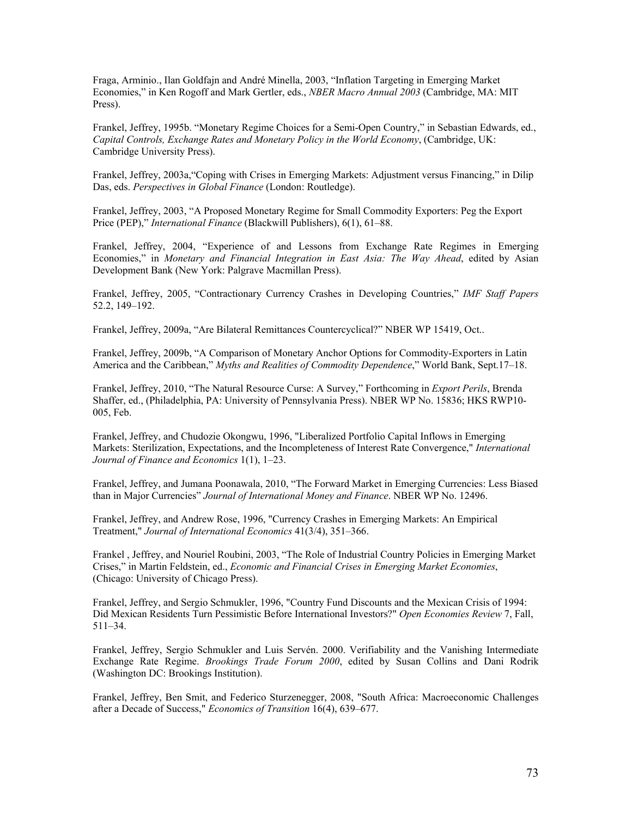Fraga, Arminio., Ilan Goldfajn and André Minella, 2003, "Inflation Targeting in Emerging Market Economies," in Ken Rogoff and Mark Gertler, eds., *NBER Macro Annual 2003* (Cambridge, MA: MIT Press).

Frankel, Jeffrey, 1995b. "Monetary Regime Choices for a Semi-Open Country," in Sebastian Edwards, ed., *Capital Controls, Exchange Rates and Monetary Policy in the World Economy*, (Cambridge, UK: Cambridge University Press).

Frankel, Jeffrey, 2003a,"Coping with Crises in Emerging Markets: Adjustment versus Financing," in Dilip Das, eds. *Perspectives in Global Finance* (London: Routledge).

Frankel, Jeffrey, 2003, "A Proposed Monetary Regime for Small Commodity Exporters: Peg the Export Price (PEP)," *International Finance* (Blackwill Publishers), 6(1), 61–88.

Frankel, Jeffrey, 2004, "Experience of and Lessons from Exchange Rate Regimes in Emerging Economies," in *Monetary and Financial Integration in East Asia: The Way Ahead*, edited by Asian Development Bank (New York: Palgrave Macmillan Press).

Frankel, Jeffrey, 2005, "Contractionary Currency Crashes in Developing Countries," *IMF Staff Papers* 52.2, 149–192.

Frankel, Jeffrey, 2009a, "Are Bilateral Remittances Countercyclical?" NBER WP 15419, Oct..

Frankel, Jeffrey, 2009b, "A Comparison of Monetary Anchor Options for Commodity-Exporters in Latin America and the Caribbean," *Myths and Realities of Commodity Dependence*," World Bank, Sept.17–18.

Frankel, Jeffrey, 2010, "The Natural Resource Curse: A Survey," Forthcoming in *Export Perils*, Brenda Shaffer, ed., (Philadelphia, PA: University of Pennsylvania Press). NBER WP No. 15836; HKS RWP10- 005, Feb.

Frankel, Jeffrey, and Chudozie Okongwu, 1996, "Liberalized Portfolio Capital Inflows in Emerging Markets: Sterilization, Expectations, and the Incompleteness of Interest Rate Convergence," *International Journal of Finance and Economics* 1(1), 1–23.

Frankel, Jeffrey, and Jumana Poonawala, 2010, "The Forward Market in Emerging Currencies: Less Biased than in Major Currencies" *Journal of International Money and Finance*. NBER WP No. 12496.

Frankel, Jeffrey, and Andrew Rose, 1996, "Currency Crashes in Emerging Markets: An Empirical Treatment," *Journal of International Economics* 41(3/4), 351–366.

Frankel , Jeffrey, and Nouriel Roubini, 2003, "The Role of Industrial Country Policies in Emerging Market Crises," in Martin Feldstein, ed., *Economic and Financial Crises in Emerging Market Economies*, (Chicago: University of Chicago Press).

Frankel, Jeffrey, and Sergio Schmukler, 1996, "Country Fund Discounts and the Mexican Crisis of 1994: Did Mexican Residents Turn Pessimistic Before International Investors?" *Open Economies Review* 7, Fall, 511–34.

Frankel, Jeffrey, Sergio Schmukler and Luis Servén. 2000. Verifiability and the Vanishing Intermediate Exchange Rate Regime. *Brookings Trade Forum 2000*, edited by Susan Collins and Dani Rodrik (Washington DC: Brookings Institution).

Frankel, Jeffrey, Ben Smit, and Federico Sturzenegger, 2008, "South Africa: Macroeconomic Challenges after a Decade of Success," *Economics of Transition* 16(4), 639–677.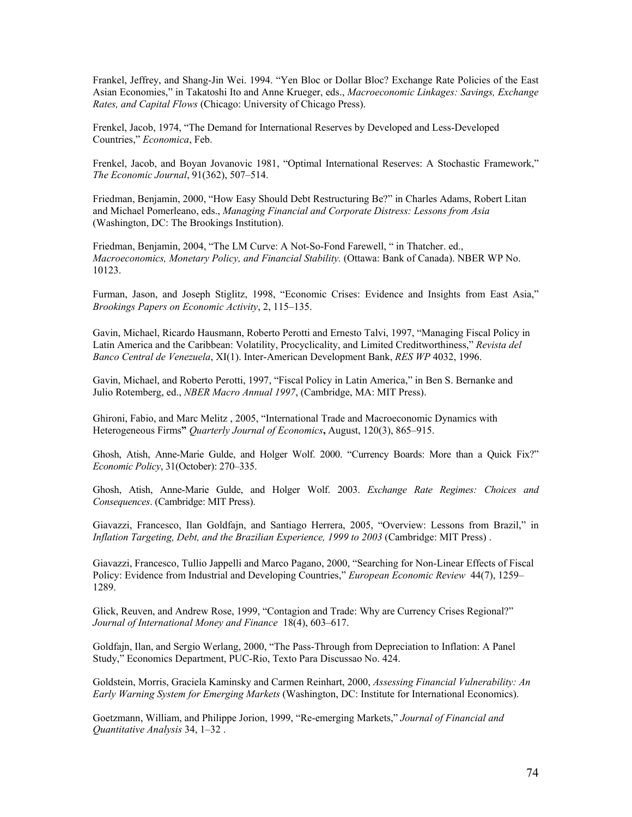Frankel, Jeffrey, and Shang-Jin Wei. 1994. "Yen Bloc or Dollar Bloc? Exchange Rate Policies of the East Asian Economies," in Takatoshi Ito and Anne Krueger, eds., *Macroeconomic Linkages: Savings, Exchange Rates, and Capital Flows* (Chicago: University of Chicago Press).

Frenkel, Jacob, 1974, "The Demand for International Reserves by Developed and Less-Developed Countries," *Economica*, Feb.

Frenkel, Jacob, and Boyan Jovanovic 1981, "Optimal International Reserves: A Stochastic Framework," *The Economic Journal*, 91(362), 507–514.

Friedman, Benjamin, 2000, "How Easy Should Debt Restructuring Be?" in Charles Adams, Robert Litan and Michael Pomerleano, eds., *Managing Financial and Corporate Distress: Lessons from Asia*  (Washington, DC: The Brookings Institution).

Friedman, Benjamin, 2004, "The LM Curve: A Not-So-Fond Farewell, " in Thatcher. ed., *Macroeconomics, Monetary Policy, and Financial Stability.* (Ottawa: Bank of Canada). NBER WP No. 10123.

Furman, Jason, and Joseph Stiglitz, 1998, "Economic Crises: Evidence and Insights from East Asia," *Brookings Papers on Economic Activity*, 2, 115–135.

Gavin, Michael, Ricardo Hausmann, Roberto Perotti and Ernesto Talvi, 1997, "Managing Fiscal Policy in Latin America and the Caribbean: Volatility, Procyclicality, and Limited Creditworthiness," *Revista del Banco Central de Venezuela*, XI(1). Inter-American Development Bank, *RES WP* 4032, 1996.

Gavin, Michael, and Roberto Perotti, 1997, "Fiscal Policy in Latin America," in Ben S. Bernanke and Julio Rotemberg, ed., *NBER Macro Annual 1997*, (Cambridge, MA: MIT Press).

Ghironi, Fabio, and Marc Melitz , 2005, "International Trade and Macroeconomic Dynamics with Heterogeneous Firms**"** *Quarterly Journal of Economics***,** August, 120(3), 865–915.

Ghosh, Atish, Anne-Marie Gulde, and Holger Wolf. 2000. "Currency Boards: More than a Quick Fix?" *Economic Policy*, 31(October): 270–335.

Ghosh, Atish, Anne-Marie Gulde, and Holger Wolf. 2003. *Exchange Rate Regimes: Choices and Consequences*. (Cambridge: MIT Press).

Giavazzi, Francesco, Ilan Goldfajn, and Santiago Herrera, 2005, "Overview: Lessons from Brazil," in *Inflation Targeting, Debt, and the Brazilian Experience, 1999 to 2003* (Cambridge: MIT Press) .

Giavazzi, Francesco, Tullio Jappelli and Marco Pagano, 2000, "Searching for Non-Linear Effects of Fiscal Policy: Evidence from Industrial and Developing Countries," *European Economic Review* 44(7), 1259– 1289.

Glick, Reuven, and Andrew Rose, 1999, "Contagion and Trade: Why are Currency Crises Regional?" *Journal of International Money and Finance* 18(4), 603–617.

Goldfajn, Ilan, and Sergio Werlang, 2000, "The Pass-Through from Depreciation to Inflation: A Panel Study," Economics Department, PUC-Rio, Texto Para Discussao No. 424.

Goldstein, Morris, Graciela Kaminsky and Carmen Reinhart, 2000, *Assessing Financial Vulnerability: An Early Warning System for Emerging Markets* (Washington, DC: Institute for International Economics).

Goetzmann, William, and Philippe Jorion, 1999, "Re-emerging Markets," *Journal of Financial and Quantitative Analysis* 34, 1–32 .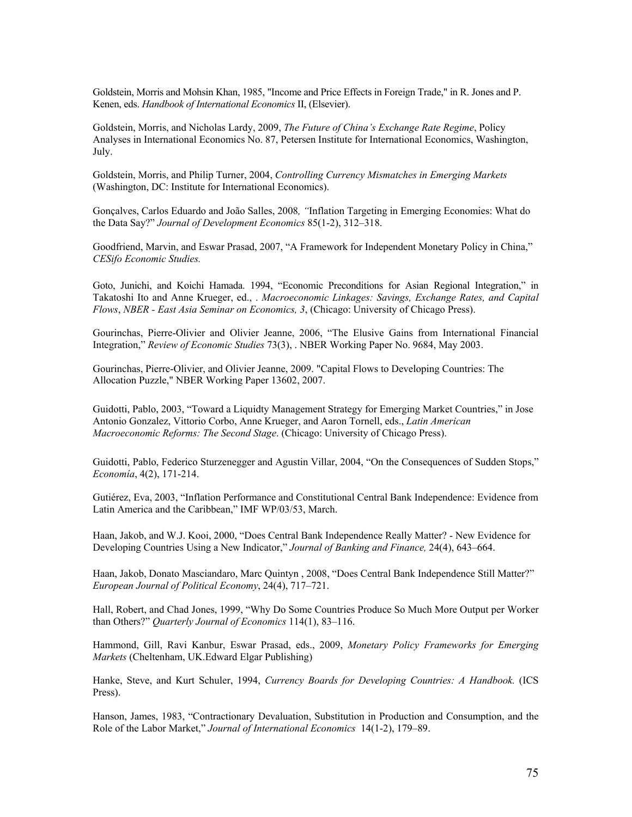Goldstein, Morris and Mohsin Khan, 1985, "Income and Price Effects in Foreign Trade," in R. Jones and P. Kenen, eds. *Handbook of International Economics* II, (Elsevier).

Goldstein, Morris, and Nicholas Lardy, 2009, *The Future of China's Exchange Rate Regime*, Policy Analyses in International Economics No. 87, Petersen Institute for International Economics, Washington, July.

Goldstein, Morris, and Philip Turner, 2004, *Controlling Currency Mismatches in Emerging Markets*  (Washington, DC: Institute for International Economics).

Gonçalves, Carlos Eduardo and João Salles, 2008*, "*Inflation Targeting in Emerging Economies: What do the Data Say?" *Journal of Development Economics* 85(1-2), 312–318.

Goodfriend, Marvin, and Eswar Prasad, 2007, "A Framework for Independent Monetary Policy in China," *CESifo Economic Studies.*

Goto, Junichi, and Koichi Hamada. 1994, "Economic Preconditions for Asian Regional Integration," in Takatoshi Ito and Anne Krueger, ed., . *Macroeconomic Linkages: Savings, Exchange Rates, and Capital Flows*, *NBER - East Asia Seminar on Economics, 3*, (Chicago: University of Chicago Press).

Gourinchas, Pierre-Olivier and Olivier Jeanne, 2006, "The Elusive Gains from International Financial Integration," *Review of Economic Studies* 73(3), . NBER Working Paper No. 9684, May 2003.

Gourinchas, Pierre-Olivier, and Olivier Jeanne, 2009. "Capital Flows to Developing Countries: The Allocation Puzzle," NBER Working Paper 13602, 2007.

Guidotti, Pablo, 2003, "Toward a Liquidty Management Strategy for Emerging Market Countries," in Jose Antonio Gonzalez, Vittorio Corbo, Anne Krueger, and Aaron Tornell, eds., *Latin American Macroeconomic Reforms: The Second Stage*. (Chicago: University of Chicago Press).

Guidotti, Pablo, Federico Sturzenegger and Agustin Villar, 2004, "On the Consequences of Sudden Stops," *Economía*, 4(2), 171-214.

Gutiérez, Eva, 2003, "Inflation Performance and Constitutional Central Bank Independence: Evidence from Latin America and the Caribbean," IMF WP/03/53, March.

Haan, Jakob, and W.J. Kooi, 2000, "Does Central Bank Independence Really Matter? - New Evidence for Developing Countries Using a New Indicator," *Journal of Banking and Finance,* 24(4), 643–664.

Haan, Jakob, Donato Masciandaro, Marc Quintyn , 2008, "Does Central Bank Independence Still Matter?" *European Journal of Political Economy*, 24(4), 717–721.

Hall, Robert, and Chad Jones, 1999, "Why Do Some Countries Produce So Much More Output per Worker than Others?" *Quarterly Journal of Economics* 114(1), 83–116.

Hammond, Gill, Ravi Kanbur, Eswar Prasad, eds., 2009, *Monetary Policy Frameworks for Emerging Markets* (Cheltenham, UK.Edward Elgar Publishing)

Hanke, Steve, and Kurt Schuler, 1994, *Currency Boards for Developing Countries: A Handbook.* (ICS Press).

Hanson, James, 1983, "Contractionary Devaluation, Substitution in Production and Consumption, and the Role of the Labor Market," *Journal of International Economics* 14(1-2), 179–89.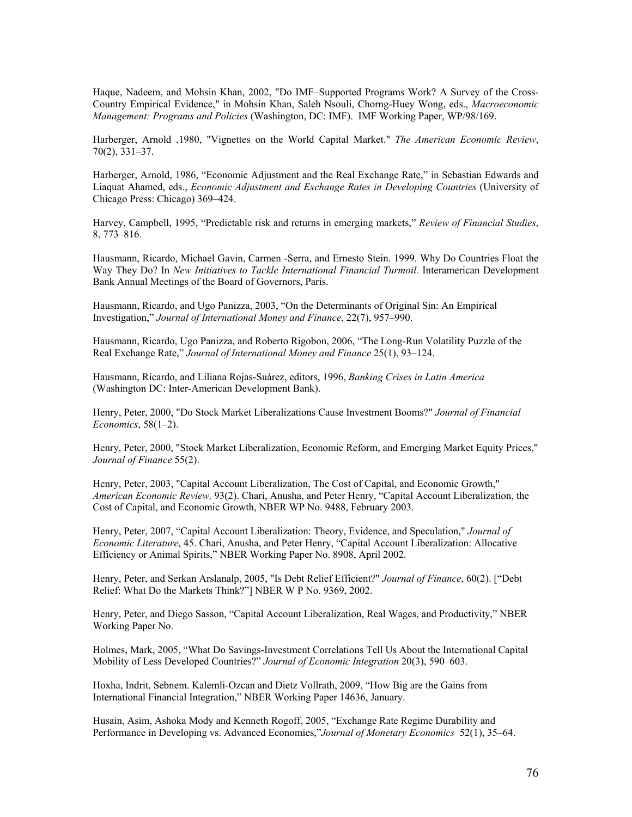Haque, Nadeem, and Mohsin Khan, 2002, "Do IMF–Supported Programs Work? A Survey of the Cross-Country Empirical Evidence," in Mohsin Khan, Saleh Nsouli, Chorng-Huey Wong, eds., *Macroeconomic Management: Programs and Policies* (Washington, DC: IMF). IMF Working Paper, WP/98/169.

Harberger, Arnold ,1980, "Vignettes on the World Capital Market." *The American Economic Review*, 70(2), 331–37.

Harberger, Arnold, 1986, "Economic Adjustment and the Real Exchange Rate," in Sebastian Edwards and Liaquat Ahamed, eds., *Economic Adjustment and Exchange Rates in Developing Countries* (University of Chicago Press: Chicago) 369–424.

Harvey, Campbell, 1995, "Predictable risk and returns in emerging markets," *Review of Financial Studies*, 8, 773–816.

Hausmann, Ricardo, Michael Gavin, Carmen -Serra, and Ernesto Stein. 1999. Why Do Countries Float the Way They Do? In *New Initiatives to Tackle International Financial Turmoil.* Interamerican Development Bank Annual Meetings of the Board of Governors, Paris.

Hausmann, Ricardo, and Ugo Panizza, 2003, "On the Determinants of Original Sin: An Empirical Investigation," *Journal of International Money and Finance*, 22(7), 957–990.

Hausmann, Ricardo, Ugo Panizza, and Roberto Rigobon, 2006, "The Long-Run Volatility Puzzle of the Real Exchange Rate," *Journal of International Money and Finance* 25(1), 93–124.

Hausmann, Ricardo, and Liliana Rojas-Suárez, editors, 1996, *Banking Crises in Latin America* (Washington DC: Inter-American Development Bank).

Henry, Peter, 2000, "Do Stock Market Liberalizations Cause Investment Booms?" *Journal of Financial Economics*, 58(1–2).

Henry, Peter, 2000, "Stock Market Liberalization, Economic Reform, and Emerging Market Equity Prices," *Journal of Finance* 55(2).

Henry, Peter, 2003, "Capital Account Liberalization, The Cost of Capital, and Economic Growth," *American Economic Review,* 93(2). Chari, Anusha, and Peter Henry, "Capital Account Liberalization, the Cost of Capital, and Economic Growth, NBER WP No. 9488, February 2003.

Henry, Peter, 2007, "Capital Account Liberalization: Theory, Evidence, and Speculation," *Journal of Economic Literature*, 45. Chari, Anusha, and Peter Henry, "Capital Account Liberalization: Allocative Efficiency or Animal Spirits," NBER Working Paper No. 8908, April 2002.

Henry, Peter, and Serkan Arslanalp, 2005, "Is Debt Relief Efficient?" *Journal of Finance*, 60(2). ["Debt Relief: What Do the Markets Think?"] NBER W P No. 9369, 2002.

Henry, Peter, and Diego Sasson, "Capital Account Liberalization, Real Wages, and Productivity," NBER Working Paper No.

Holmes, Mark, 2005, "What Do Savings-Investment Correlations Tell Us About the International Capital Mobility of Less Developed Countries?" *Journal of Economic Integration* 20(3), 590–603.

Hoxha, Indrit, Sebnem. Kalemli-Ozcan and Dietz Vollrath, 2009, "How Big are the Gains from International Financial Integration," NBER Working Paper 14636, January.

Husain, Asim, Ashoka Mody and Kenneth Rogoff, 2005, "Exchange Rate Regime Durability and Performance in Developing vs. Advanced Economies,"*Journal of Monetary Economics* 52(1), 35–64.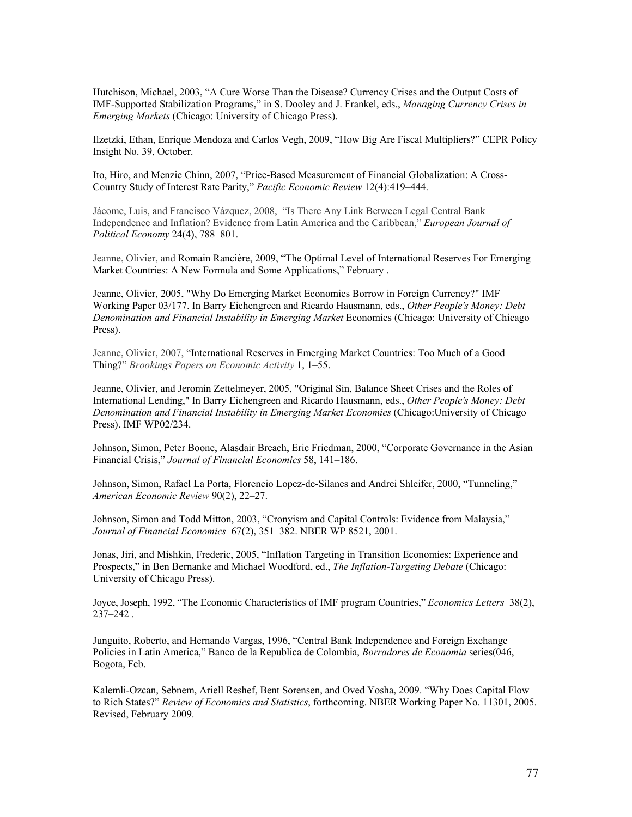Hutchison, Michael, 2003, "A Cure Worse Than the Disease? Currency Crises and the Output Costs of IMF-Supported Stabilization Programs," in S. Dooley and J. Frankel, eds., *Managing Currency Crises in Emerging Markets* (Chicago: University of Chicago Press).

Ilzetzki, Ethan, Enrique Mendoza and Carlos Vegh, 2009, "How Big Are Fiscal Multipliers?" CEPR Policy Insight No. 39, October.

Ito, Hiro, and Menzie Chinn, 2007, "Price-Based Measurement of Financial Globalization: A Cross-Country Study of Interest Rate Parity," *Pacific Economic Review* 12(4):419–444.

Jácome, Luis, and Francisco Vázquez, 2008, "Is There Any Link Between Legal Central Bank Independence and Inflation? Evidence from Latin America and the Caribbean," *European Journal of Political Economy* 24(4), 788–801.

Jeanne, Olivier, and Romain Rancière, 2009, "The Optimal Level of International Reserves For Emerging Market Countries: A New Formula and Some Applications," February .

Jeanne, Olivier, 2005, "Why Do Emerging Market Economies Borrow in Foreign Currency?" IMF Working Paper 03/177. In Barry Eichengreen and Ricardo Hausmann, eds., *Other People's Money: Debt Denomination and Financial Instability in Emerging Market* Economies (Chicago: University of Chicago Press).

Jeanne, Olivier, 2007, "International Reserves in Emerging Market Countries: Too Much of a Good Thing?" *Brookings Papers on Economic Activity* 1, 1–55.

Jeanne, Olivier, and Jeromin Zettelmeyer, 2005, "Original Sin, Balance Sheet Crises and the Roles of International Lending," In Barry Eichengreen and Ricardo Hausmann, eds., *Other People's Money: Debt Denomination and Financial Instability in Emerging Market Economies* (Chicago:University of Chicago Press). IMF WP02/234.

Johnson, Simon, Peter Boone, Alasdair Breach, Eric Friedman, 2000, "Corporate Governance in the Asian Financial Crisis," *Journal of Financial Economics* 58, 141–186.

Johnson, Simon, Rafael La Porta, Florencio Lopez-de-Silanes and Andrei Shleifer, 2000, "Tunneling," *American Economic Review* 90(2), 22–27.

Johnson, Simon and Todd Mitton, 2003, "Cronyism and Capital Controls: Evidence from Malaysia," *Journal of Financial Economics* 67(2), 351–382. NBER WP 8521, 2001.

Jonas, Jiri, and Mishkin, Frederic, 2005, "Inflation Targeting in Transition Economies: Experience and Prospects," in Ben Bernanke and Michael Woodford, ed., *The Inflation-Targeting Debate* (Chicago: University of Chicago Press).

Joyce, Joseph, 1992, "The Economic Characteristics of IMF program Countries," *Economics Letters* 38(2), 237–242 .

Junguito, Roberto, and Hernando Vargas, 1996, "Central Bank Independence and Foreign Exchange Policies in Latin America," Banco de la Republica de Colombia, *Borradores de Economia* series(046, Bogota, Feb.

Kalemli-Ozcan, Sebnem, Ariell Reshef, Bent Sorensen, and Oved Yosha, 2009. "Why Does Capital Flow to Rich States?" *Review of Economics and Statistics*, forthcoming. NBER Working Paper No. 11301, 2005. Revised, February 2009.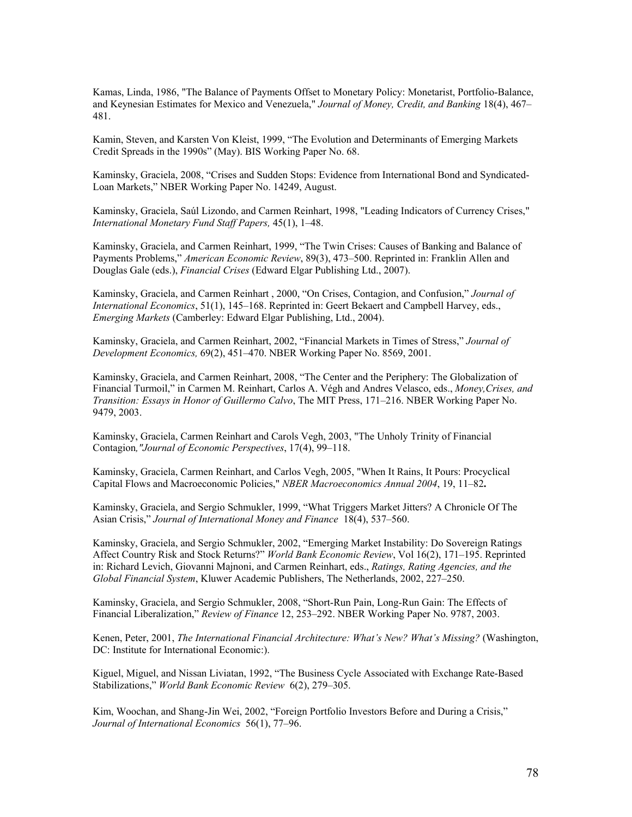Kamas, Linda, 1986, "The Balance of Payments Offset to Monetary Policy: Monetarist, Portfolio-Balance, and Keynesian Estimates for Mexico and Venezuela," *Journal of Money, Credit, and Banking* 18(4), 467– 481.

Kamin, Steven, and Karsten Von Kleist, 1999, "The Evolution and Determinants of Emerging Markets Credit Spreads in the 1990s" (May). BIS Working Paper No. 68.

Kaminsky, Graciela, 2008, "Crises and Sudden Stops: Evidence from International Bond and Syndicated-Loan Markets," NBER Working Paper No. 14249, August.

Kaminsky, Graciela, Saúl Lizondo, and Carmen Reinhart, 1998, "Leading Indicators of Currency Crises," *International Monetary Fund Staff Papers,* 45(1), 1–48.

Kaminsky, Graciela, and Carmen Reinhart, 1999, "The Twin Crises: Causes of Banking and Balance of Payments Problems," *American Economic Review*, 89(3), 473–500. Reprinted in: Franklin Allen and Douglas Gale (eds.), *Financial Crises* (Edward Elgar Publishing Ltd., 2007).

Kaminsky, Graciela, and Carmen Reinhart , 2000, "On Crises, Contagion, and Confusion," *Journal of International Economics*, 51(1), 145–168. Reprinted in: Geert Bekaert and Campbell Harvey, eds., *Emerging Markets* (Camberley: Edward Elgar Publishing, Ltd., 2004).

Kaminsky, Graciela, and Carmen Reinhart, 2002, "Financial Markets in Times of Stress," *Journal of Development Economics,* 69(2), 451–470. NBER Working Paper No. 8569, 2001.

Kaminsky, Graciela, and Carmen Reinhart, 2008, "The Center and the Periphery: The Globalization of Financial Turmoil," in Carmen M. Reinhart, Carlos A. Végh and Andres Velasco, eds., *Money,Crises, and Transition: Essays in Honor of Guillermo Calvo*, The MIT Press, 171–216. NBER Working Paper No. 9479, 2003.

Kaminsky, Graciela, Carmen Reinhart and Carols Vegh, 2003, "The Unholy Trinity of Financial Contagion*,"Journal of Economic Perspectives*, 17(4), 99–118.

Kaminsky, Graciela, Carmen Reinhart, and Carlos Vegh, 2005, "When It Rains, It Pours: Procyclical Capital Flows and Macroeconomic Policies," *NBER Macroeconomics Annual 2004*, 19, 11–82**.** 

Kaminsky, Graciela, and Sergio Schmukler, 1999, "What Triggers Market Jitters? A Chronicle Of The Asian Crisis," *Journal of International Money and Finance* 18(4), 537–560.

Kaminsky, Graciela, and Sergio Schmukler, 2002, "Emerging Market Instability: Do Sovereign Ratings Affect Country Risk and Stock Returns?" *World Bank Economic Review*, Vol 16(2), 171–195. Reprinted in: Richard Levich, Giovanni Majnoni, and Carmen Reinhart, eds., *Ratings, Rating Agencies, and the Global Financial System*, Kluwer Academic Publishers, The Netherlands, 2002, 227–250.

Kaminsky, Graciela, and Sergio Schmukler, 2008, "Short-Run Pain, Long-Run Gain: The Effects of Financial Liberalization," *Review of Finance* 12, 253–292. NBER Working Paper No. 9787, 2003.

Kenen, Peter, 2001, *The International Financial Architecture: What's New? What's Missing?* (Washington, DC: Institute for International Economic:).

Kiguel, Miguel, and Nissan Liviatan, 1992, "The Business Cycle Associated with Exchange Rate-Based Stabilizations," *World Bank Economic Review* 6(2), 279–305.

Kim, Woochan, and Shang-Jin Wei, 2002, "Foreign Portfolio Investors Before and During a Crisis," *Journal of International Economics* 56(1), 77–96.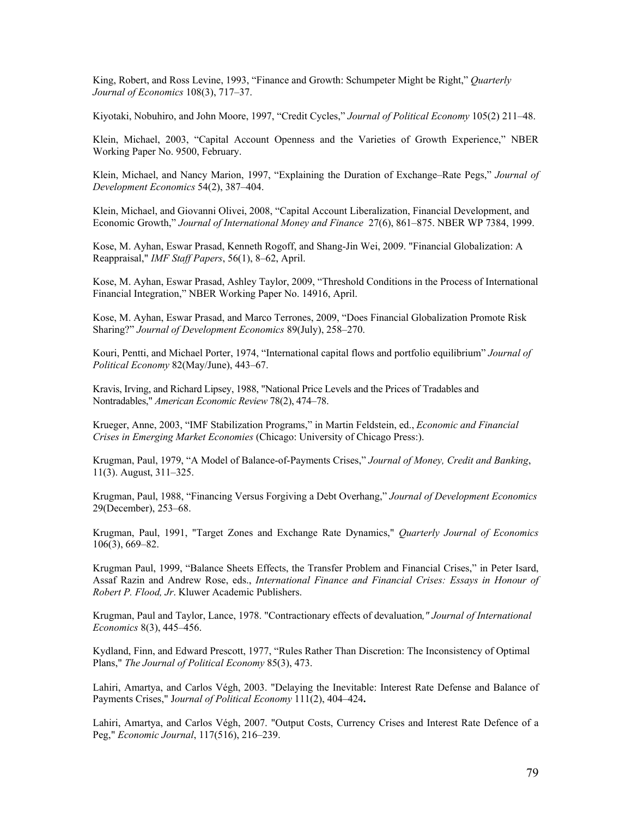King, Robert, and Ross Levine, 1993, "Finance and Growth: Schumpeter Might be Right," *Quarterly Journal of Economics* 108(3), 717–37.

Kiyotaki, Nobuhiro, and John Moore, 1997, "Credit Cycles," *Journal of Political Economy* 105(2) 211–48.

Klein, Michael, 2003, "Capital Account Openness and the Varieties of Growth Experience," NBER Working Paper No. 9500, February.

Klein, Michael, and Nancy Marion, 1997, "Explaining the Duration of Exchange–Rate Pegs," *Journal of Development Economics* 54(2), 387–404.

Klein, Michael, and Giovanni Olivei, 2008, "Capital Account Liberalization, Financial Development, and Economic Growth," *Journal of International Money and Finance* 27(6), 861–875. NBER WP 7384, 1999.

Kose, M. Ayhan, Eswar Prasad, Kenneth Rogoff, and Shang-Jin Wei, 2009. "Financial Globalization: A Reappraisal," *IMF Staff Papers*, 56(1), 8–62, April.

Kose, M. Ayhan, Eswar Prasad, Ashley Taylor, 2009, "Threshold Conditions in the Process of International Financial Integration," NBER Working Paper No. 14916, April.

Kose, M. Ayhan, Eswar Prasad, and Marco Terrones, 2009, "Does Financial Globalization Promote Risk Sharing?" *Journal of Development Economics* 89(July), 258–270.

Kouri, Pentti, and Michael Porter, 1974, "International capital flows and portfolio equilibrium" *Journal of Political Economy* 82(May/June), 443–67.

Kravis, Irving, and Richard Lipsey, 1988, "National Price Levels and the Prices of Tradables and Nontradables," *American Economic Review* 78(2), 474–78.

Krueger, Anne, 2003, "IMF Stabilization Programs," in Martin Feldstein, ed., *Economic and Financial Crises in Emerging Market Economies* (Chicago: University of Chicago Press:).

Krugman, Paul, 1979, "A Model of Balance-of-Payments Crises," *Journal of Money, Credit and Banking*, 11(3). August, 311–325.

Krugman, Paul, 1988, "Financing Versus Forgiving a Debt Overhang," *Journal of Development Economics* 29(December), 253–68.

Krugman, Paul, 1991, "Target Zones and Exchange Rate Dynamics," *Quarterly Journal of Economics* 106(3), 669–82.

Krugman Paul, 1999, "Balance Sheets Effects, the Transfer Problem and Financial Crises," in Peter Isard, Assaf Razin and Andrew Rose, eds., *International Finance and Financial Crises: Essays in Honour of Robert P. Flood, Jr*. Kluwer Academic Publishers.

Krugman, Paul and Taylor, Lance, 1978. "Contractionary effects of devaluation*," Journal of International Economics* 8(3), 445–456.

Kydland, Finn, and Edward Prescott, 1977, "Rules Rather Than Discretion: The Inconsistency of Optimal Plans," *The Journal of Political Economy* 85(3), 473.

Lahiri, Amartya, and Carlos Végh, 2003. "Delaying the Inevitable: Interest Rate Defense and Balance of Payments Crises," J*ournal of Political Economy* 111(2), 404–424**.** 

Lahiri, Amartya, and Carlos Végh, 2007. "Output Costs, Currency Crises and Interest Rate Defence of a Peg," *Economic Journal*, 117(516), 216–239.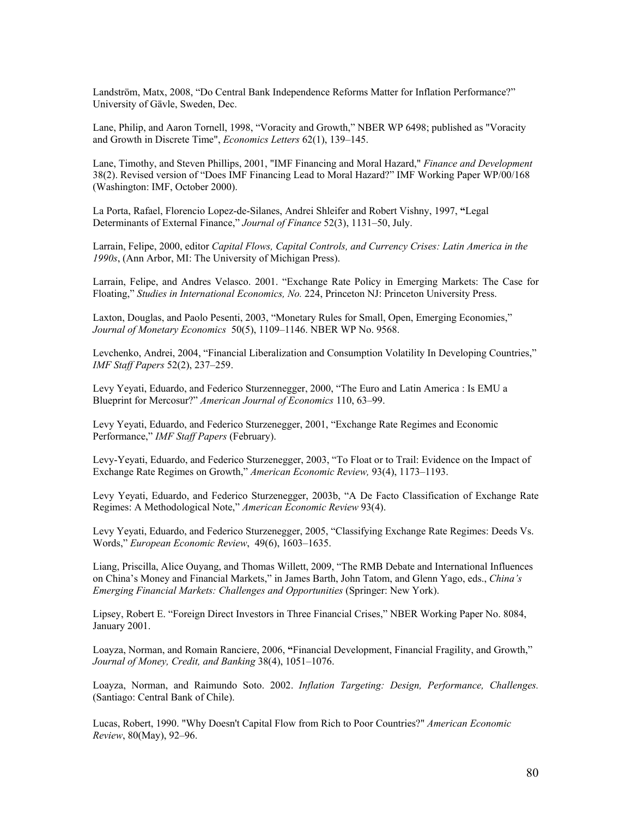Landström, Matx, 2008, "Do Central Bank Independence Reforms Matter for Inflation Performance?" University of Gävle, Sweden, Dec.

Lane, Philip, and Aaron Tornell, 1998, "Voracity and Growth," NBER WP 6498; published as "Voracity and Growth in Discrete Time", *Economics Letters* 62(1), 139–145.

Lane, Timothy, and Steven Phillips, 2001, "IMF Financing and Moral Hazard," *Finance and Development* 38(2). Revised version of "Does IMF Financing Lead to Moral Hazard?" IMF Working Paper WP/00/168 (Washington: IMF, October 2000).

La Porta, Rafael, Florencio Lopez-de-Silanes, Andrei Shleifer and Robert Vishny, 1997, **"**Legal Determinants of External Finance," *Journal of Finance* 52(3), 1131–50, July.

Larrain, Felipe, 2000, editor *Capital Flows, Capital Controls, and Currency Crises: Latin America in the 1990s*, (Ann Arbor, MI: The University of Michigan Press).

Larrain, Felipe, and Andres Velasco. 2001. "Exchange Rate Policy in Emerging Markets: The Case for Floating," *Studies in International Economics, No.* 224, Princeton NJ: Princeton University Press.

Laxton, Douglas, and Paolo Pesenti, 2003, "Monetary Rules for Small, Open, Emerging Economies," *Journal of Monetary Economics* 50(5), 1109–1146. NBER WP No. 9568.

Levchenko, Andrei, 2004, "Financial Liberalization and Consumption Volatility In Developing Countries," *IMF Staff Papers* 52(2), 237–259.

Levy Yeyati, Eduardo, and Federico Sturzennegger, 2000, "The Euro and Latin America : Is EMU a Blueprint for Mercosur?" *American Journal of Economics* 110, 63–99.

Levy Yeyati, Eduardo, and Federico Sturzenegger, 2001, "Exchange Rate Regimes and Economic Performance," *IMF Staff Papers* (February).

Levy-Yeyati, Eduardo, and Federico Sturzenegger, 2003, "To Float or to Trail: Evidence on the Impact of Exchange Rate Regimes on Growth," *American Economic Review,* 93(4), 1173–1193.

Levy Yeyati, Eduardo, and Federico Sturzenegger, 2003b, "A De Facto Classification of Exchange Rate Regimes: A Methodological Note," *American Economic Review* 93(4).

Levy Yeyati, Eduardo, and Federico Sturzenegger, 2005, "Classifying Exchange Rate Regimes: Deeds Vs. Words," *European Economic Review*, 49(6), 1603–1635.

Liang, Priscilla, Alice Ouyang, and Thomas Willett, 2009, "The RMB Debate and International Influences on China's Money and Financial Markets," in James Barth, John Tatom, and Glenn Yago, eds., *China's Emerging Financial Markets: Challenges and Opportunities* (Springer: New York).

Lipsey, Robert E. "Foreign Direct Investors in Three Financial Crises," NBER Working Paper No. 8084, January 2001.

Loayza, Norman, and Romain Ranciere, 2006, **"**Financial Development, Financial Fragility, and Growth," *Journal of Money, Credit, and Banking* 38(4), 1051–1076.

Loayza, Norman, and Raimundo Soto. 2002. *Inflation Targeting: Design, Performance, Challenges.* (Santiago: Central Bank of Chile).

Lucas, Robert, 1990. "Why Doesn't Capital Flow from Rich to Poor Countries?" *American Economic Review*, 80(May), 92–96.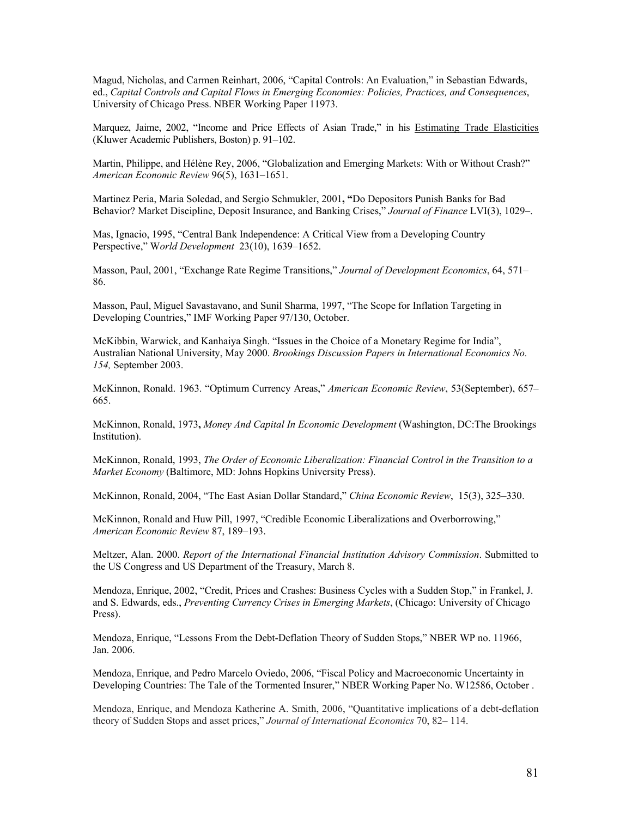Magud, Nicholas, and Carmen Reinhart, 2006, "Capital Controls: An Evaluation," in Sebastian Edwards, ed., *Capital Controls and Capital Flows in Emerging Economies: Policies, Practices, and Consequences*, University of Chicago Press. NBER Working Paper 11973.

Marquez, Jaime, 2002, "Income and Price Effects of Asian Trade," in his Estimating Trade Elasticities (Kluwer Academic Publishers, Boston) p. 91–102.

Martin, Philippe, and Hélène Rey, 2006, "Globalization and Emerging Markets: With or Without Crash?" *American Economic Review* 96(5), 1631–1651.

Martinez Peria, Maria Soledad, and Sergio Schmukler, 2001**, "**Do Depositors Punish Banks for Bad Behavior? Market Discipline, Deposit Insurance, and Banking Crises," *Journal of Finance* LVI(3), 1029–.

Mas, Ignacio, 1995, "Central Bank Independence: A Critical View from a Developing Country Perspective," W*orld Development* 23(10), 1639–1652.

Masson, Paul, 2001, "Exchange Rate Regime Transitions," *Journal of Development Economics*, 64, 571– 86.

Masson, Paul, Miguel Savastavano, and Sunil Sharma, 1997, "The Scope for Inflation Targeting in Developing Countries," IMF Working Paper 97/130, October.

McKibbin, Warwick, and Kanhaiya Singh. "Issues in the Choice of a Monetary Regime for India", Australian National University, May 2000. *Brookings Discussion Papers in International Economics No. 154,* September 2003.

McKinnon, Ronald. 1963. "Optimum Currency Areas," *American Economic Review*, 53(September), 657– 665.

McKinnon, Ronald, 1973**,** *Money And Capital In Economic Development* (Washington, DC:The Brookings Institution).

McKinnon, Ronald, 1993, *The Order of Economic Liberalization: Financial Control in the Transition to a Market Economy* (Baltimore, MD: Johns Hopkins University Press).

McKinnon, Ronald, 2004, "The East Asian Dollar Standard," *China Economic Review*, 15(3), 325–330.

McKinnon, Ronald and Huw Pill, 1997, "Credible Economic Liberalizations and Overborrowing," *American Economic Review* 87, 189–193.

Meltzer, Alan. 2000. *Report of the International Financial Institution Advisory Commission*. Submitted to the US Congress and US Department of the Treasury, March 8.

Mendoza, Enrique, 2002, "Credit, Prices and Crashes: Business Cycles with a Sudden Stop," in Frankel, J. and S. Edwards, eds., *Preventing Currency Crises in Emerging Markets*, (Chicago: University of Chicago Press).

Mendoza, Enrique, "Lessons From the Debt-Deflation Theory of Sudden Stops," NBER WP no. 11966, Jan. 2006.

Mendoza, Enrique, and Pedro Marcelo Oviedo, 2006, "Fiscal Policy and Macroeconomic Uncertainty in Developing Countries: The Tale of the Tormented Insurer," NBER Working Paper No. W12586, October .

Mendoza, Enrique, and Mendoza Katherine A. Smith, 2006, "Quantitative implications of a debt-deflation theory of Sudden Stops and asset prices," *Journal of International Economics* 70, 82– 114.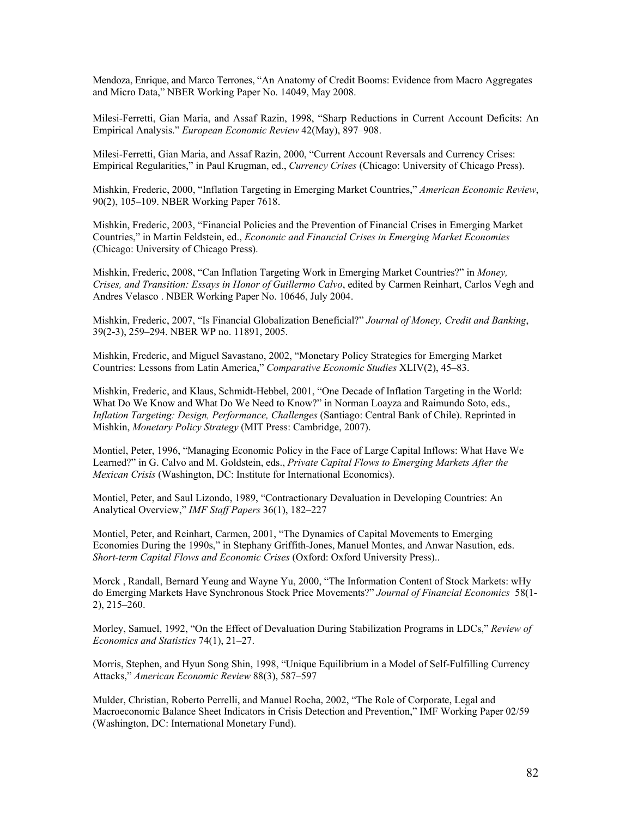Mendoza, Enrique, and Marco Terrones, "An Anatomy of Credit Booms: Evidence from Macro Aggregates and Micro Data," NBER Working Paper No. 14049, May 2008.

Milesi-Ferretti, Gian Maria, and Assaf Razin, 1998, "Sharp Reductions in Current Account Deficits: An Empirical Analysis." *European Economic Review* 42(May), 897–908.

Milesi-Ferretti, Gian Maria, and Assaf Razin, 2000, "Current Account Reversals and Currency Crises: Empirical Regularities," in Paul Krugman, ed., *Currency Crises* (Chicago: University of Chicago Press).

Mishkin, Frederic, 2000, "Inflation Targeting in Emerging Market Countries," *American Economic Review*, 90(2), 105–109. NBER Working Paper 7618.

Mishkin, Frederic, 2003, "Financial Policies and the Prevention of Financial Crises in Emerging Market Countries," in Martin Feldstein, ed., *Economic and Financial Crises in Emerging Market Economies* (Chicago: University of Chicago Press).

Mishkin, Frederic, 2008, "Can Inflation Targeting Work in Emerging Market Countries?" in *Money, Crises, and Transition: Essays in Honor of Guillermo Calvo*, edited by Carmen Reinhart, Carlos Vegh and Andres Velasco . NBER Working Paper No. 10646, July 2004.

Mishkin, Frederic, 2007, "Is Financial Globalization Beneficial?" *Journal of Money, Credit and Banking*, 39(2-3), 259–294. NBER WP no. 11891, 2005.

Mishkin, Frederic, and Miguel Savastano, 2002, "Monetary Policy Strategies for Emerging Market Countries: Lessons from Latin America," *Comparative Economic Studies* XLIV(2), 45–83.

Mishkin, Frederic, and Klaus, Schmidt-Hebbel, 2001, "One Decade of Inflation Targeting in the World: What Do We Know and What Do We Need to Know?" in Norman Loayza and Raimundo Soto, eds., *Inflation Targeting: Design, Performance, Challenges* (Santiago: Central Bank of Chile). Reprinted in Mishkin, *Monetary Policy Strategy* (MIT Press: Cambridge, 2007).

Montiel, Peter, 1996, "Managing Economic Policy in the Face of Large Capital Inflows: What Have We Learned?" in G. Calvo and M. Goldstein, eds., *Private Capital Flows to Emerging Markets After the Mexican Crisis* (Washington, DC: Institute for International Economics).

Montiel, Peter, and Saul Lizondo, 1989, "Contractionary Devaluation in Developing Countries: An Analytical Overview," *IMF Staff Papers* 36(1), 182–227

Montiel, Peter, and Reinhart, Carmen, 2001, "The Dynamics of Capital Movements to Emerging Economies During the 1990s," in Stephany Griffith-Jones, Manuel Montes, and Anwar Nasution, eds. *Short-term Capital Flows and Economic Crises* (Oxford: Oxford University Press)..

Morck , Randall, Bernard Yeung and Wayne Yu, 2000, "The Information Content of Stock Markets: wHy do Emerging Markets Have Synchronous Stock Price Movements?" *Journal of Financial Economics* 58(1- 2), 215–260.

Morley, Samuel, 1992, "On the Effect of Devaluation During Stabilization Programs in LDCs," *Review of Economics and Statistics* 74(1), 21–27.

Morris, Stephen, and Hyun Song Shin, 1998, "Unique Equilibrium in a Model of Self-Fulfilling Currency Attacks," *American Economic Review* 88(3), 587–597

Mulder, Christian, Roberto Perrelli, and Manuel Rocha, 2002, "The Role of Corporate, Legal and Macroeconomic Balance Sheet Indicators in Crisis Detection and Prevention," IMF Working Paper 02/59 (Washington, DC: International Monetary Fund).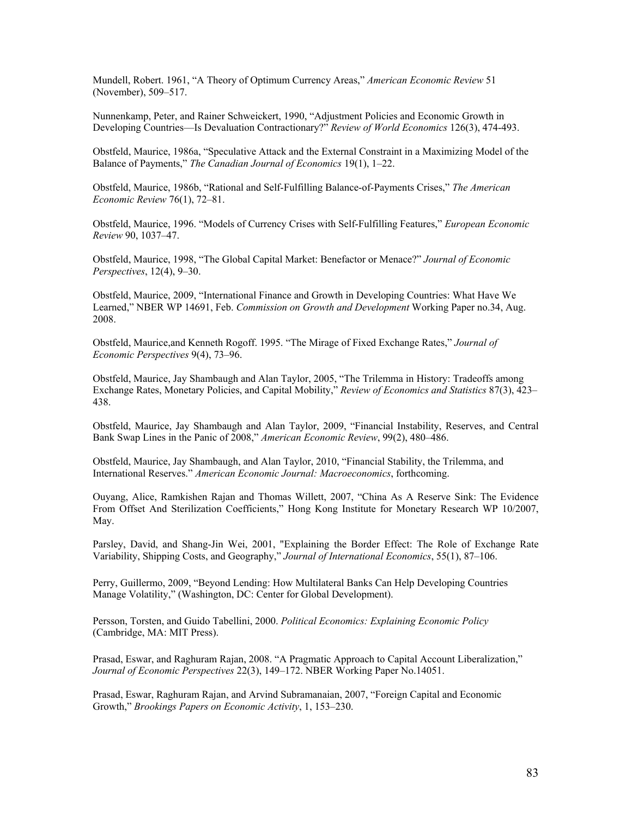Mundell, Robert. 1961, "A Theory of Optimum Currency Areas," *American Economic Review* 51 (November), 509–517.

Nunnenkamp, Peter, and Rainer Schweickert, 1990, "Adjustment Policies and Economic Growth in Developing Countries—Is Devaluation Contractionary?" *Review of World Economics* 126(3), 474-493.

Obstfeld, Maurice, 1986a, "Speculative Attack and the External Constraint in a Maximizing Model of the Balance of Payments," *The Canadian Journal of Economics* 19(1), 1–22.

Obstfeld, Maurice, 1986b, "Rational and Self-Fulfilling Balance-of-Payments Crises," *The American Economic Review* 76(1), 72–81.

Obstfeld, Maurice, 1996. "Models of Currency Crises with Self-Fulfilling Features," *European Economic Review* 90, 1037–47.

Obstfeld, Maurice, 1998, "The Global Capital Market: Benefactor or Menace?" *Journal of Economic Perspectives*, 12(4), 9–30.

Obstfeld, Maurice, 2009, "International Finance and Growth in Developing Countries: What Have We Learned," NBER WP 14691, Feb. *Commission on Growth and Development* Working Paper no.34, Aug. 2008.

Obstfeld, Maurice,and Kenneth Rogoff. 1995. "The Mirage of Fixed Exchange Rates," *Journal of Economic Perspectives* 9(4), 73–96.

Obstfeld, Maurice, Jay Shambaugh and Alan Taylor, 2005, "The Trilemma in History: Tradeoffs among Exchange Rates, Monetary Policies, and Capital Mobility," *Review of Economics and Statistics* 87(3), 423– 438.

Obstfeld, Maurice, Jay Shambaugh and Alan Taylor, 2009, "Financial Instability, Reserves, and Central Bank Swap Lines in the Panic of 2008," *American Economic Review*, 99(2), 480–486.

Obstfeld, Maurice, Jay Shambaugh, and Alan Taylor, 2010, "Financial Stability, the Trilemma, and International Reserves." *American Economic Journal: Macroeconomics*, forthcoming.

Ouyang, Alice, Ramkishen Rajan and Thomas Willett, 2007, "China As A Reserve Sink: The Evidence From Offset And Sterilization Coefficients," Hong Kong Institute for Monetary Research WP 10/2007, May.

Parsley, David, and Shang-Jin Wei, 2001, "Explaining the Border Effect: The Role of Exchange Rate Variability, Shipping Costs, and Geography," *Journal of International Economics*, 55(1), 87–106.

Perry, Guillermo, 2009, "Beyond Lending: How Multilateral Banks Can Help Developing Countries Manage Volatility," (Washington, DC: Center for Global Development).

Persson, Torsten, and Guido Tabellini, 2000. *Political Economics: Explaining Economic Policy* (Cambridge, MA: MIT Press).

Prasad, Eswar, and Raghuram Rajan, 2008. "A Pragmatic Approach to Capital Account Liberalization," *Journal of Economic Perspectives* 22(3), 149–172. NBER Working Paper No.14051.

Prasad, Eswar, Raghuram Rajan, and Arvind Subramanaian, 2007, "Foreign Capital and Economic Growth," *Brookings Papers on Economic Activity*, 1, 153–230.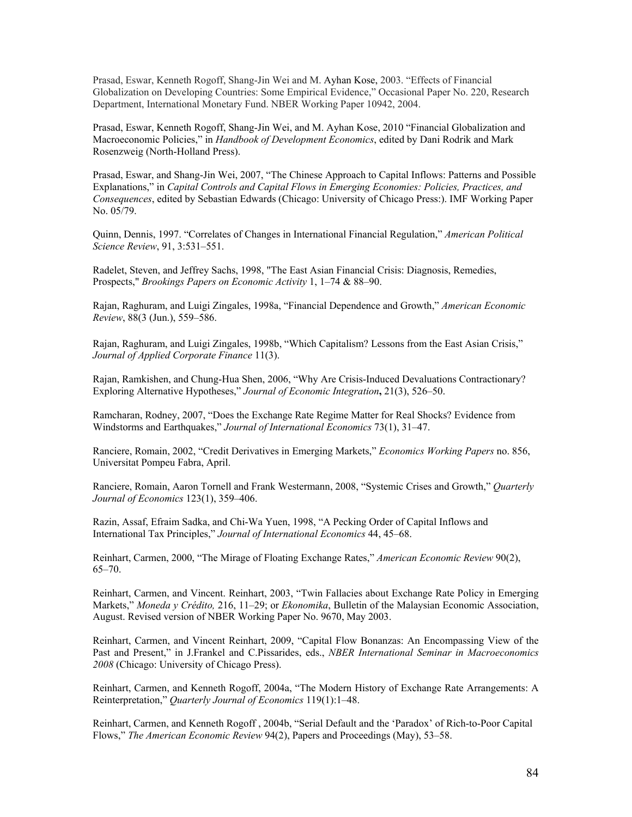Prasad, Eswar, Kenneth Rogoff, Shang-Jin Wei and M. Ayhan Kose, 2003. "Effects of Financial Globalization on Developing Countries: Some Empirical Evidence," Occasional Paper No. 220, Research Department, International Monetary Fund. NBER Working Paper 10942, 2004.

Prasad, Eswar, Kenneth Rogoff, Shang-Jin Wei, and M. Ayhan Kose, 2010 "Financial Globalization and Macroeconomic Policies," in *Handbook of Development Economics*, edited by Dani Rodrik and Mark Rosenzweig (North-Holland Press).

Prasad, Eswar, and Shang-Jin Wei, 2007, "The Chinese Approach to Capital Inflows: Patterns and Possible Explanations," in *Capital Controls and Capital Flows in Emerging Economies: Policies, Practices, and Consequences*, edited by Sebastian Edwards (Chicago: University of Chicago Press:). IMF Working Paper No. 05/79.

Quinn, Dennis, 1997. "Correlates of Changes in International Financial Regulation," *American Political Science Review*, 91, 3:531–551.

Radelet, Steven, and Jeffrey Sachs, 1998, "The East Asian Financial Crisis: Diagnosis, Remedies, Prospects," *Brookings Papers on Economic Activity* 1, 1–74 & 88–90.

Rajan, Raghuram, and Luigi Zingales, 1998a, "Financial Dependence and Growth," *American Economic Review*, 88(3 (Jun.), 559–586.

Rajan, Raghuram, and Luigi Zingales, 1998b, "Which Capitalism? Lessons from the East Asian Crisis," *Journal of Applied Corporate Finance* 11(3).

Rajan, Ramkishen, and Chung-Hua Shen, 2006, "Why Are Crisis-Induced Devaluations Contractionary? Exploring Alternative Hypotheses," *Journal of Economic Integration***,** 21(3), 526–50.

Ramcharan, Rodney, 2007, "Does the Exchange Rate Regime Matter for Real Shocks? Evidence from Windstorms and Earthquakes," *Journal of International Economics* 73(1), 31–47.

Ranciere, Romain, 2002, "Credit Derivatives in Emerging Markets," *Economics Working Papers* no. 856, Universitat Pompeu Fabra, April.

Ranciere, Romain, Aaron Tornell and Frank Westermann, 2008, "Systemic Crises and Growth," *Quarterly Journal of Economics* 123(1), 359–406.

Razin, Assaf, Efraim Sadka, and Chi-Wa Yuen, 1998, "A Pecking Order of Capital Inflows and International Tax Principles," *Journal of International Economics* 44, 45–68.

Reinhart, Carmen, 2000, "The Mirage of Floating Exchange Rates," *American Economic Review* 90(2), 65–70.

Reinhart, Carmen, and Vincent. Reinhart, 2003, "Twin Fallacies about Exchange Rate Policy in Emerging Markets," *Moneda y Crédito,* 216, 11–29; or *Ekonomika*, Bulletin of the Malaysian Economic Association, August. Revised version of NBER Working Paper No. 9670, May 2003.

Reinhart, Carmen, and Vincent Reinhart, 2009, "Capital Flow Bonanzas: An Encompassing View of the Past and Present," in J.Frankel and C.Pissarides, eds., *NBER International Seminar in Macroeconomics 2008* (Chicago: University of Chicago Press).

Reinhart, Carmen, and Kenneth Rogoff, 2004a, "The Modern History of Exchange Rate Arrangements: A Reinterpretation," *Quarterly Journal of Economics* 119(1):1–48.

Reinhart, Carmen, and Kenneth Rogoff , 2004b, "Serial Default and the 'Paradox' of Rich-to-Poor Capital Flows," *The American Economic Review* 94(2), Papers and Proceedings (May), 53–58.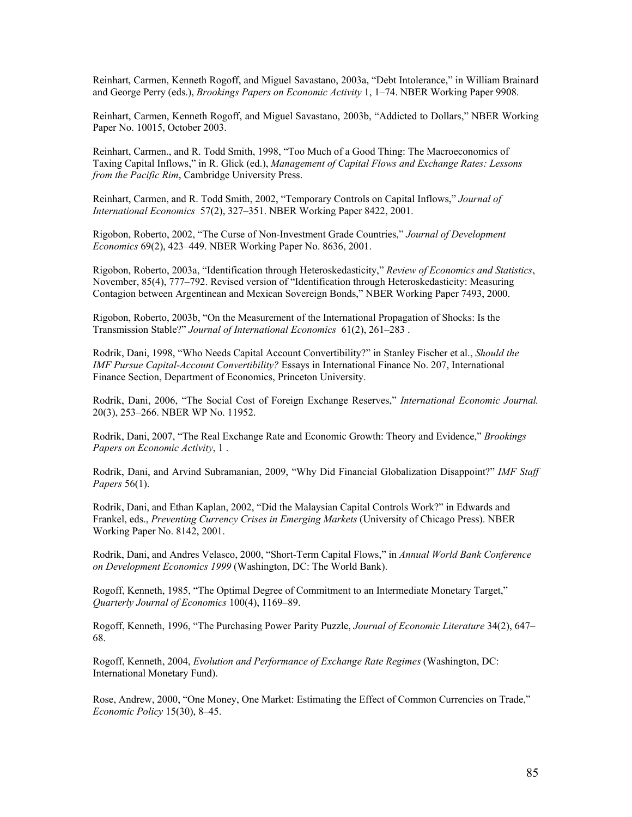Reinhart, Carmen, Kenneth Rogoff, and Miguel Savastano, 2003a, "Debt Intolerance," in William Brainard and George Perry (eds.), *Brookings Papers on Economic Activity* 1, 1–74. NBER Working Paper 9908.

Reinhart, Carmen, Kenneth Rogoff, and Miguel Savastano, 2003b, "Addicted to Dollars," NBER Working Paper No. 10015, October 2003.

Reinhart, Carmen., and R. Todd Smith, 1998, "Too Much of a Good Thing: The Macroeconomics of Taxing Capital Inflows," in R. Glick (ed.), *Management of Capital Flows and Exchange Rates: Lessons from the Pacific Rim*, Cambridge University Press.

Reinhart, Carmen, and R. Todd Smith, 2002, "Temporary Controls on Capital Inflows," *Journal of International Economics* 57(2), 327–351. NBER Working Paper 8422, 2001.

Rigobon, Roberto, 2002, "The Curse of Non-Investment Grade Countries," *Journal of Development Economics* 69(2), 423–449. NBER Working Paper No. 8636, 2001.

Rigobon, Roberto, 2003a, "Identification through Heteroskedasticity," *Review of Economics and Statistics*, November, 85(4), 777–792. Revised version of "Identification through Heteroskedasticity: Measuring Contagion between Argentinean and Mexican Sovereign Bonds," NBER Working Paper 7493, 2000.

Rigobon, Roberto, 2003b, "On the Measurement of the International Propagation of Shocks: Is the Transmission Stable?" *Journal of International Economics* 61(2), 261–283 .

Rodrik, Dani, 1998, "Who Needs Capital Account Convertibility?" in Stanley Fischer et al., *Should the IMF Pursue Capital-Account Convertibility?* Essays in International Finance No. 207, International Finance Section, Department of Economics, Princeton University.

Rodrik, Dani, 2006, "The Social Cost of Foreign Exchange Reserves," *International Economic Journal.* 20(3), 253–266. NBER WP No. 11952.

Rodrik, Dani, 2007, "The Real Exchange Rate and Economic Growth: Theory and Evidence," *Brookings Papers on Economic Activity*, 1 .

Rodrik, Dani, and Arvind Subramanian, 2009, "Why Did Financial Globalization Disappoint?" *IMF Staff Papers* 56(1).

Rodrik, Dani, and Ethan Kaplan, 2002, "Did the Malaysian Capital Controls Work?" in Edwards and Frankel, eds., *Preventing Currency Crises in Emerging Markets* (University of Chicago Press). NBER Working Paper No. 8142, 2001.

Rodrik, Dani, and Andres Velasco, 2000, "Short-Term Capital Flows," in *Annual World Bank Conference on Development Economics 1999* (Washington, DC: The World Bank).

Rogoff, Kenneth, 1985, "The Optimal Degree of Commitment to an Intermediate Monetary Target," *Quarterly Journal of Economics* 100(4), 1169–89.

Rogoff, Kenneth, 1996, "The Purchasing Power Parity Puzzle, *Journal of Economic Literature* 34(2), 647– 68.

Rogoff, Kenneth, 2004, *Evolution and Performance of Exchange Rate Regimes* (Washington, DC: International Monetary Fund).

Rose, Andrew, 2000, "One Money, One Market: Estimating the Effect of Common Currencies on Trade," *Economic Policy* 15(30), 8–45.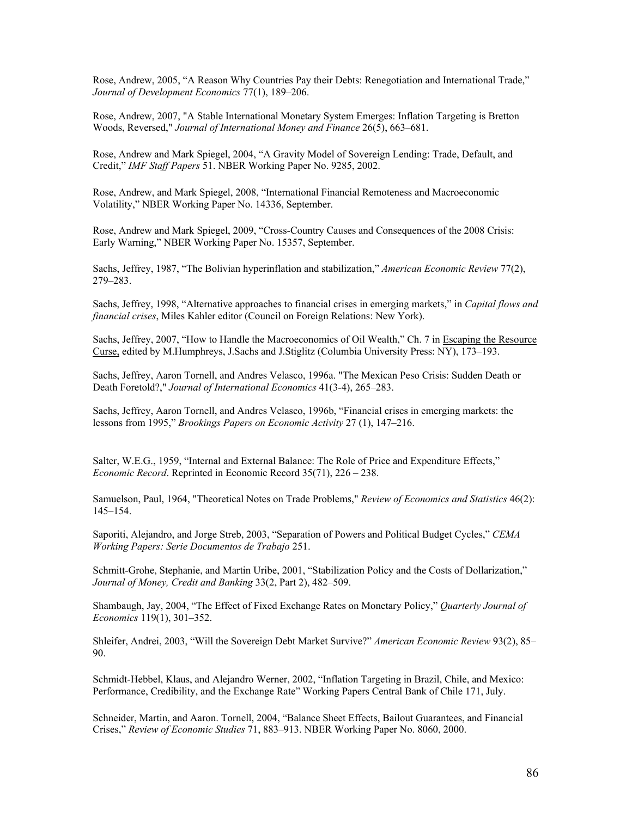Rose, Andrew, 2005, "A Reason Why Countries Pay their Debts: Renegotiation and International Trade," *Journal of Development Economics* 77(1), 189–206.

Rose, Andrew, 2007, "A Stable International Monetary System Emerges: Inflation Targeting is Bretton Woods, Reversed," *Journal of International Money and Finance* 26(5), 663–681.

Rose, Andrew and Mark Spiegel, 2004, "A Gravity Model of Sovereign Lending: Trade, Default, and Credit," *IMF Staff Papers* 51. NBER Working Paper No. 9285, 2002.

Rose, Andrew, and Mark Spiegel, 2008, "International Financial Remoteness and Macroeconomic Volatility," NBER Working Paper No. 14336, September.

Rose, Andrew and Mark Spiegel, 2009, "Cross-Country Causes and Consequences of the 2008 Crisis: Early Warning," NBER Working Paper No. 15357, September.

Sachs, Jeffrey, 1987, "The Bolivian hyperinflation and stabilization," *American Economic Review* 77(2), 279–283.

Sachs, Jeffrey, 1998, "Alternative approaches to financial crises in emerging markets," in *Capital flows and financial crises*, Miles Kahler editor (Council on Foreign Relations: New York).

Sachs, Jeffrey, 2007, "How to Handle the Macroeconomics of Oil Wealth," Ch. 7 in Escaping the Resource Curse, edited by M.Humphreys, J.Sachs and J.Stiglitz (Columbia University Press: NY), 173–193.

Sachs, Jeffrey, Aaron Tornell, and Andres Velasco, 1996a. "The Mexican Peso Crisis: Sudden Death or Death Foretold?," *Journal of International Economics* 41(3-4), 265–283.

Sachs, Jeffrey, Aaron Tornell, and Andres Velasco, 1996b, "Financial crises in emerging markets: the lessons from 1995," *Brookings Papers on Economic Activity* 27 (1), 147–216.

Salter, W.E.G., 1959, "Internal and External Balance: The Role of Price and Expenditure Effects," *Economic Record*. Reprinted in Economic Record 35(71), 226 – 238.

Samuelson, Paul, 1964, "Theoretical Notes on Trade Problems," *Review of Economics and Statistics* 46(2): 145–154.

Saporiti, Alejandro, and Jorge Streb, 2003, "Separation of Powers and Political Budget Cycles," *CEMA Working Papers: Serie Documentos de Trabajo* 251.

Schmitt-Grohe, Stephanie, and Martin Uribe, 2001, "Stabilization Policy and the Costs of Dollarization," *Journal of Money, Credit and Banking* 33(2, Part 2), 482–509.

Shambaugh, Jay, 2004, "The Effect of Fixed Exchange Rates on Monetary Policy," *Quarterly Journal of Economics* 119(1), 301–352.

Shleifer, Andrei, 2003, "Will the Sovereign Debt Market Survive?" *American Economic Review* 93(2), 85– 90.

Schmidt-Hebbel, Klaus, and Alejandro Werner, 2002, "Inflation Targeting in Brazil, Chile, and Mexico: Performance, Credibility, and the Exchange Rate" Working Papers Central Bank of Chile 171, July.

Schneider, Martin, and Aaron. Tornell, 2004, "Balance Sheet Effects, Bailout Guarantees, and Financial Crises," *Review of Economic Studies* 71, 883–913. NBER Working Paper No. 8060, 2000.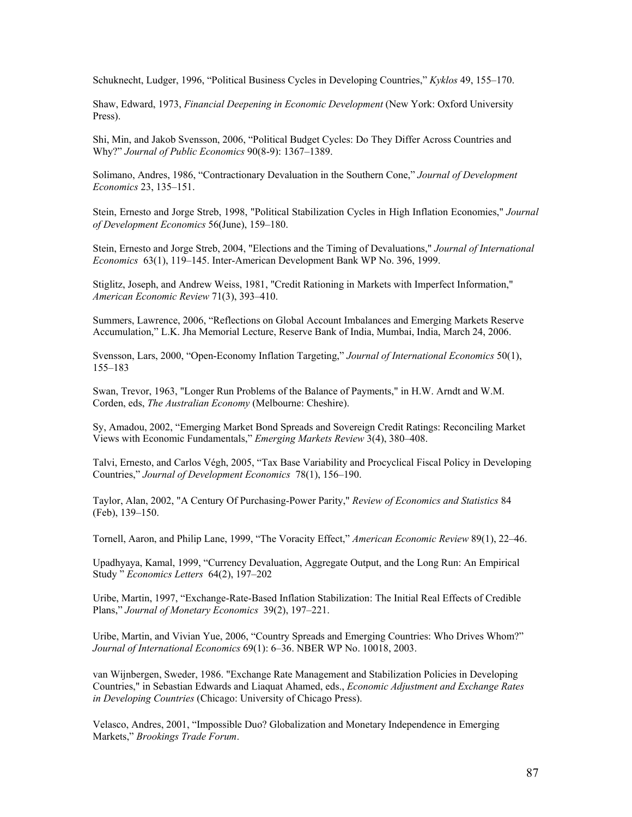Schuknecht, Ludger, 1996, "Political Business Cycles in Developing Countries," *Kyklos* 49, 155–170.

Shaw, Edward, 1973, *Financial Deepening in Economic Development* (New York: Oxford University Press).

Shi, Min, and Jakob Svensson, 2006, "Political Budget Cycles: Do They Differ Across Countries and Why?" *Journal of Public Economics* 90(8-9): 1367–1389.

Solimano, Andres, 1986, "Contractionary Devaluation in the Southern Cone," *Journal of Development Economics* 23, 135–151.

Stein, Ernesto and Jorge Streb, 1998, "Political Stabilization Cycles in High Inflation Economies," *Journal of Development Economics* 56(June), 159–180.

Stein, Ernesto and Jorge Streb, 2004, "Elections and the Timing of Devaluations," *Journal of International Economics* 63(1), 119–145. Inter-American Development Bank WP No. 396, 1999.

Stiglitz, Joseph, and Andrew Weiss, 1981, "Credit Rationing in Markets with Imperfect Information," *American Economic Review* 71(3), 393–410.

Summers, Lawrence, 2006, "Reflections on Global Account Imbalances and Emerging Markets Reserve Accumulation," L.K. Jha Memorial Lecture, Reserve Bank of India, Mumbai, India, March 24, 2006.

Svensson, Lars, 2000, "Open-Economy Inflation Targeting," *Journal of International Economics* 50(1), 155–183

Swan, Trevor, 1963, "Longer Run Problems of the Balance of Payments," in H.W. Arndt and W.M. Corden, eds, *The Australian Economy* (Melbourne: Cheshire).

Sy, Amadou, 2002, "Emerging Market Bond Spreads and Sovereign Credit Ratings: Reconciling Market Views with Economic Fundamentals," *Emerging Markets Review* 3(4), 380–408.

Talvi, Ernesto, and Carlos Végh, 2005, "Tax Base Variability and Procyclical Fiscal Policy in Developing Countries," *Journal of Development Economics* 78(1), 156–190.

Taylor, Alan, 2002, "A Century Of Purchasing-Power Parity," *Review of Economics and Statistics* 84 (Feb), 139–150.

Tornell, Aaron, and Philip Lane, 1999, "The Voracity Effect," *American Economic Review* 89(1), 22–46.

Upadhyaya, Kamal, 1999, "Currency Devaluation, Aggregate Output, and the Long Run: An Empirical Study " *Economics Letters* 64(2), 197–202

Uribe, Martin, 1997, "Exchange-Rate-Based Inflation Stabilization: The Initial Real Effects of Credible Plans," *Journal of Monetary Economics* 39(2), 197–221.

Uribe, Martin, and Vivian Yue, 2006, "Country Spreads and Emerging Countries: Who Drives Whom?" *Journal of International Economics* 69(1): 6–36. NBER WP No. 10018, 2003.

van Wijnbergen, Sweder, 1986. "Exchange Rate Management and Stabilization Policies in Developing Countries," in Sebastian Edwards and Liaquat Ahamed, eds., *Economic Adjustment and Exchange Rates in Developing Countries* (Chicago: University of Chicago Press).

Velasco, Andres, 2001, "Impossible Duo? Globalization and Monetary Independence in Emerging Markets," *Brookings Trade Forum*.